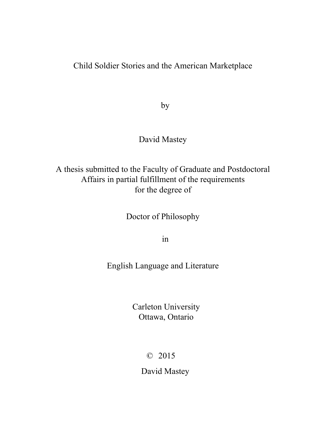## Child Soldier Stories and the American Marketplace

by

### David Mastey

# A thesis submitted to the Faculty of Graduate and Postdoctoral Affairs in partial fulfillment of the requirements for the degree of

Doctor of Philosophy

in

English Language and Literature

Carleton University Ottawa, Ontario

© 2015

David Mastey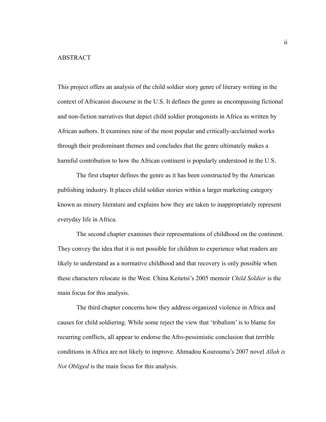This project offers an analysis of the child soldier story genre of literary writing in the context of Africanist discourse in the U.S. It defines the genre as encompassing fictional and non-fiction narratives that depict child soldier protagonists in Africa as written by African authors. It examines nine of the most popular and critically-acclaimed works through their predominant themes and concludes that the genre ultimately makes a harmful contribution to how the African continent is popularly understood in the U.S.

The first chapter defines the genre as it has been constructed by the American publishing industry. It places child soldier stories within a larger marketing category known as misery literature and explains how they are taken to inappropriately represent everyday life in Africa.

The second chapter examines their representations of childhood on the continent. They convey the idea that it is not possible for children to experience what readers are likely to understand as a normative childhood and that recovery is only possible when these characters relocate in the West. China Keitetsi's 2005 memoir *Child Soldier* is the main focus for this analysis.

The third chapter concerns how they address organized violence in Africa and causes for child soldiering. While some reject the view that 'tribalism' is to blame for recurring conflicts, all appear to endorse the Afro-pessimistic conclusion that terrible conditions in Africa are not likely to improve. Ahmadou Kourouma's 2007 novel *Allah is Not Obliged* is the main focus for this analysis.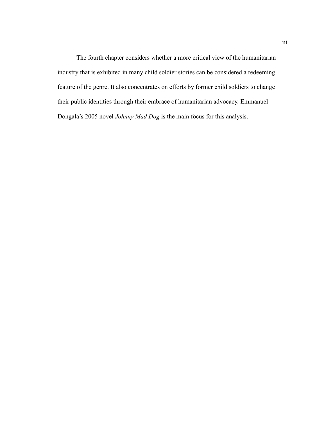The fourth chapter considers whether a more critical view of the humanitarian industry that is exhibited in many child soldier stories can be considered a redeeming feature of the genre. It also concentrates on efforts by former child soldiers to change their public identities through their embrace of humanitarian advocacy. Emmanuel Dongala's 2005 novel *Johnny Mad Dog* is the main focus for this analysis.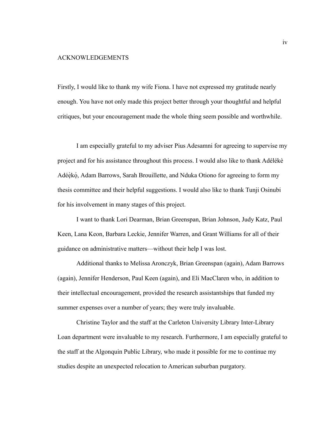#### ACKNOWLEDGEMENTS

Firstly, I would like to thank my wife Fiona. I have not expressed my gratitude nearly enough. You have not only made this project better through your thoughtful and helpful critiques, but your encouragement made the whole thing seem possible and worthwhile.

I am especially grateful to my adviser Pius Adesamni for agreeing to supervise my project and for his assistance throughout this process. I would also like to thank Adélékè Adéẹ̀kọ́ , Adam Barrows, Sarah Brouillette, and Nduka Otiono for agreeing to form my thesis committee and their helpful suggestions. I would also like to thank Tunji Osinubi for his involvement in many stages of this project.

I want to thank Lori Dearman, Brian Greenspan, Brian Johnson, Judy Katz, Paul Keen, Lana Keon, Barbara Leckie, Jennifer Warren, and Grant Williams for all of their guidance on administrative matters—without their help I was lost.

Additional thanks to Melissa Aronczyk, Brian Greenspan (again), Adam Barrows (again), Jennifer Henderson, Paul Keen (again), and Eli MacClaren who, in addition to their intellectual encouragement, provided the research assistantships that funded my summer expenses over a number of years; they were truly invaluable.

Christine Taylor and the staff at the Carleton University Library Inter-Library Loan department were invaluable to my research. Furthermore, I am especially grateful to the staff at the Algonquin Public Library, who made it possible for me to continue my studies despite an unexpected relocation to American suburban purgatory.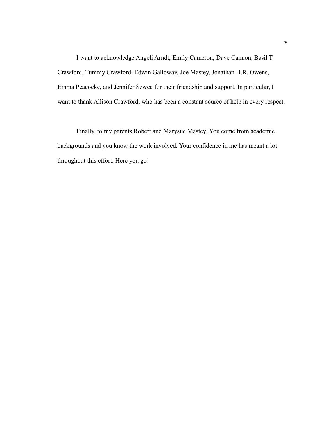I want to acknowledge Angeli Arndt, Emily Cameron, Dave Cannon, Basil T. Crawford, Tummy Crawford, Edwin Galloway, Joe Mastey, Jonathan H.R. Owens, Emma Peacocke, and Jennifer Szwec for their friendship and support. In particular, I want to thank Allison Crawford, who has been a constant source of help in every respect.

Finally, to my parents Robert and Marysue Mastey: You come from academic backgrounds and you know the work involved. Your confidence in me has meant a lot throughout this effort. Here you go!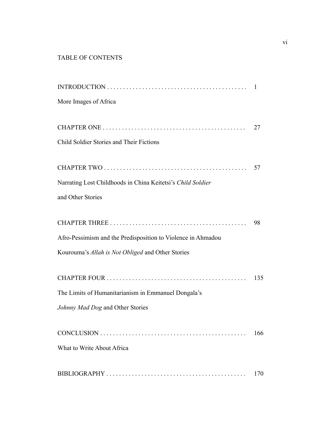### TABLE OF CONTENTS

|                                                              | $\mathbf{1}$ |
|--------------------------------------------------------------|--------------|
| More Images of Africa                                        |              |
|                                                              | 27           |
| Child Soldier Stories and Their Fictions                     |              |
|                                                              | 57           |
| Narrating Lost Childhoods in China Keitetsi's Child Soldier  |              |
| and Other Stories                                            |              |
|                                                              | 98           |
| Afro-Pessimism and the Predisposition to Violence in Ahmadou |              |
| Kourouma's Allah is Not Obliged and Other Stories            |              |
|                                                              | 135          |
| The Limits of Humanitarianism in Emmanuel Dongala's          |              |
| Johnny Mad Dog and Other Stories                             |              |
|                                                              | 166          |
| What to Write About Africa                                   |              |
|                                                              | 170          |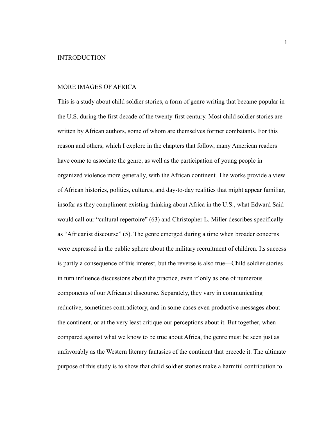#### MORE IMAGES OF AFRICA

This is a study about child soldier stories, a form of genre writing that became popular in the U.S. during the first decade of the twenty-first century. Most child soldier stories are written by African authors, some of whom are themselves former combatants. For this reason and others, which I explore in the chapters that follow, many American readers have come to associate the genre, as well as the participation of young people in organized violence more generally, with the African continent. The works provide a view of African histories, politics, cultures, and day-to-day realities that might appear familiar, insofar as they compliment existing thinking about Africa in the U.S., what Edward Said would call our "cultural repertoire" (63) and Christopher L. Miller describes specifically as "Africanist discourse" (5). The genre emerged during a time when broader concerns were expressed in the public sphere about the military recruitment of children. Its success is partly a consequence of this interest, but the reverse is also true—Child soldier stories in turn influence discussions about the practice, even if only as one of numerous components of our Africanist discourse. Separately, they vary in communicating reductive, sometimes contradictory, and in some cases even productive messages about the continent, or at the very least critique our perceptions about it. But together, when compared against what we know to be true about Africa, the genre must be seen just as unfavorably as the Western literary fantasies of the continent that precede it. The ultimate purpose of this study is to show that child soldier stories make a harmful contribution to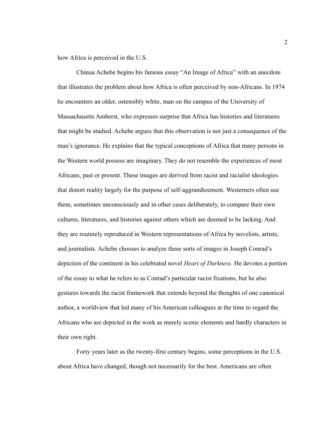how Africa is perceived in the U.S.

Chinua Achebe begins his famous essay "An Image of Africa" with an anecdote that illustrates the problem about how Africa is often perceived by non-Africans. In 1974 he encounters an older, ostensibly white, man on the campus of the University of Massachusetts Amherst, who expresses surprise that Africa has histories and literatures that might be studied. Achebe argues that this observation is not just a consequence of the man's ignorance. He explains that the typical conceptions of Africa that many persons in the Western world possess are imaginary. They do not resemble the experiences of most Africans, past or present. These images are derived from racist and racialist ideologies that distort reality largely for the purpose of self-aggrandizement. Westerners often use them, sometimes unconsciously and in other cases deliberately, to compare their own cultures, literatures, and histories against others which are deemed to be lacking. And they are routinely reproduced in Western representations of Africa by novelists, artists, and journalists. Achebe chooses to analyze these sorts of images in Joseph Conrad's depiction of the continent in his celebrated novel *Heart of Darkness*. He devotes a portion of the essay to what he refers to as Conrad's particular racist fixations, but he also gestures towards the racist framework that extends beyond the thoughts of one canonical author, a worldview that led many of his American colleagues at the time to regard the Africans who are depicted in the work as merely scenic elements and hardly characters in their own right.

Forty years later as the twenty-first century begins, some perceptions in the U.S. about Africa have changed, though not necessarily for the best. Americans are often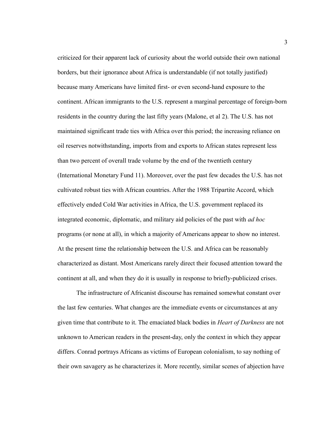criticized for their apparent lack of curiosity about the world outside their own national borders, but their ignorance about Africa is understandable (if not totally justified) because many Americans have limited first- or even second-hand exposure to the continent. African immigrants to the U.S. represent a marginal percentage of foreign-born residents in the country during the last fifty years (Malone, et al 2). The U.S. has not maintained significant trade ties with Africa over this period; the increasing reliance on oil reserves notwithstanding, imports from and exports to African states represent less than two percent of overall trade volume by the end of the twentieth century (International Monetary Fund 11). Moreover, over the past few decades the U.S. has not cultivated robust ties with African countries. After the 1988 Tripartite Accord, which effectively ended Cold War activities in Africa, the U.S. government replaced its integrated economic, diplomatic, and military aid policies of the past with *ad hoc* programs (or none at all), in which a majority of Americans appear to show no interest. At the present time the relationship between the U.S. and Africa can be reasonably characterized as distant. Most Americans rarely direct their focused attention toward the continent at all, and when they do it is usually in response to briefly-publicized crises.

The infrastructure of Africanist discourse has remained somewhat constant over the last few centuries. What changes are the immediate events or circumstances at any given time that contribute to it. The emaciated black bodies in *Heart of Darkness* are not unknown to American readers in the present-day, only the context in which they appear differs. Conrad portrays Africans as victims of European colonialism, to say nothing of their own savagery as he characterizes it. More recently, similar scenes of abjection have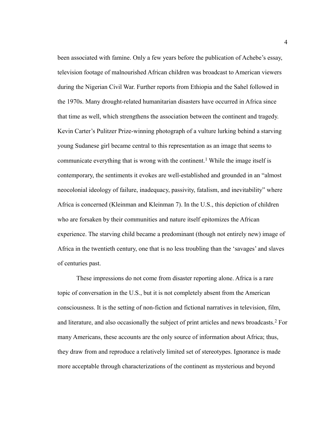been associated with famine. Only a few years before the publication of Achebe's essay, television footage of malnourished African children was broadcast to American viewers during the Nigerian Civil War. Further reports from Ethiopia and the Sahel followed in the 1970s. Many drought-related humanitarian disasters have occurred in Africa since that time as well, which strengthens the association between the continent and tragedy. Kevin Carter's Pulitzer Prize-winning photograph of a vulture lurking behind a starving young Sudanese girl became central to this representation as an image that seems to communicate everything that is wrong with the continent.<sup>1</sup> While the image itself is contemporary, the sentiments it evokes are well-established and grounded in an "almost neocolonial ideology of failure, inadequacy, passivity, fatalism, and inevitability" where Africa is concerned (Kleinman and Kleinman 7). In the U.S., this depiction of children who are forsaken by their communities and nature itself epitomizes the African experience. The starving child became a predominant (though not entirely new) image of Africa in the twentieth century, one that is no less troubling than the 'savages' and slaves of centuries past.

These impressions do not come from disaster reporting alone. Africa is a rare topic of conversation in the U.S., but it is not completely absent from the American consciousness. It is the setting of non-fiction and fictional narratives in television, film, and literature, and also occasionally the subject of print articles and news broadcasts.<sup>2</sup> For many Americans, these accounts are the only source of information about Africa; thus, they draw from and reproduce a relatively limited set of stereotypes. Ignorance is made more acceptable through characterizations of the continent as mysterious and beyond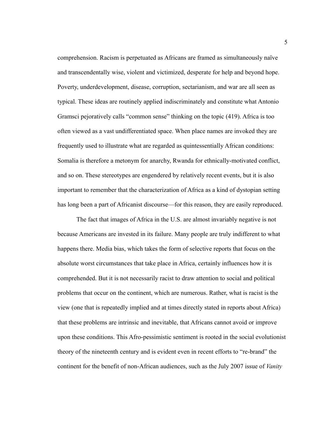comprehension. Racism is perpetuated as Africans are framed as simultaneously naïve and transcendentally wise, violent and victimized, desperate for help and beyond hope. Poverty, underdevelopment, disease, corruption, sectarianism, and war are all seen as typical. These ideas are routinely applied indiscriminately and constitute what Antonio Gramsci pejoratively calls "common sense" thinking on the topic (419). Africa is too often viewed as a vast undifferentiated space. When place names are invoked they are frequently used to illustrate what are regarded as quintessentially African conditions: Somalia is therefore a metonym for anarchy, Rwanda for ethnically-motivated conflict, and so on. These stereotypes are engendered by relatively recent events, but it is also important to remember that the characterization of Africa as a kind of dystopian setting has long been a part of Africanist discourse—for this reason, they are easily reproduced.

The fact that images of Africa in the U.S. are almost invariably negative is not because Americans are invested in its failure. Many people are truly indifferent to what happens there. Media bias, which takes the form of selective reports that focus on the absolute worst circumstances that take place in Africa, certainly influences how it is comprehended. But it is not necessarily racist to draw attention to social and political problems that occur on the continent, which are numerous. Rather, what is racist is the view (one that is repeatedly implied and at times directly stated in reports about Africa) that these problems are intrinsic and inevitable, that Africans cannot avoid or improve upon these conditions. This Afro-pessimistic sentiment is rooted in the social evolutionist theory of the nineteenth century and is evident even in recent efforts to "re-brand" the continent for the benefit of non-African audiences, such as the July 2007 issue of *Vanity*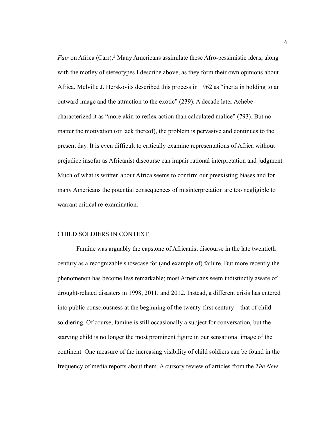Fair on Africa (Carr).<sup>3</sup> Many Americans assimilate these Afro-pessimistic ideas, along with the motley of stereotypes I describe above, as they form their own opinions about Africa. Melville J. Herskovits described this process in 1962 as "inerta in holding to an outward image and the attraction to the exotic" (239). A decade later Achebe characterized it as "more akin to reflex action than calculated malice" (793). But no matter the motivation (or lack thereof), the problem is pervasive and continues to the present day. It is even difficult to critically examine representations of Africa without prejudice insofar as Africanist discourse can impair rational interpretation and judgment. Much of what is written about Africa seems to confirm our preexisting biases and for many Americans the potential consequences of misinterpretation are too negligible to warrant critical re-examination.

#### CHILD SOLDIERS IN CONTEXT

Famine was arguably the capstone of Africanist discourse in the late twentieth century as a recognizable showcase for (and example of) failure. But more recently the phenomenon has become less remarkable; most Americans seem indistinctly aware of drought-related disasters in 1998, 2011, and 2012. Instead, a different crisis has entered into public consciousness at the beginning of the twenty-first century—that of child soldiering. Of course, famine is still occasionally a subject for conversation, but the starving child is no longer the most prominent figure in our sensational image of the continent. One measure of the increasing visibility of child soldiers can be found in the frequency of media reports about them. A cursory review of articles from the *The New*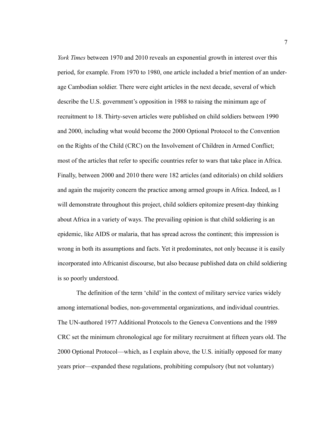*York Times* between 1970 and 2010 reveals an exponential growth in interest over this period, for example. From 1970 to 1980, one article included a brief mention of an underage Cambodian soldier. There were eight articles in the next decade, several of which describe the U.S. government's opposition in 1988 to raising the minimum age of recruitment to 18. Thirty-seven articles were published on child soldiers between 1990 and 2000, including what would become the 2000 Optional Protocol to the Convention on the Rights of the Child (CRC) on the Involvement of Children in Armed Conflict; most of the articles that refer to specific countries refer to wars that take place in Africa. Finally, between 2000 and 2010 there were 182 articles (and editorials) on child soldiers and again the majority concern the practice among armed groups in Africa. Indeed, as I will demonstrate throughout this project, child soldiers epitomize present-day thinking about Africa in a variety of ways. The prevailing opinion is that child soldiering is an epidemic, like AIDS or malaria, that has spread across the continent; this impression is wrong in both its assumptions and facts. Yet it predominates, not only because it is easily incorporated into Africanist discourse, but also because published data on child soldiering is so poorly understood.

The definition of the term 'child' in the context of military service varies widely among international bodies, non-governmental organizations, and individual countries. The UN-authored 1977 Additional Protocols to the Geneva Conventions and the 1989 CRC set the minimum chronological age for military recruitment at fifteen years old. The 2000 Optional Protocol—which, as I explain above, the U.S. initially opposed for many years prior—expanded these regulations, prohibiting compulsory (but not voluntary)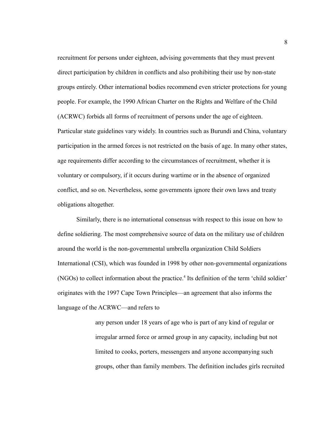recruitment for persons under eighteen, advising governments that they must prevent direct participation by children in conflicts and also prohibiting their use by non-state groups entirely. Other international bodies recommend even stricter protections for young people. For example, the 1990 African Charter on the Rights and Welfare of the Child (ACRWC) forbids all forms of recruitment of persons under the age of eighteen. Particular state guidelines vary widely. In countries such as Burundi and China, voluntary participation in the armed forces is not restricted on the basis of age. In many other states, age requirements differ according to the circumstances of recruitment, whether it is voluntary or compulsory, if it occurs during wartime or in the absence of organized conflict, and so on. Nevertheless, some governments ignore their own laws and treaty obligations altogether.

Similarly, there is no international consensus with respect to this issue on how to define soldiering. The most comprehensive source of data on the military use of children around the world is the non-governmental umbrella organization Child Soldiers International (CSI), which was founded in 1998 by other non-governmental organizations (NGOs) to collect information about the practice.<sup>4</sup> Its definition of the term 'child soldier' originates with the 1997 Cape Town Principles—an agreement that also informs the language of the ACRWC—and refers to

> any person under 18 years of age who is part of any kind of regular or irregular armed force or armed group in any capacity, including but not limited to cooks, porters, messengers and anyone accompanying such groups, other than family members. The definition includes girls recruited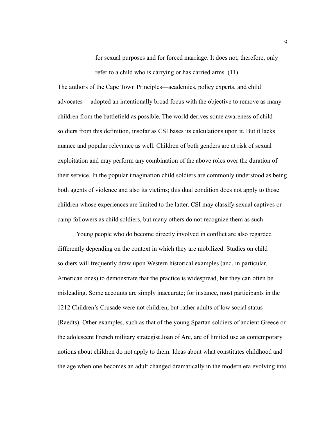for sexual purposes and for forced marriage. It does not, therefore, only refer to a child who is carrying or has carried arms. (11)

The authors of the Cape Town Principles—academics, policy experts, and child advocates— adopted an intentionally broad focus with the objective to remove as many children from the battlefield as possible. The world derives some awareness of child soldiers from this definition, insofar as CSI bases its calculations upon it. But it lacks nuance and popular relevance as well. Children of both genders are at risk of sexual exploitation and may perform any combination of the above roles over the duration of their service. In the popular imagination child soldiers are commonly understood as being both agents of violence and also its victims; this dual condition does not apply to those children whose experiences are limited to the latter. CSI may classify sexual captives or camp followers as child soldiers, but many others do not recognize them as such

Young people who do become directly involved in conflict are also regarded differently depending on the context in which they are mobilized. Studies on child soldiers will frequently draw upon Western historical examples (and, in particular, American ones) to demonstrate that the practice is widespread, but they can often be misleading. Some accounts are simply inaccurate; for instance, most participants in the 1212 Children's Crusade were not children, but rather adults of low social status (Raedts). Other examples, such as that of the young Spartan soldiers of ancient Greece or the adolescent French military strategist Joan of Arc, are of limited use as contemporary notions about children do not apply to them. Ideas about what constitutes childhood and the age when one becomes an adult changed dramatically in the modern era evolving into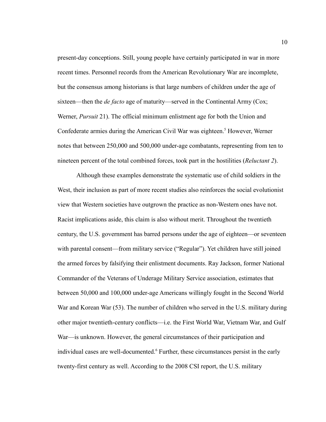present-day conceptions. Still, young people have certainly participated in war in more recent times. Personnel records from the American Revolutionary War are incomplete, but the consensus among historians is that large numbers of children under the age of sixteen—then the *de facto* age of maturity—served in the Continental Army (Cox; Werner, *Pursuit* 21). The official minimum enlistment age for both the Union and Confederate armies during the American Civil War was eighteen.<sup>5</sup> However, Werner notes that between 250,000 and 500,000 under-age combatants, representing from ten to nineteen percent of the total combined forces, took part in the hostilities (*Reluctant 2*).

Although these examples demonstrate the systematic use of child soldiers in the West, their inclusion as part of more recent studies also reinforces the social evolutionist view that Western societies have outgrown the practice as non-Western ones have not. Racist implications aside, this claim is also without merit. Throughout the twentieth century, the U.S. government has barred persons under the age of eighteen—or seventeen with parental consent—from military service ("Regular"). Yet children have still joined the armed forces by falsifying their enlistment documents. Ray Jackson, former National Commander of the Veterans of Underage Military Service association, estimates that between 50,000 and 100,000 under-age Americans willingly fought in the Second World War and Korean War (53). The number of children who served in the U.S. military during other major twentieth-century conflicts—i.e. the First World War, Vietnam War, and Gulf War—is unknown. However, the general circumstances of their participation and individual cases are well-documented.<sup>6</sup> Further, these circumstances persist in the early twenty-first century as well. According to the 2008 CSI report, the U.S. military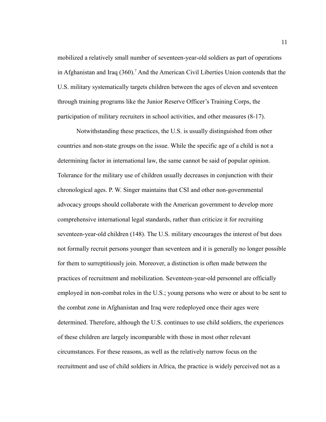mobilized a relatively small number of seventeen-year-old soldiers as part of operations in Afghanistan and Iraq (360).<sup>7</sup> And the American Civil Liberties Union contends that the U.S. military systematically targets children between the ages of eleven and seventeen through training programs like the Junior Reserve Officer's Training Corps, the participation of military recruiters in school activities, and other measures (8-17).

Notwithstanding these practices, the U.S. is usually distinguished from other countries and non-state groups on the issue. While the specific age of a child is not a determining factor in international law, the same cannot be said of popular opinion. Tolerance for the military use of children usually decreases in conjunction with their chronological ages. P. W. Singer maintains that CSI and other non-governmental advocacy groups should collaborate with the American government to develop more comprehensive international legal standards, rather than criticize it for recruiting seventeen-year-old children (148). The U.S. military encourages the interest of but does not formally recruit persons younger than seventeen and it is generally no longer possible for them to surreptitiously join. Moreover, a distinction is often made between the practices of recruitment and mobilization. Seventeen-year-old personnel are officially employed in non-combat roles in the U.S.; young persons who were or about to be sent to the combat zone in Afghanistan and Iraq were redeployed once their ages were determined. Therefore, although the U.S. continues to use child soldiers, the experiences of these children are largely incomparable with those in most other relevant circumstances. For these reasons, as well as the relatively narrow focus on the recruitment and use of child soldiers in Africa, the practice is widely perceived not as a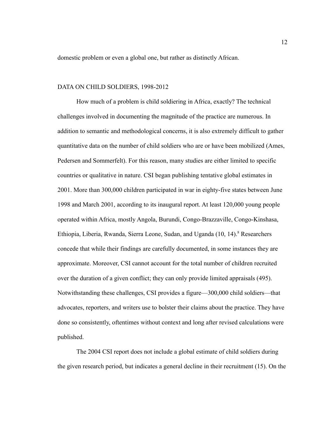domestic problem or even a global one, but rather as distinctly African.

#### DATA ON CHILD SOLDIERS, 1998-2012

How much of a problem is child soldiering in Africa, exactly? The technical challenges involved in documenting the magnitude of the practice are numerous. In addition to semantic and methodological concerns, it is also extremely difficult to gather quantitative data on the number of child soldiers who are or have been mobilized (Ames, Pedersen and Sommerfelt). For this reason, many studies are either limited to specific countries or qualitative in nature. CSI began publishing tentative global estimates in 2001. More than 300,000 children participated in war in eighty-five states between June 1998 and March 2001, according to its inaugural report. At least 120,000 young people operated within Africa, mostly Angola, Burundi, Congo-Brazzaville, Congo-Kinshasa, Ethiopia, Liberia, Rwanda, Sierra Leone, Sudan, and Uganda (10, 14).<sup>8</sup> Researchers concede that while their findings are carefully documented, in some instances they are approximate. Moreover, CSI cannot account for the total number of children recruited over the duration of a given conflict; they can only provide limited appraisals (495). Notwithstanding these challenges, CSI provides a figure—300,000 child soldiers—that advocates, reporters, and writers use to bolster their claims about the practice. They have done so consistently, oftentimes without context and long after revised calculations were published.

The 2004 CSI report does not include a global estimate of child soldiers during the given research period, but indicates a general decline in their recruitment (15). On the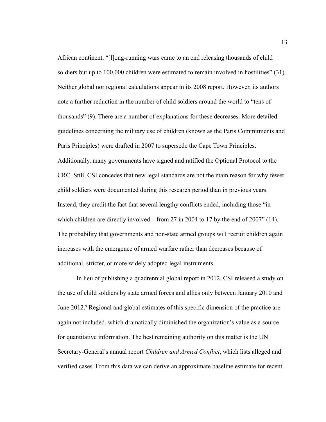African continent, "[l]ong-running wars came to an end releasing thousands of child soldiers but up to 100,000 children were estimated to remain involved in hostilities" (31). Neither global nor regional calculations appear in its 2008 report. However, its authors note a further reduction in the number of child soldiers around the world to "tens of thousands" (9). There are a number of explanations for these decreases. More detailed guidelines concerning the military use of children (known as the Paris Commitments and Paris Principles) were drafted in 2007 to supersede the Cape Town Principles. Additionally, many governments have signed and ratified the Optional Protocol to the CRC. Still, CSI concedes that new legal standards are not the main reason for why fewer child soldiers were documented during this research period than in previous years. Instead, they credit the fact that several lengthy conflicts ended, including those "in which children are directly involved – from 27 in 2004 to 17 by the end of 2007" (14). The probability that governments and non-state armed groups will recruit children again increases with the emergence of armed warfare rather than decreases because of additional, stricter, or more widely adopted legal instruments.

In lieu of publishing a quadrennial global report in 2012, CSI released a study on the use of child soldiers by state armed forces and allies only between January 2010 and June 2012.<sup>9</sup> Regional and global estimates of this specific dimension of the practice are again not included, which dramatically diminished the organization's value as a source for quantitative information. The best remaining authority on this matter is the UN Secretary-General's annual report *Children and Armed Conflict*, which lists alleged and verified cases. From this data we can derive an approximate baseline estimate for recent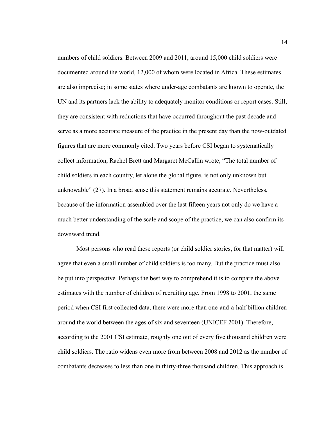numbers of child soldiers. Between 2009 and 2011, around 15,000 child soldiers were documented around the world, 12,000 of whom were located in Africa. These estimates are also imprecise; in some states where under-age combatants are known to operate, the UN and its partners lack the ability to adequately monitor conditions or report cases. Still, they are consistent with reductions that have occurred throughout the past decade and serve as a more accurate measure of the practice in the present day than the now-outdated figures that are more commonly cited. Two years before CSI began to systematically collect information, Rachel Brett and Margaret McCallin wrote, "The total number of child soldiers in each country, let alone the global figure, is not only unknown but unknowable" (27). In a broad sense this statement remains accurate. Nevertheless, because of the information assembled over the last fifteen years not only do we have a much better understanding of the scale and scope of the practice, we can also confirm its downward trend.

Most persons who read these reports (or child soldier stories, for that matter) will agree that even a small number of child soldiers is too many. But the practice must also be put into perspective. Perhaps the best way to comprehend it is to compare the above estimates with the number of children of recruiting age. From 1998 to 2001, the same period when CSI first collected data, there were more than one-and-a-half billion children around the world between the ages of six and seventeen (UNICEF 2001). Therefore, according to the 2001 CSI estimate, roughly one out of every five thousand children were child soldiers. The ratio widens even more from between 2008 and 2012 as the number of combatants decreases to less than one in thirty-three thousand children. This approach is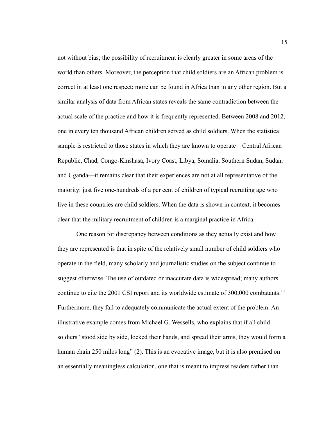not without bias; the possibility of recruitment is clearly greater in some areas of the world than others. Moreover, the perception that child soldiers are an African problem is correct in at least one respect: more can be found in Africa than in any other region. But a similar analysis of data from African states reveals the same contradiction between the actual scale of the practice and how it is frequently represented. Between 2008 and 2012, one in every ten thousand African children served as child soldiers. When the statistical sample is restricted to those states in which they are known to operate—Central African Republic, Chad, Congo-Kinshasa, Ivory Coast, Libya, Somalia, Southern Sudan, Sudan, and Uganda—it remains clear that their experiences are not at all representative of the majority: just five one-hundreds of a per cent of children of typical recruiting age who live in these countries are child soldiers. When the data is shown in context, it becomes clear that the military recruitment of children is a marginal practice in Africa.

One reason for discrepancy between conditions as they actually exist and how they are represented is that in spite of the relatively small number of child soldiers who operate in the field, many scholarly and journalistic studies on the subject continue to suggest otherwise. The use of outdated or inaccurate data is widespread; many authors continue to cite the 2001 CSI report and its worldwide estimate of 300,000 combatants.<sup>10</sup> Furthermore, they fail to adequately communicate the actual extent of the problem. An illustrative example comes from Michael G. Wessells, who explains that if all child soldiers "stood side by side, locked their hands, and spread their arms, they would form a human chain 250 miles long" (2). This is an evocative image, but it is also premised on an essentially meaningless calculation, one that is meant to impress readers rather than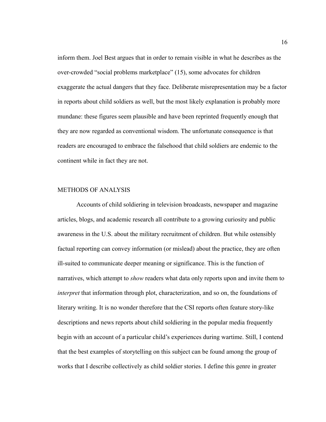inform them. Joel Best argues that in order to remain visible in what he describes as the over-crowded "social problems marketplace" (15), some advocates for children exaggerate the actual dangers that they face. Deliberate misrepresentation may be a factor in reports about child soldiers as well, but the most likely explanation is probably more mundane: these figures seem plausible and have been reprinted frequently enough that they are now regarded as conventional wisdom. The unfortunate consequence is that readers are encouraged to embrace the falsehood that child soldiers are endemic to the continent while in fact they are not.

#### METHODS OF ANALYSIS

Accounts of child soldiering in television broadcasts, newspaper and magazine articles, blogs, and academic research all contribute to a growing curiosity and public awareness in the U.S. about the military recruitment of children. But while ostensibly factual reporting can convey information (or mislead) about the practice, they are often ill-suited to communicate deeper meaning or significance. This is the function of narratives, which attempt to *show* readers what data only reports upon and invite them to *interpret* that information through plot, characterization, and so on, the foundations of literary writing. It is no wonder therefore that the CSI reports often feature story-like descriptions and news reports about child soldiering in the popular media frequently begin with an account of a particular child's experiences during wartime. Still, I contend that the best examples of storytelling on this subject can be found among the group of works that I describe collectively as child soldier stories. I define this genre in greater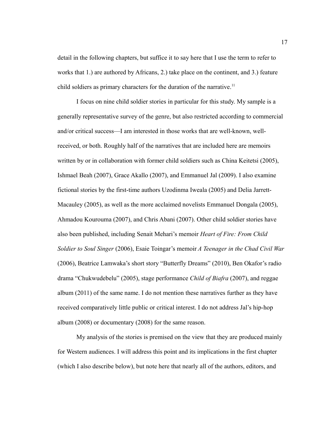detail in the following chapters, but suffice it to say here that I use the term to refer to works that 1.) are authored by Africans, 2.) take place on the continent, and 3.) feature child soldiers as primary characters for the duration of the narrative.<sup>11</sup>

I focus on nine child soldier stories in particular for this study. My sample is a generally representative survey of the genre, but also restricted according to commercial and/or critical success—I am interested in those works that are well-known, wellreceived, or both. Roughly half of the narratives that are included here are memoirs written by or in collaboration with former child soldiers such as China Keitetsi (2005), Ishmael Beah (2007), Grace Akallo (2007), and Emmanuel Jal (2009). I also examine fictional stories by the first-time authors Uzodinma Iweala (2005) and Delia Jarrett-Macauley (2005), as well as the more acclaimed novelists Emmanuel Dongala (2005), Ahmadou Kourouma (2007), and Chris Abani (2007). Other child soldier stories have also been published, including Senait Mehari's memoir *Heart of Fire: From Child Soldier to Soul Singer* (2006), Esaie Toingar's memoir *A Teenager in the Chad Civil War*  (2006), Beatrice Lamwaka's short story "Butterfly Dreams" (2010), Ben Okafor's radio drama "Chukwudebelu" (2005), stage performance *Child of Biafra* (2007), and reggae album (2011) of the same name. I do not mention these narratives further as they have received comparatively little public or critical interest. I do not address Jal's hip-hop album (2008) or documentary (2008) for the same reason.

My analysis of the stories is premised on the view that they are produced mainly for Western audiences. I will address this point and its implications in the first chapter (which I also describe below), but note here that nearly all of the authors, editors, and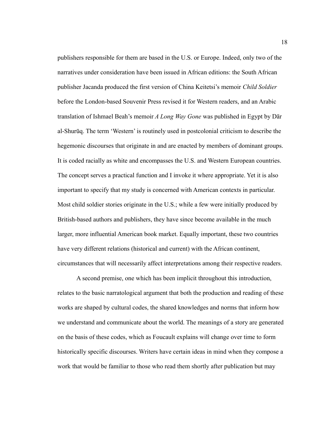publishers responsible for them are based in the U.S. or Europe. Indeed, only two of the narratives under consideration have been issued in African editions: the South African publisher Jacanda produced the first version of China Keitetsi's memoir *Child Soldier* before the London-based Souvenir Press revised it for Western readers, and an Arabic translation of Ishmael Beah's memoir *A Long Way Gone* was published in Egypt by Dar al-Shuruq. The term 'Western' is routinely used in postcolonial criticism to describe the hegemonic discourses that originate in and are enacted by members of dominant groups. It is coded racially as white and encompasses the U.S. and Western European countries. The concept serves a practical function and I invoke it where appropriate. Yet it is also important to specify that my study is concerned with American contexts in particular. Most child soldier stories originate in the U.S.; while a few were initially produced by British-based authors and publishers, they have since become available in the much larger, more influential American book market. Equally important, these two countries have very different relations (historical and current) with the African continent, circumstances that will necessarily affect interpretations among their respective readers.

A second premise, one which has been implicit throughout this introduction, relates to the basic narratological argument that both the production and reading of these works are shaped by cultural codes, the shared knowledges and norms that inform how we understand and communicate about the world. The meanings of a story are generated on the basis of these codes, which as Foucault explains will change over time to form historically specific discourses. Writers have certain ideas in mind when they compose a work that would be familiar to those who read them shortly after publication but may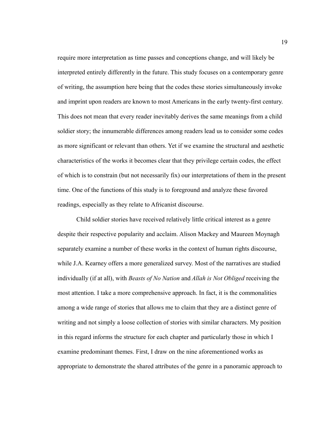require more interpretation as time passes and conceptions change, and will likely be interpreted entirely differently in the future. This study focuses on a contemporary genre of writing, the assumption here being that the codes these stories simultaneously invoke and imprint upon readers are known to most Americans in the early twenty-first century. This does not mean that every reader inevitably derives the same meanings from a child soldier story; the innumerable differences among readers lead us to consider some codes as more significant or relevant than others. Yet if we examine the structural and aesthetic characteristics of the works it becomes clear that they privilege certain codes, the effect of which is to constrain (but not necessarily fix) our interpretations of them in the present time. One of the functions of this study is to foreground and analyze these favored readings, especially as they relate to Africanist discourse.

Child soldier stories have received relatively little critical interest as a genre despite their respective popularity and acclaim. Alison Mackey and Maureen Moynagh separately examine a number of these works in the context of human rights discourse, while J.A. Kearney offers a more generalized survey. Most of the narratives are studied individually (if at all), with *Beasts of No Nation* and *Allah is Not Obliged* receiving the most attention. I take a more comprehensive approach. In fact, it is the commonalities among a wide range of stories that allows me to claim that they are a distinct genre of writing and not simply a loose collection of stories with similar characters. My position in this regard informs the structure for each chapter and particularly those in which I examine predominant themes. First, I draw on the nine aforementioned works as appropriate to demonstrate the shared attributes of the genre in a panoramic approach to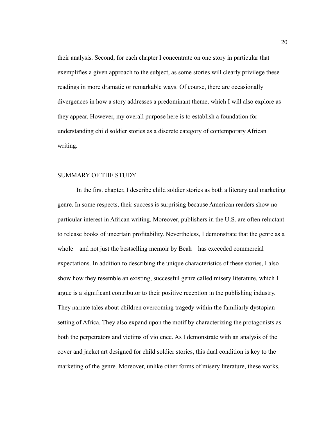their analysis. Second, for each chapter I concentrate on one story in particular that exemplifies a given approach to the subject, as some stories will clearly privilege these readings in more dramatic or remarkable ways. Of course, there are occasionally divergences in how a story addresses a predominant theme, which I will also explore as they appear. However, my overall purpose here is to establish a foundation for understanding child soldier stories as a discrete category of contemporary African writing.

#### SUMMARY OF THE STUDY

In the first chapter, I describe child soldier stories as both a literary and marketing genre. In some respects, their success is surprising because American readers show no particular interest in African writing. Moreover, publishers in the U.S. are often reluctant to release books of uncertain profitability. Nevertheless, I demonstrate that the genre as a whole—and not just the bestselling memoir by Beah—has exceeded commercial expectations. In addition to describing the unique characteristics of these stories, I also show how they resemble an existing, successful genre called misery literature, which I argue is a significant contributor to their positive reception in the publishing industry. They narrate tales about children overcoming tragedy within the familiarly dystopian setting of Africa. They also expand upon the motif by characterizing the protagonists as both the perpetrators and victims of violence. As I demonstrate with an analysis of the cover and jacket art designed for child soldier stories, this dual condition is key to the marketing of the genre. Moreover, unlike other forms of misery literature, these works,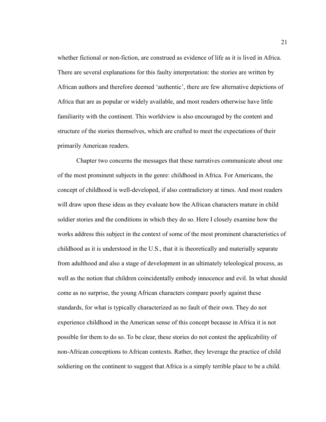whether fictional or non-fiction, are construed as evidence of life as it is lived in Africa. There are several explanations for this faulty interpretation: the stories are written by African authors and therefore deemed 'authentic', there are few alternative depictions of Africa that are as popular or widely available, and most readers otherwise have little familiarity with the continent. This worldview is also encouraged by the content and structure of the stories themselves, which are crafted to meet the expectations of their primarily American readers.

Chapter two concerns the messages that these narratives communicate about one of the most prominent subjects in the genre: childhood in Africa. For Americans, the concept of childhood is well-developed, if also contradictory at times. And most readers will draw upon these ideas as they evaluate how the African characters mature in child soldier stories and the conditions in which they do so. Here I closely examine how the works address this subject in the context of some of the most prominent characteristics of childhood as it is understood in the U.S., that it is theoretically and materially separate from adulthood and also a stage of development in an ultimately teleological process, as well as the notion that children coincidentally embody innocence and evil. In what should come as no surprise, the young African characters compare poorly against these standards, for what is typically characterized as no fault of their own. They do not experience childhood in the American sense of this concept because in Africa it is not possible for them to do so. To be clear, these stories do not contest the applicability of non-African conceptions to African contexts. Rather, they leverage the practice of child soldiering on the continent to suggest that Africa is a simply terrible place to be a child.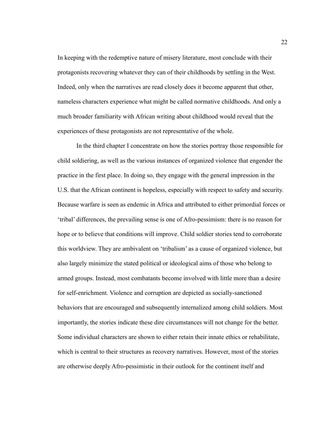In keeping with the redemptive nature of misery literature, most conclude with their protagonists recovering whatever they can of their childhoods by settling in the West. Indeed, only when the narratives are read closely does it become apparent that other, nameless characters experience what might be called normative childhoods. And only a much broader familiarity with African writing about childhood would reveal that the experiences of these protagonists are not representative of the whole.

In the third chapter I concentrate on how the stories portray those responsible for child soldiering, as well as the various instances of organized violence that engender the practice in the first place. In doing so, they engage with the general impression in the U.S. that the African continent is hopeless, especially with respect to safety and security. Because warfare is seen as endemic in Africa and attributed to either primordial forces or 'tribal' differences, the prevailing sense is one of Afro-pessimism: there is no reason for hope or to believe that conditions will improve. Child soldier stories tend to corroborate this worldview. They are ambivalent on 'tribalism' as a cause of organized violence, but also largely minimize the stated political or ideological aims of those who belong to armed groups. Instead, most combatants become involved with little more than a desire for self-enrichment. Violence and corruption are depicted as socially-sanctioned behaviors that are encouraged and subsequently internalized among child soldiers. Most importantly, the stories indicate these dire circumstances will not change for the better. Some individual characters are shown to either retain their innate ethics or rehabilitate, which is central to their structures as recovery narratives. However, most of the stories are otherwise deeply Afro-pessimistic in their outlook for the continent itself and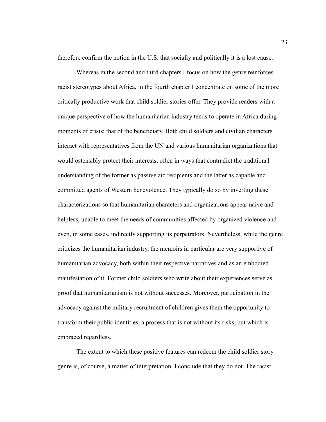therefore confirm the notion in the U.S. that socially and politically it is a lost cause.

Whereas in the second and third chapters I focus on how the genre reinforces racist stereotypes about Africa, in the fourth chapter I concentrate on some of the more critically productive work that child soldier stories offer. They provide readers with a unique perspective of how the humanitarian industry tends to operate in Africa during moments of crisis: that of the beneficiary. Both child soldiers and civilian characters interact with representatives from the UN and various humanitarian organizations that would ostensibly protect their interests, often in ways that contradict the traditional understanding of the former as passive aid recipients and the latter as capable and committed agents of Western benevolence. They typically do so by inverting these characterizations so that humanitarian characters and organizations appear naive and helpless, unable to meet the needs of communities affected by organized violence and even, in some cases, indirectly supporting its perpetrators. Nevertheless, while the genre criticizes the humanitarian industry, the memoirs in particular are very supportive of humanitarian advocacy, both within their respective narratives and as an embodied manifestation of it. Former child soldiers who write about their experiences serve as proof that humanitarianism is not without successes. Moreover, participation in the advocacy against the military recruitment of children gives them the opportunity to transform their public identities, a process that is not without its risks, but which is embraced regardless.

The extent to which these positive features can redeem the child soldier story genre is, of course, a matter of interpretation. I conclude that they do not. The racist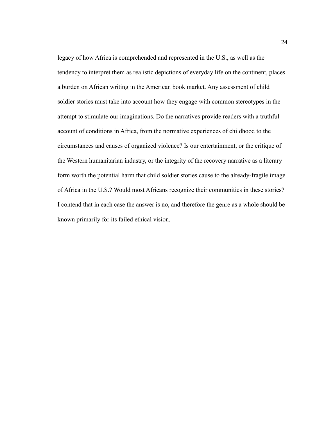legacy of how Africa is comprehended and represented in the U.S., as well as the tendency to interpret them as realistic depictions of everyday life on the continent, places a burden on African writing in the American book market. Any assessment of child soldier stories must take into account how they engage with common stereotypes in the attempt to stimulate our imaginations. Do the narratives provide readers with a truthful account of conditions in Africa, from the normative experiences of childhood to the circumstances and causes of organized violence? Is our entertainment, or the critique of the Western humanitarian industry, or the integrity of the recovery narrative as a literary form worth the potential harm that child soldier stories cause to the already-fragile image of Africa in the U.S.? Would most Africans recognize their communities in these stories? I contend that in each case the answer is no, and therefore the genre as a whole should be known primarily for its failed ethical vision.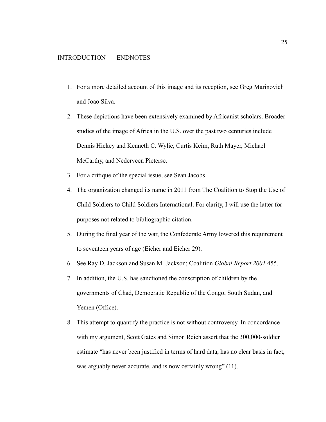- 1. For a more detailed account of this image and its reception, see Greg Marinovich and Joao Silva.
- 2. These depictions have been extensively examined by Africanist scholars. Broader studies of the image of Africa in the U.S. over the past two centuries include Dennis Hickey and Kenneth C. Wylie, Curtis Keim, Ruth Mayer, Michael McCarthy, and Nederveen Pieterse.
- 3. For a critique of the special issue, see Sean Jacobs.
- 4. The organization changed its name in 2011 from The Coalition to Stop the Use of Child Soldiers to Child Soldiers International. For clarity, I will use the latter for purposes not related to bibliographic citation.
- 5. During the final year of the war, the Confederate Army lowered this requirement to seventeen years of age (Eicher and Eicher 29).
- 6. See Ray D. Jackson and Susan M. Jackson; Coalition *Global Report 2001* 455.
- 7. In addition, the U.S. has sanctioned the conscription of children by the governments of Chad, Democratic Republic of the Congo, South Sudan, and Yemen (Office).
- 8. This attempt to quantify the practice is not without controversy. In concordance with my argument, Scott Gates and Simon Reich assert that the 300,000-soldier estimate "has never been justified in terms of hard data, has no clear basis in fact, was arguably never accurate, and is now certainly wrong" (11).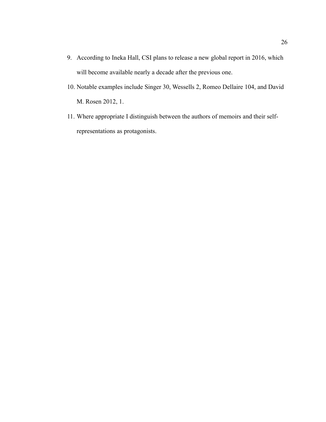- 9. According to Ineka Hall, CSI plans to release a new global report in 2016, which will become available nearly a decade after the previous one.
- 10. Notable examples include Singer 30, Wessells 2, Romeo Dellaire 104, and David M. Rosen 2012, 1.
- 11. Where appropriate I distinguish between the authors of memoirs and their selfrepresentations as protagonists.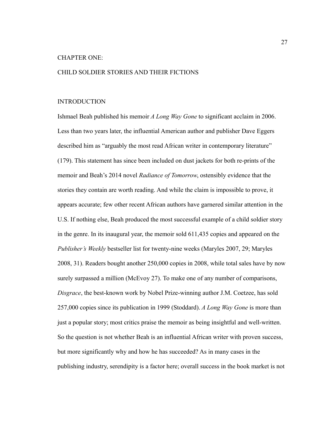#### CHAPTER ONE:

#### CHILD SOLDIER STORIES AND THEIR FICTIONS

#### INTRODUCTION

Ishmael Beah published his memoir *A Long Way Gone* to significant acclaim in 2006. Less than two years later, the influential American author and publisher Dave Eggers described him as "arguably the most read African writer in contemporary literature" (179). This statement has since been included on dust jackets for both re-prints of the memoir and Beah's 2014 novel *Radiance of Tomorrow*, ostensibly evidence that the stories they contain are worth reading. And while the claim is impossible to prove, it appears accurate; few other recent African authors have garnered similar attention in the U.S. If nothing else, Beah produced the most successful example of a child soldier story in the genre. In its inaugural year, the memoir sold 611,435 copies and appeared on the *Publisher's Weekly* bestseller list for twenty-nine weeks (Maryles 2007, 29; Maryles 2008, 31). Readers bought another 250,000 copies in 2008, while total sales have by now surely surpassed a million (McEvoy 27). To make one of any number of comparisons, *Disgrace*, the best-known work by Nobel Prize-winning author J.M. Coetzee, has sold 257,000 copies since its publication in 1999 (Stoddard). *A Long Way Gone* is more than just a popular story; most critics praise the memoir as being insightful and well-written. So the question is not whether Beah is an influential African writer with proven success, but more significantly why and how he has succeeded? As in many cases in the publishing industry, serendipity is a factor here; overall success in the book market is not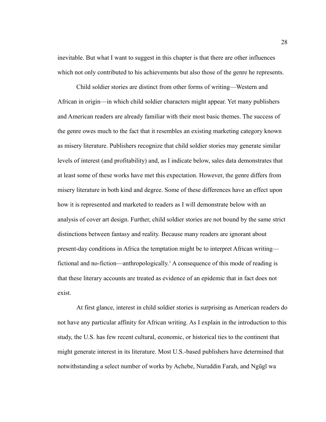inevitable. But what I want to suggest in this chapter is that there are other influences which not only contributed to his achievements but also those of the genre he represents.

Child soldier stories are distinct from other forms of writing—Western and African in origin—in which child soldier characters might appear. Yet many publishers and American readers are already familiar with their most basic themes. The success of the genre owes much to the fact that it resembles an existing marketing category known as misery literature. Publishers recognize that child soldier stories may generate similar levels of interest (and profitability) and, as I indicate below, sales data demonstrates that at least some of these works have met this expectation. However, the genre differs from misery literature in both kind and degree. Some of these differences have an effect upon how it is represented and marketed to readers as I will demonstrate below with an analysis of cover art design. Further, child soldier stories are not bound by the same strict distinctions between fantasy and reality. Because many readers are ignorant about present-day conditions in Africa the temptation might be to interpret African writing fictional and no-fiction—anthropologically.<sup>1</sup> A consequence of this mode of reading is that these literary accounts are treated as evidence of an epidemic that in fact does not exist.

At first glance, interest in child soldier stories is surprising as American readers do not have any particular affinity for African writing. As I explain in the introduction to this study, the U.S. has few recent cultural, economic, or historical ties to the continent that might generate interest in its literature. Most U.S.-based publishers have determined that notwithstanding a select number of works by Achebe, Nuruddin Farah, and Ngũgĩ wa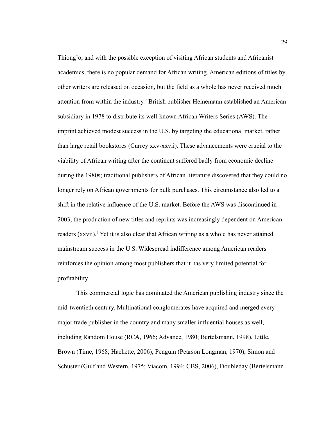Thiong'o, and with the possible exception of visiting African students and Africanist academics, there is no popular demand for African writing. American editions of titles by other writers are released on occasion, but the field as a whole has never received much attention from within the industry.<sup>2</sup> British publisher Heinemann established an American subsidiary in 1978 to distribute its well-known African Writers Series (AWS). The imprint achieved modest success in the U.S. by targeting the educational market, rather than large retail bookstores (Currey xxv-xxvii). These advancements were crucial to the viability of African writing after the continent suffered badly from economic decline during the 1980s; traditional publishers of African literature discovered that they could no longer rely on African governments for bulk purchases. This circumstance also led to a shift in the relative influence of the U.S. market. Before the AWS was discontinued in 2003, the production of new titles and reprints was increasingly dependent on American readers (xxvii).<sup>3</sup> Yet it is also clear that African writing as a whole has never attained mainstream success in the U.S. Widespread indifference among American readers reinforces the opinion among most publishers that it has very limited potential for profitability.

This commercial logic has dominated the American publishing industry since the mid-twentieth century. Multinational conglomerates have acquired and merged every major trade publisher in the country and many smaller influential houses as well, including Random House (RCA, 1966; Advance, 1980; Bertelsmann, 1998), Little, Brown (Time, 1968; Hachette, 2006), Penguin (Pearson Longman, 1970), Simon and Schuster (Gulf and Western, 1975; Viacom, 1994; CBS, 2006), Doubleday (Bertelsmann,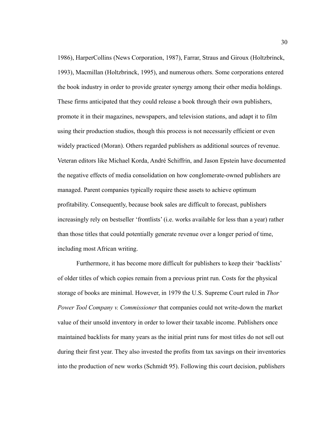1986), HarperCollins (News Corporation, 1987), Farrar, Straus and Giroux (Holtzbrinck, 1993), Macmillan (Holtzbrinck, 1995), and numerous others. Some corporations entered the book industry in order to provide greater synergy among their other media holdings. These firms anticipated that they could release a book through their own publishers, promote it in their magazines, newspapers, and television stations, and adapt it to film using their production studios, though this process is not necessarily efficient or even widely practiced (Moran). Others regarded publishers as additional sources of revenue. Veteran editors like Michael Korda, André Schiffrin, and Jason Epstein have documented the negative effects of media consolidation on how conglomerate-owned publishers are managed. Parent companies typically require these assets to achieve optimum profitability. Consequently, because book sales are difficult to forecast, publishers increasingly rely on bestseller 'frontlists' (i.e. works available for less than a year) rather than those titles that could potentially generate revenue over a longer period of time, including most African writing.

Furthermore, it has become more difficult for publishers to keep their 'backlists' of older titles of which copies remain from a previous print run. Costs for the physical storage of books are minimal. However, in 1979 the U.S. Supreme Court ruled in *Thor Power Tool Company v. Commissioner* that companies could not write-down the market value of their unsold inventory in order to lower their taxable income. Publishers once maintained backlists for many years as the initial print runs for most titles do not sell out during their first year. They also invested the profits from tax savings on their inventories into the production of new works (Schmidt 95). Following this court decision, publishers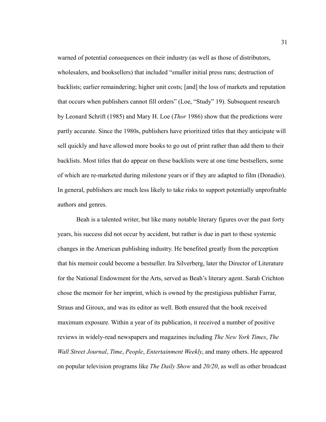warned of potential consequences on their industry (as well as those of distributors, wholesalers, and booksellers) that included "smaller initial press runs; destruction of backlists; earlier remaindering; higher unit costs; [and] the loss of markets and reputation that occurs when publishers cannot fill orders" (Loe, "Study" 19). Subsequent research by Leonard Schrift (1985) and Mary H. Loe (*Thor* 1986) show that the predictions were partly accurate. Since the 1980s, publishers have prioritized titles that they anticipate will sell quickly and have allowed more books to go out of print rather than add them to their backlists. Most titles that do appear on these backlists were at one time bestsellers, some of which are re-marketed during milestone years or if they are adapted to film (Donadio). In general, publishers are much less likely to take risks to support potentially unprofitable authors and genres.

Beah is a talented writer, but like many notable literary figures over the past forty years, his success did not occur by accident, but rather is due in part to these systemic changes in the American publishing industry. He benefited greatly from the perception that his memoir could become a bestseller. Ira Silverberg, later the Director of Literature for the National Endowment for the Arts, served as Beah's literary agent. Sarah Crichton chose the memoir for her imprint, which is owned by the prestigious publisher Farrar, Straus and Giroux, and was its editor as well. Both ensured that the book received maximum exposure. Within a year of its publication, it received a number of positive reviews in widely-read newspapers and magazines including *The New York Times*, *The Wall Street Journal*, *Time*, *People*, *Entertainment Weekly*, and many others. He appeared on popular television programs like *The Daily Show* and *20/20*, as well as other broadcast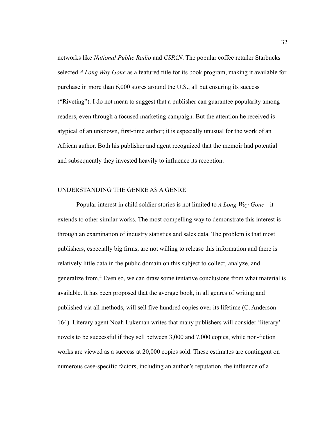networks like *National Public Radio* and *CSPAN*. The popular coffee retailer Starbucks selected *A Long Way Gone* as a featured title for its book program, making it available for purchase in more than 6,000 stores around the U.S., all but ensuring its success ("Riveting"). I do not mean to suggest that a publisher can guarantee popularity among readers, even through a focused marketing campaign. But the attention he received is atypical of an unknown, first-time author; it is especially unusual for the work of an African author. Both his publisher and agent recognized that the memoir had potential and subsequently they invested heavily to influence its reception.

# UNDERSTANDING THE GENRE AS A GENRE

Popular interest in child soldier stories is not limited to *A Long Way Gone—*it extends to other similar works. The most compelling way to demonstrate this interest is through an examination of industry statistics and sales data. The problem is that most publishers, especially big firms, are not willing to release this information and there is relatively little data in the public domain on this subject to collect, analyze, and generalize from.<sup>4</sup> Even so, we can draw some tentative conclusions from what material is available. It has been proposed that the average book, in all genres of writing and published via all methods, will sell five hundred copies over its lifetime (C. Anderson 164). Literary agent Noah Lukeman writes that many publishers will consider 'literary' novels to be successful if they sell between 3,000 and 7,000 copies, while non-fiction works are viewed as a success at 20,000 copies sold. These estimates are contingent on numerous case-specific factors, including an author's reputation, the influence of a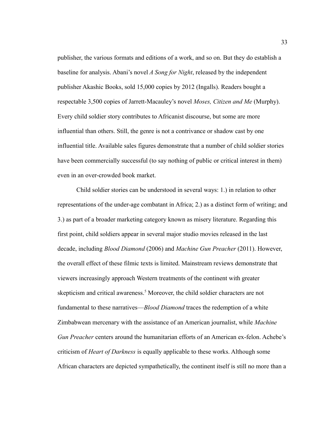publisher, the various formats and editions of a work, and so on. But they do establish a baseline for analysis. Abani's novel *A Song for Night*, released by the independent publisher Akashic Books, sold 15,000 copies by 2012 (Ingalls). Readers bought a respectable 3,500 copies of Jarrett-Macauley's novel *Moses, Citizen and Me* (Murphy). Every child soldier story contributes to Africanist discourse, but some are more influential than others. Still, the genre is not a contrivance or shadow cast by one influential title. Available sales figures demonstrate that a number of child soldier stories have been commercially successful (to say nothing of public or critical interest in them) even in an over-crowded book market.

Child soldier stories can be understood in several ways: 1.) in relation to other representations of the under-age combatant in Africa; 2.) as a distinct form of writing; and 3.) as part of a broader marketing category known as misery literature. Regarding this first point, child soldiers appear in several major studio movies released in the last decade, including *Blood Diamond* (2006) and *Machine Gun Preacher* (2011). However, the overall effect of these filmic texts is limited. Mainstream reviews demonstrate that viewers increasingly approach Western treatments of the continent with greater skepticism and critical awareness.<sup>5</sup> Moreover, the child soldier characters are not fundamental to these narratives—*Blood Diamond* traces the redemption of a white Zimbabwean mercenary with the assistance of an American journalist, while *Machine Gun Preacher* centers around the humanitarian efforts of an American ex-felon. Achebe's criticism of *Heart of Darkness* is equally applicable to these works. Although some African characters are depicted sympathetically, the continent itself is still no more than a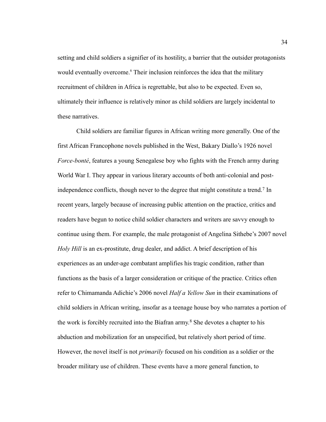setting and child soldiers a signifier of its hostility, a barrier that the outsider protagonists would eventually overcome.<sup>6</sup> Their inclusion reinforces the idea that the military recruitment of children in Africa is regrettable, but also to be expected. Even so, ultimately their influence is relatively minor as child soldiers are largely incidental to these narratives.

Child soldiers are familiar figures in African writing more generally. One of the first African Francophone novels published in the West, Bakary Diallo's 1926 novel *Force-bonté*, features a young Senegalese boy who fights with the French army during World War I. They appear in various literary accounts of both anti-colonial and postindependence conflicts, though never to the degree that might constitute a trend.<sup>7</sup> In recent years, largely because of increasing public attention on the practice, critics and readers have begun to notice child soldier characters and writers are savvy enough to continue using them. For example, the male protagonist of Angelina Sithebe's 2007 novel *Holy Hill* is an ex-prostitute, drug dealer, and addict. A brief description of his experiences as an under-age combatant amplifies his tragic condition, rather than functions as the basis of a larger consideration or critique of the practice. Critics often refer to Chimamanda Adichie's 2006 novel *Half a Yellow Sun* in their examinations of child soldiers in African writing, insofar as a teenage house boy who narrates a portion of the work is forcibly recruited into the Biafran army.<sup>8</sup> She devotes a chapter to his abduction and mobilization for an unspecified, but relatively short period of time. However, the novel itself is not *primarily* focused on his condition as a soldier or the broader military use of children. These events have a more general function, to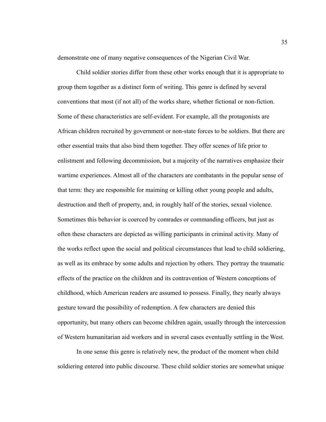demonstrate one of many negative consequences of the Nigerian Civil War.

Child soldier stories differ from these other works enough that it is appropriate to group them together as a distinct form of writing. This genre is defined by several conventions that most (if not all) of the works share, whether fictional or non-fiction. Some of these characteristics are self-evident. For example, all the protagonists are African children recruited by government or non-state forces to be soldiers. But there are other essential traits that also bind them together. They offer scenes of life prior to enlistment and following decommission, but a majority of the narratives emphasize their wartime experiences. Almost all of the characters are combatants in the popular sense of that term: they are responsible for maiming or killing other young people and adults, destruction and theft of property, and, in roughly half of the stories, sexual violence. Sometimes this behavior is coerced by comrades or commanding officers, but just as often these characters are depicted as willing participants in criminal activity. Many of the works reflect upon the social and political circumstances that lead to child soldiering, as well as its embrace by some adults and rejection by others. They portray the traumatic effects of the practice on the children and its contravention of Western conceptions of childhood, which American readers are assumed to possess. Finally, they nearly always gesture toward the possibility of redemption. A few characters are denied this opportunity, but many others can become children again, usually through the intercession of Western humanitarian aid workers and in several cases eventually settling in the West.

In one sense this genre is relatively new, the product of the moment when child soldiering entered into public discourse. These child soldier stories are somewhat unique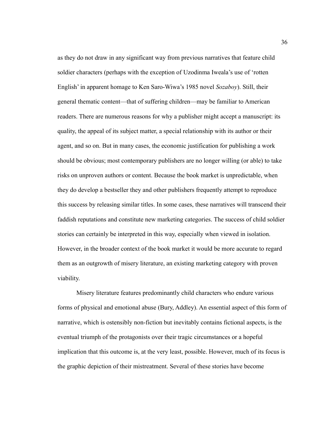as they do not draw in any significant way from previous narratives that feature child soldier characters (perhaps with the exception of Uzodinma Iweala's use of 'rotten English' in apparent homage to Ken Saro-Wiwa's 1985 novel *Sozaboy*). Still, their general thematic content—that of suffering children—may be familiar to American readers. There are numerous reasons for why a publisher might accept a manuscript: its quality, the appeal of its subject matter, a special relationship with its author or their agent, and so on. But in many cases, the economic justification for publishing a work should be obvious; most contemporary publishers are no longer willing (or able) to take risks on unproven authors or content. Because the book market is unpredictable, when they do develop a bestseller they and other publishers frequently attempt to reproduce this success by releasing similar titles. In some cases, these narratives will transcend their faddish reputations and constitute new marketing categories. The success of child soldier stories can certainly be interpreted in this way, especially when viewed in isolation. However, in the broader context of the book market it would be more accurate to regard them as an outgrowth of misery literature, an existing marketing category with proven viability.

Misery literature features predominantly child characters who endure various forms of physical and emotional abuse (Bury, Addley). An essential aspect of this form of narrative, which is ostensibly non-fiction but inevitably contains fictional aspects, is the eventual triumph of the protagonists over their tragic circumstances or a hopeful implication that this outcome is, at the very least, possible. However, much of its focus is the graphic depiction of their mistreatment. Several of these stories have become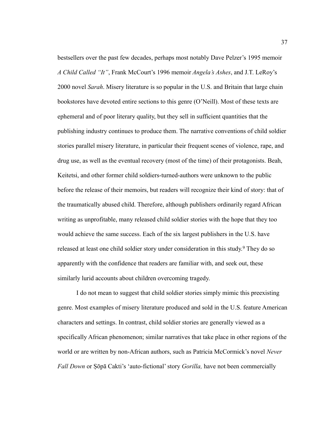bestsellers over the past few decades, perhaps most notably Dave Pelzer's 1995 memoir *A Child Called "It"*, Frank McCourt's 1996 memoir *Angela's Ashes*, and J.T. LeRoy's 2000 novel *Sarah*. Misery literature is so popular in the U.S. and Britain that large chain bookstores have devoted entire sections to this genre (O'Neill). Most of these texts are ephemeral and of poor literary quality, but they sell in sufficient quantities that the publishing industry continues to produce them. The narrative conventions of child soldier stories parallel misery literature, in particular their frequent scenes of violence, rape, and drug use, as well as the eventual recovery (most of the time) of their protagonists. Beah, Keitetsi, and other former child soldiers-turned-authors were unknown to the public before the release of their memoirs, but readers will recognize their kind of story: that of the traumatically abused child. Therefore, although publishers ordinarily regard African writing as unprofitable, many released child soldier stories with the hope that they too would achieve the same success. Each of the six largest publishers in the U.S. have released at least one child soldier story under consideration in this study.<sup>9</sup> They do so apparently with the confidence that readers are familiar with, and seek out, these similarly lurid accounts about children overcoming tragedy.

I do not mean to suggest that child soldier stories simply mimic this preexisting genre. Most examples of misery literature produced and sold in the U.S. feature American characters and settings. In contrast, child soldier stories are generally viewed as a specifically African phenomenon; similar narratives that take place in other regions of the world or are written by non-African authors, such as Patricia McCormick's novel *Never Fall Down* or Ṣōpa Cakti's 'auto-fictional' story *Gorilla,* have not been commercially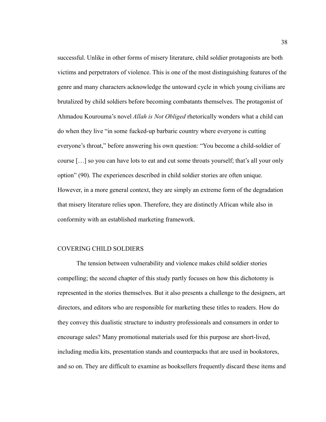successful. Unlike in other forms of misery literature, child soldier protagonists are both victims and perpetrators of violence. This is one of the most distinguishing features of the genre and many characters acknowledge the untoward cycle in which young civilians are brutalized by child soldiers before becoming combatants themselves. The protagonist of Ahmadou Kourouma's novel *Allah is Not Obliged* rhetorically wonders what a child can do when they live "in some fucked-up barbaric country where everyone is cutting everyone's throat," before answering his own question: "You become a child-soldier of course […] so you can have lots to eat and cut some throats yourself; that's all your only option" (90). The experiences described in child soldier stories are often unique. However, in a more general context, they are simply an extreme form of the degradation that misery literature relies upon. Therefore, they are distinctly African while also in conformity with an established marketing framework.

# COVERING CHILD SOLDIERS

The tension between vulnerability and violence makes child soldier stories compelling; the second chapter of this study partly focuses on how this dichotomy is represented in the stories themselves. But it also presents a challenge to the designers, art directors, and editors who are responsible for marketing these titles to readers. How do they convey this dualistic structure to industry professionals and consumers in order to encourage sales? Many promotional materials used for this purpose are short-lived, including media kits, presentation stands and counterpacks that are used in bookstores, and so on. They are difficult to examine as booksellers frequently discard these items and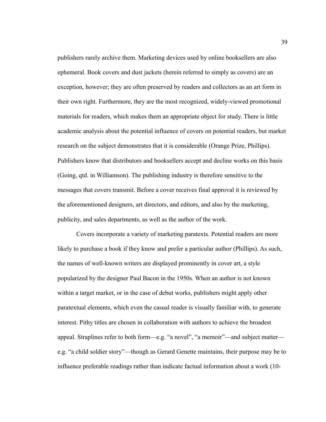publishers rarely archive them. Marketing devices used by online booksellers are also ephemeral. Book covers and dust jackets (herein referred to simply as covers) are an exception, however; they are often preserved by readers and collectors as an art form in their own right. Furthermore, they are the most recognized, widely-viewed promotional materials for readers, which makes them an appropriate object for study. There is little academic analysis about the potential influence of covers on potential readers, but market research on the subject demonstrates that it is considerable (Orange Prize, Phillips). Publishers know that distributors and booksellers accept and decline works on this basis (Going, qtd. in Williamson). The publishing industry is therefore sensitive to the messages that covers transmit. Before a cover receives final approval it is reviewed by the aforementioned designers, art directors, and editors, and also by the marketing, publicity, and sales departments, as well as the author of the work.

Covers incorporate a variety of marketing paratexts. Potential readers are more likely to purchase a book if they know and prefer a particular author (Phillips). As such, the names of well-known writers are displayed prominently in cover art, a style popularized by the designer Paul Bacon in the 1950s. When an author is not known within a target market, or in the case of debut works, publishers might apply other paratextual elements, which even the casual reader is visually familiar with, to generate interest. Pithy titles are chosen in collaboration with authors to achieve the broadest appeal. Straplines refer to both form—e.g. "a novel", "a memoir"—and subject matter e.g. "a child soldier story"—though as Gerard Genette maintains, their purpose may be to influence preferable readings rather than indicate factual information about a work (10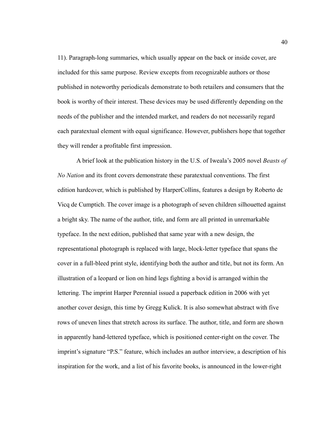11). Paragraph-long summaries, which usually appear on the back or inside cover, are included for this same purpose. Review excepts from recognizable authors or those published in noteworthy periodicals demonstrate to both retailers and consumers that the book is worthy of their interest. These devices may be used differently depending on the needs of the publisher and the intended market, and readers do not necessarily regard each paratextual element with equal significance. However, publishers hope that together they will render a profitable first impression.

A brief look at the publication history in the U.S. of Iweala's 2005 novel *Beasts of No Nation* and its front covers demonstrate these paratextual conventions. The first edition hardcover, which is published by HarperCollins, features a design by Roberto de Vicq de Cumptich. The cover image is a photograph of seven children silhouetted against a bright sky. The name of the author, title, and form are all printed in unremarkable typeface. In the next edition, published that same year with a new design, the representational photograph is replaced with large, block-letter typeface that spans the cover in a full-bleed print style, identifying both the author and title, but not its form. An illustration of a leopard or lion on hind legs fighting a bovid is arranged within the lettering. The imprint Harper Perennial issued a paperback edition in 2006 with yet another cover design, this time by Gregg Kulick. It is also somewhat abstract with five rows of uneven lines that stretch across its surface. The author, title, and form are shown in apparently hand-lettered typeface, which is positioned center-right on the cover. The imprint's signature "P.S." feature, which includes an author interview, a description of his inspiration for the work, and a list of his favorite books, is announced in the lower-right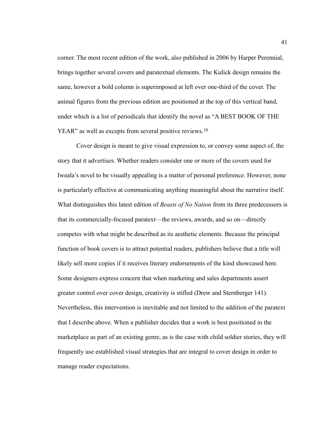corner. The most recent edition of the work, also published in 2006 by Harper Perennial, brings together several covers and paratextual elements. The Kulick design remains the same, however a bold column is superimposed at left over one-third of the cover. The animal figures from the previous edition are positioned at the top of this vertical band, under which is a list of periodicals that identify the novel as "A BEST BOOK OF THE YEAR" as well as excepts from several positive reviews.<sup>10</sup>

Cover design is meant to give visual expression to, or convey some aspect of, the story that it advertises. Whether readers consider one or more of the covers used for Iweala's novel to be visually appealing is a matter of personal preference. However, none is particularly effective at communicating anything meaningful about the narrative itself. What distinguishes this latest edition of *Beasts of No Nation* from its three predecessors is that its commercially-focused paratext—the reviews, awards, and so on—directly competes with what might be described as its aesthetic elements. Because the principal function of book covers is to attract potential readers, publishers believe that a title will likely sell more copies if it receives literary endorsements of the kind showcased here. Some designers express concern that when marketing and sales departments assert greater control over cover design, creativity is stifled (Drew and Sternberger 141). Nevertheless, this intervention is inevitable and not limited to the addition of the paratext that I describe above. When a publisher decides that a work is best positioned in the marketplace as part of an existing genre, as is the case with child soldier stories, they will frequently use established visual strategies that are integral to cover design in order to manage reader expectations.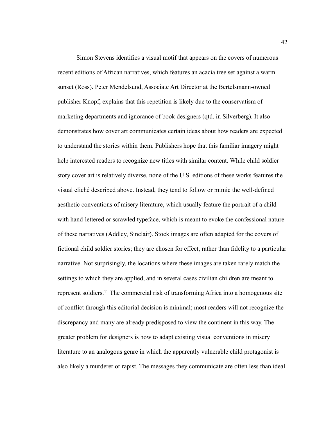Simon Stevens identifies a visual motif that appears on the covers of numerous recent editions of African narratives, which features an acacia tree set against a warm sunset (Ross). Peter Mendelsund, Associate Art Director at the Bertelsmann-owned publisher Knopf, explains that this repetition is likely due to the conservatism of marketing departments and ignorance of book designers (qtd. in Silverberg). It also demonstrates how cover art communicates certain ideas about how readers are expected to understand the stories within them. Publishers hope that this familiar imagery might help interested readers to recognize new titles with similar content. While child soldier story cover art is relatively diverse, none of the U.S. editions of these works features the visual cliché described above. Instead, they tend to follow or mimic the well-defined aesthetic conventions of misery literature, which usually feature the portrait of a child with hand-lettered or scrawled typeface, which is meant to evoke the confessional nature of these narratives (Addley, Sinclair). Stock images are often adapted for the covers of fictional child soldier stories; they are chosen for effect, rather than fidelity to a particular narrative. Not surprisingly, the locations where these images are taken rarely match the settings to which they are applied, and in several cases civilian children are meant to represent soldiers.<sup>11</sup> The commercial risk of transforming Africa into a homogenous site of conflict through this editorial decision is minimal; most readers will not recognize the discrepancy and many are already predisposed to view the continent in this way. The greater problem for designers is how to adapt existing visual conventions in misery literature to an analogous genre in which the apparently vulnerable child protagonist is also likely a murderer or rapist. The messages they communicate are often less than ideal.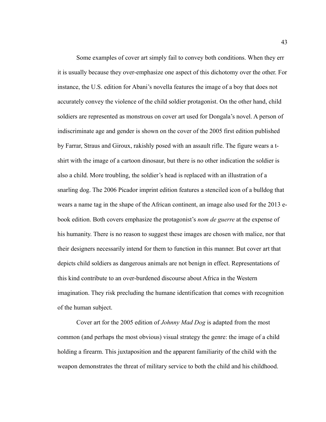Some examples of cover art simply fail to convey both conditions. When they err it is usually because they over-emphasize one aspect of this dichotomy over the other. For instance, the U.S. edition for Abani's novella features the image of a boy that does not accurately convey the violence of the child soldier protagonist. On the other hand, child soldiers are represented as monstrous on cover art used for Dongala's novel. A person of indiscriminate age and gender is shown on the cover of the 2005 first edition published by Farrar, Straus and Giroux, rakishly posed with an assault rifle. The figure wears a tshirt with the image of a cartoon dinosaur, but there is no other indication the soldier is also a child. More troubling, the soldier's head is replaced with an illustration of a snarling dog. The 2006 Picador imprint edition features a stenciled icon of a bulldog that wears a name tag in the shape of the African continent, an image also used for the 2013 ebook edition. Both covers emphasize the protagonist's *nom de guerre* at the expense of his humanity. There is no reason to suggest these images are chosen with malice, nor that their designers necessarily intend for them to function in this manner. But cover art that depicts child soldiers as dangerous animals are not benign in effect. Representations of this kind contribute to an over-burdened discourse about Africa in the Western imagination. They risk precluding the humane identification that comes with recognition of the human subject.

Cover art for the 2005 edition of *Johnny Mad Dog* is adapted from the most common (and perhaps the most obvious) visual strategy the genre: the image of a child holding a firearm. This juxtaposition and the apparent familiarity of the child with the weapon demonstrates the threat of military service to both the child and his childhood.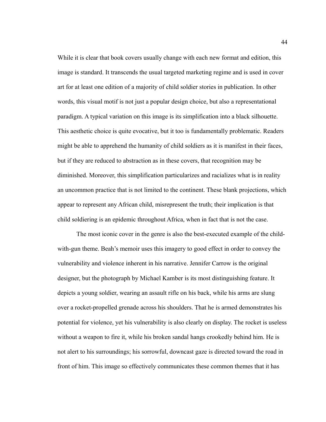While it is clear that book covers usually change with each new format and edition, this image is standard. It transcends the usual targeted marketing regime and is used in cover art for at least one edition of a majority of child soldier stories in publication. In other words, this visual motif is not just a popular design choice, but also a representational paradigm. A typical variation on this image is its simplification into a black silhouette. This aesthetic choice is quite evocative, but it too is fundamentally problematic. Readers might be able to apprehend the humanity of child soldiers as it is manifest in their faces, but if they are reduced to abstraction as in these covers, that recognition may be diminished. Moreover, this simplification particularizes and racializes what is in reality an uncommon practice that is not limited to the continent. These blank projections, which appear to represent any African child, misrepresent the truth; their implication is that child soldiering is an epidemic throughout Africa, when in fact that is not the case.

The most iconic cover in the genre is also the best-executed example of the childwith-gun theme. Beah's memoir uses this imagery to good effect in order to convey the vulnerability and violence inherent in his narrative. Jennifer Carrow is the original designer, but the photograph by Michael Kamber is its most distinguishing feature. It depicts a young soldier, wearing an assault rifle on his back, while his arms are slung over a rocket-propelled grenade across his shoulders. That he is armed demonstrates his potential for violence, yet his vulnerability is also clearly on display. The rocket is useless without a weapon to fire it, while his broken sandal hangs crookedly behind him. He is not alert to his surroundings; his sorrowful, downcast gaze is directed toward the road in front of him. This image so effectively communicates these common themes that it has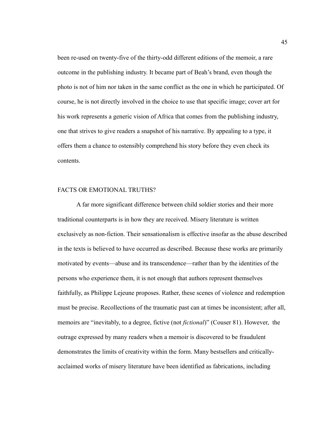been re-used on twenty-five of the thirty-odd different editions of the memoir, a rare outcome in the publishing industry. It became part of Beah's brand, even though the photo is not of him nor taken in the same conflict as the one in which he participated. Of course, he is not directly involved in the choice to use that specific image; cover art for his work represents a generic vision of Africa that comes from the publishing industry, one that strives to give readers a snapshot of his narrative. By appealing to a type, it offers them a chance to ostensibly comprehend his story before they even check its contents.

# FACTS OR EMOTIONAL TRUTHS?

A far more significant difference between child soldier stories and their more traditional counterparts is in how they are received. Misery literature is written exclusively as non-fiction. Their sensationalism is effective insofar as the abuse described in the texts is believed to have occurred as described. Because these works are primarily motivated by events—abuse and its transcendence—rather than by the identities of the persons who experience them, it is not enough that authors represent themselves faithfully, as Philippe Lejeune proposes. Rather, these scenes of violence and redemption must be precise. Recollections of the traumatic past can at times be inconsistent; after all, memoirs are "inevitably, to a degree, fictive (not *fictional*)" (Couser 81). However, the outrage expressed by many readers when a memoir is discovered to be fraudulent demonstrates the limits of creativity within the form. Many bestsellers and criticallyacclaimed works of misery literature have been identified as fabrications, including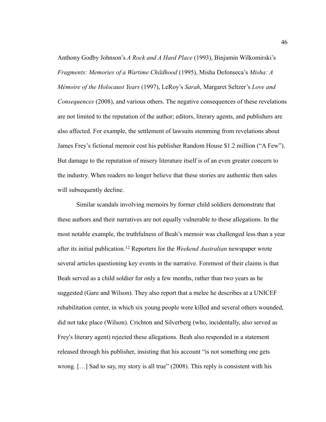Anthony Godby Johnson's *A Rock and A Hard Place* (1993), Binjamin Wilkomirski's *Fragments: Memories of a Wartime Childhood* (1995), Misha Defonseca's *Misha: A Mémoire of the Holocaust Years* (1997), LeRoy's *Sarah*, Margaret Seltzer's *Love and Consequences* (2008), and various others. The negative consequences of these revelations are not limited to the reputation of the author; editors, literary agents, and publishers are also affected. For example, the settlement of lawsuits stemming from revelations about James Frey's fictional memoir cost his publisher Random House \$1.2 million ("A Few"). But damage to the reputation of misery literature itself is of an even greater concern to the industry. When readers no longer believe that these stories are authentic then sales will subsequently decline.

Similar scandals involving memoirs by former child soldiers demonstrate that these authors and their narratives are not equally vulnerable to these allegations. In the most notable example, the truthfulness of Beah's memoir was challenged less than a year after its initial publication.12 Reporters for the *Weekend Australian* newspaper wrote several articles questioning key events in the narrative. Foremost of their claims is that Beah served as a child soldier for only a few months, rather than two years as he suggested (Gare and Wilson). They also report that a melee he describes at a UNICEF rehabilitation center, in which six young people were killed and several others wounded, did not take place (Wilson). Crichton and Silverberg (who, incidentally, also served as Frey's literary agent) rejected these allegations. Beah also responded in a statement released through his publisher, insisting that his account "is not something one gets wrong.  $[\dots]$  Sad to say, my story is all true" (2008). This reply is consistent with his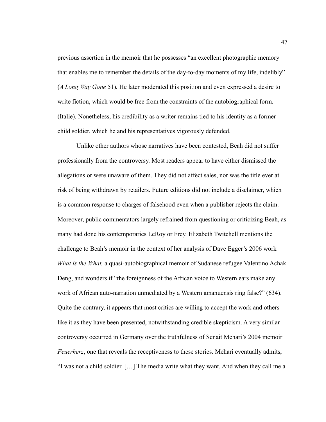previous assertion in the memoir that he possesses "an excellent photographic memory that enables me to remember the details of the day-to-day moments of my life, indelibly" (*A Long Way Gone* 51)*.* He later moderated this position and even expressed a desire to write fiction, which would be free from the constraints of the autobiographical form. (Italie). Nonetheless, his credibility as a writer remains tied to his identity as a former child soldier, which he and his representatives vigorously defended.

Unlike other authors whose narratives have been contested, Beah did not suffer professionally from the controversy. Most readers appear to have either dismissed the allegations or were unaware of them. They did not affect sales, nor was the title ever at risk of being withdrawn by retailers. Future editions did not include a disclaimer, which is a common response to charges of falsehood even when a publisher rejects the claim. Moreover, public commentators largely refrained from questioning or criticizing Beah, as many had done his contemporaries LeRoy or Frey. Elizabeth Twitchell mentions the challenge to Beah's memoir in the context of her analysis of Dave Egger's 2006 work *What is the What,* a quasi-autobiographical memoir of Sudanese refugee Valentino Achak Deng, and wonders if "the foreignness of the African voice to Western ears make any work of African auto-narration unmediated by a Western amanuensis ring false?" (634). Quite the contrary, it appears that most critics are willing to accept the work and others like it as they have been presented, notwithstanding credible skepticism. A very similar controversy occurred in Germany over the truthfulness of Senait Mehari's 2004 memoir *Feuerherz*, one that reveals the receptiveness to these stories. Mehari eventually admits, "I was not a child soldier. […] The media write what they want. And when they call me a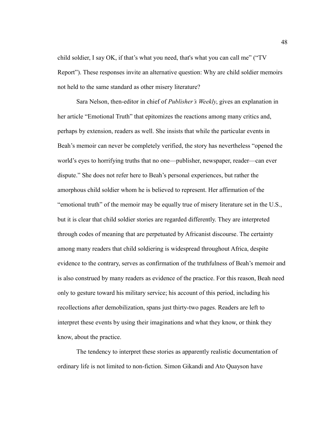child soldier, I say OK, if that's what you need, that's what you can call me" ("TV Report"). These responses invite an alternative question: Why are child soldier memoirs not held to the same standard as other misery literature?

Sara Nelson, then-editor in chief of *Publisher's Weekly*, gives an explanation in her article "Emotional Truth" that epitomizes the reactions among many critics and, perhaps by extension, readers as well. She insists that while the particular events in Beah's memoir can never be completely verified, the story has nevertheless "opened the world's eyes to horrifying truths that no one—publisher, newspaper, reader—can ever dispute." She does not refer here to Beah's personal experiences, but rather the amorphous child soldier whom he is believed to represent. Her affirmation of the "emotional truth" of the memoir may be equally true of misery literature set in the U.S., but it is clear that child soldier stories are regarded differently. They are interpreted through codes of meaning that are perpetuated by Africanist discourse. The certainty among many readers that child soldiering is widespread throughout Africa, despite evidence to the contrary, serves as confirmation of the truthfulness of Beah's memoir and is also construed by many readers as evidence of the practice. For this reason, Beah need only to gesture toward his military service; his account of this period, including his recollections after demobilization, spans just thirty-two pages. Readers are left to interpret these events by using their imaginations and what they know, or think they know, about the practice.

The tendency to interpret these stories as apparently realistic documentation of ordinary life is not limited to non-fiction. Simon Gikandi and Ato Quayson have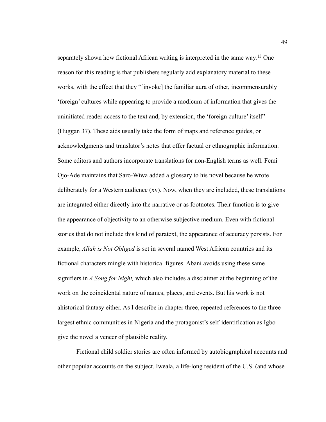separately shown how fictional African writing is interpreted in the same way.13 One reason for this reading is that publishers regularly add explanatory material to these works, with the effect that they "[invoke] the familiar aura of other, incommensurably 'foreign' cultures while appearing to provide a modicum of information that gives the uninitiated reader access to the text and, by extension, the 'foreign culture' itself" (Huggan 37). These aids usually take the form of maps and reference guides, or acknowledgments and translator's notes that offer factual or ethnographic information. Some editors and authors incorporate translations for non-English terms as well. Femi Ojo-Ade maintains that Saro-Wiwa added a glossary to his novel because he wrote deliberately for a Western audience (xv). Now, when they are included, these translations are integrated either directly into the narrative or as footnotes. Their function is to give the appearance of objectivity to an otherwise subjective medium. Even with fictional stories that do not include this kind of paratext, the appearance of accuracy persists. For example, *Allah is Not Obliged* is set in several named West African countries and its fictional characters mingle with historical figures. Abani avoids using these same signifiers in *A Song for Night,* which also includes a disclaimer at the beginning of the work on the coincidental nature of names, places, and events. But his work is not ahistorical fantasy either. As I describe in chapter three, repeated references to the three largest ethnic communities in Nigeria and the protagonist's self-identification as Igbo give the novel a veneer of plausible reality.

Fictional child soldier stories are often informed by autobiographical accounts and other popular accounts on the subject. Iweala, a life-long resident of the U.S. (and whose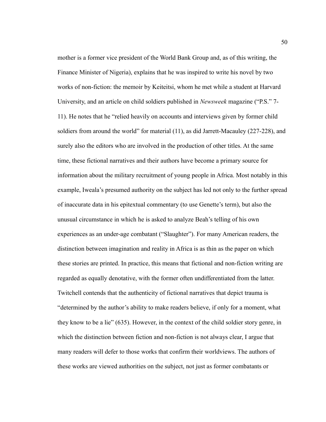mother is a former vice president of the World Bank Group and, as of this writing, the Finance Minister of Nigeria), explains that he was inspired to write his novel by two works of non-fiction: the memoir by Keiteitsi, whom he met while a student at Harvard University, and an article on child soldiers published in *Newsweek* magazine ("P.S." 7- 11). He notes that he "relied heavily on accounts and interviews given by former child soldiers from around the world" for material (11), as did Jarrett-Macauley (227-228), and surely also the editors who are involved in the production of other titles. At the same time, these fictional narratives and their authors have become a primary source for information about the military recruitment of young people in Africa. Most notably in this example, Iweala's presumed authority on the subject has led not only to the further spread of inaccurate data in his epitextual commentary (to use Genette's term), but also the unusual circumstance in which he is asked to analyze Beah's telling of his own experiences as an under-age combatant ("Slaughter"). For many American readers, the distinction between imagination and reality in Africa is as thin as the paper on which these stories are printed. In practice, this means that fictional and non-fiction writing are regarded as equally denotative, with the former often undifferentiated from the latter. Twitchell contends that the authenticity of fictional narratives that depict trauma is "determined by the author's ability to make readers believe, if only for a moment, what they know to be a lie" (635). However, in the context of the child soldier story genre, in which the distinction between fiction and non-fiction is not always clear, I argue that many readers will defer to those works that confirm their worldviews. The authors of these works are viewed authorities on the subject, not just as former combatants or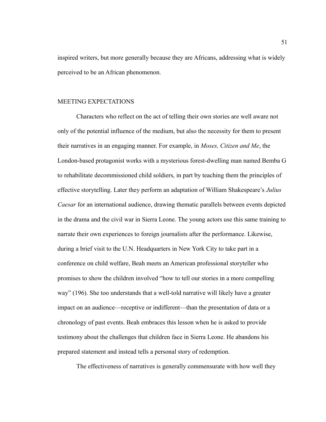inspired writers, but more generally because they are Africans, addressing what is widely perceived to be an African phenomenon.

## MEETING EXPECTATIONS

Characters who reflect on the act of telling their own stories are well aware not only of the potential influence of the medium, but also the necessity for them to present their narratives in an engaging manner. For example, in *Moses, Citizen and Me*, the London-based protagonist works with a mysterious forest-dwelling man named Bemba G to rehabilitate decommissioned child soldiers, in part by teaching them the principles of effective storytelling. Later they perform an adaptation of William Shakespeare's *Julius Caesar* for an international audience, drawing thematic parallels between events depicted in the drama and the civil war in Sierra Leone. The young actors use this same training to narrate their own experiences to foreign journalists after the performance. Likewise, during a brief visit to the U.N. Headquarters in New York City to take part in a conference on child welfare, Beah meets an American professional storyteller who promises to show the children involved "how to tell our stories in a more compelling way" (196). She too understands that a well-told narrative will likely have a greater impact on an audience—receptive or indifferent—than the presentation of data or a chronology of past events. Beah embraces this lesson when he is asked to provide testimony about the challenges that children face in Sierra Leone. He abandons his prepared statement and instead tells a personal story of redemption.

The effectiveness of narratives is generally commensurate with how well they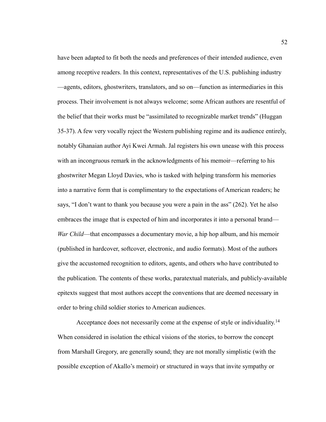have been adapted to fit both the needs and preferences of their intended audience, even among receptive readers. In this context, representatives of the U.S. publishing industry —agents, editors, ghostwriters, translators, and so on—function as intermediaries in this process. Their involvement is not always welcome; some African authors are resentful of the belief that their works must be "assimilated to recognizable market trends" (Huggan 35-37). A few very vocally reject the Western publishing regime and its audience entirely, notably Ghanaian author Ayi Kwei Armah. Jal registers his own unease with this process with an incongruous remark in the acknowledgments of his memoir—referring to his ghostwriter Megan Lloyd Davies, who is tasked with helping transform his memories into a narrative form that is complimentary to the expectations of American readers; he says, "I don't want to thank you because you were a pain in the ass" (262). Yet he also embraces the image that is expected of him and incorporates it into a personal brand— *War Child*—that encompasses a documentary movie, a hip hop album, and his memoir (published in hardcover, softcover, electronic, and audio formats). Most of the authors give the accustomed recognition to editors, agents, and others who have contributed to the publication. The contents of these works, paratextual materials, and publicly-available epitexts suggest that most authors accept the conventions that are deemed necessary in order to bring child soldier stories to American audiences.

Acceptance does not necessarily come at the expense of style or individuality.<sup>14</sup> When considered in isolation the ethical visions of the stories, to borrow the concept from Marshall Gregory, are generally sound; they are not morally simplistic (with the possible exception of Akallo's memoir) or structured in ways that invite sympathy or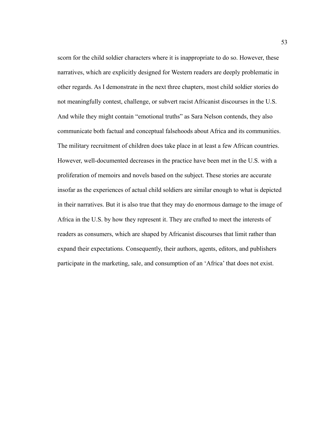scorn for the child soldier characters where it is inappropriate to do so. However, these narratives, which are explicitly designed for Western readers are deeply problematic in other regards. As I demonstrate in the next three chapters, most child soldier stories do not meaningfully contest, challenge, or subvert racist Africanist discourses in the U.S. And while they might contain "emotional truths" as Sara Nelson contends, they also communicate both factual and conceptual falsehoods about Africa and its communities. The military recruitment of children does take place in at least a few African countries. However, well-documented decreases in the practice have been met in the U.S. with a proliferation of memoirs and novels based on the subject. These stories are accurate insofar as the experiences of actual child soldiers are similar enough to what is depicted in their narratives. But it is also true that they may do enormous damage to the image of Africa in the U.S. by how they represent it. They are crafted to meet the interests of readers as consumers, which are shaped by Africanist discourses that limit rather than expand their expectations. Consequently, their authors, agents, editors, and publishers participate in the marketing, sale, and consumption of an 'Africa' that does not exist.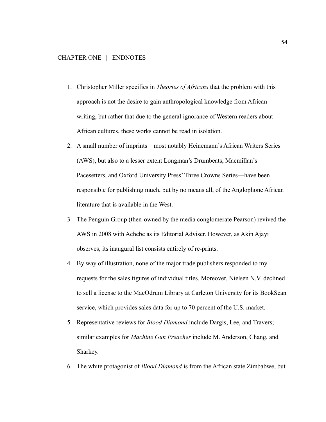- 1. Christopher Miller specifies in *Theories of Africans* that the problem with this approach is not the desire to gain anthropological knowledge from African writing, but rather that due to the general ignorance of Western readers about African cultures, these works cannot be read in isolation.
- 2. A small number of imprints—most notably Heinemann's African Writers Series (AWS), but also to a lesser extent Longman's Drumbeats, Macmillan's Pacesetters, and Oxford University Press' Three Crowns Series—have been responsible for publishing much, but by no means all, of the Anglophone African literature that is available in the West.
- 3. The Penguin Group (then-owned by the media conglomerate Pearson) revived the AWS in 2008 with Achebe as its Editorial Adviser. However, as Akin Ajayi observes, its inaugural list consists entirely of re-prints.
- 4. By way of illustration, none of the major trade publishers responded to my requests for the sales figures of individual titles. Moreover, Nielsen N.V. declined to sell a license to the MacOdrum Library at Carleton University for its BookScan service, which provides sales data for up to 70 percent of the U.S. market.
- 5. Representative reviews for *Blood Diamond* include Dargis, Lee, and Travers; similar examples for *Machine Gun Preacher* include M. Anderson, Chang, and Sharkey.
- 6. The white protagonist of *Blood Diamond* is from the African state Zimbabwe, but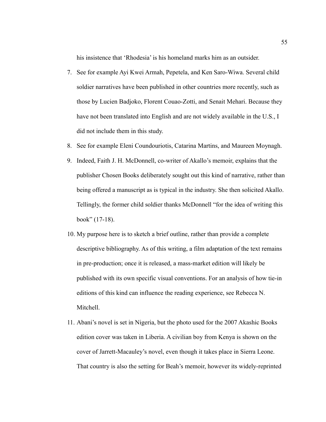his insistence that 'Rhodesia' is his homeland marks him as an outsider.

- 7. See for example Ayi Kwei Armah, Pepetela, and Ken Saro-Wiwa. Several child soldier narratives have been published in other countries more recently, such as those by Lucien Badjoko, Florent Couao-Zotti, and Senait Mehari. Because they have not been translated into English and are not widely available in the U.S., I did not include them in this study.
- 8. See for example Eleni Coundouriotis, Catarina Martins, and Maureen Moynagh.
- 9. Indeed, Faith J. H. McDonnell, co-writer of Akallo's memoir, explains that the publisher Chosen Books deliberately sought out this kind of narrative, rather than being offered a manuscript as is typical in the industry. She then solicited Akallo. Tellingly, the former child soldier thanks McDonnell "for the idea of writing this book" (17-18).
- 10. My purpose here is to sketch a brief outline, rather than provide a complete descriptive bibliography. As of this writing, a film adaptation of the text remains in pre-production; once it is released, a mass-market edition will likely be published with its own specific visual conventions. For an analysis of how tie-in editions of this kind can influence the reading experience, see Rebecca N. Mitchell.
- 11. Abani's novel is set in Nigeria, but the photo used for the 2007 Akashic Books edition cover was taken in Liberia. A civilian boy from Kenya is shown on the cover of Jarrett-Macauley's novel, even though it takes place in Sierra Leone. That country is also the setting for Beah's memoir, however its widely-reprinted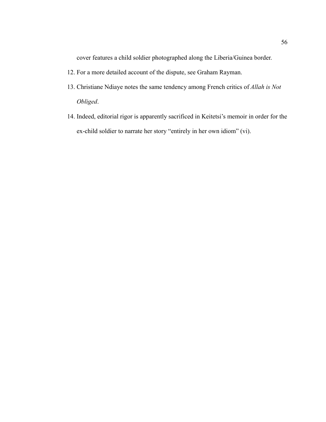cover features a child soldier photographed along the Liberia/Guinea border.

- 12. For a more detailed account of the dispute, see Graham Rayman.
- 13. Christiane Ndiaye notes the same tendency among French critics of *Allah is Not Obliged*.
- 14. Indeed, editorial rigor is apparently sacrificed in Keitetsi's memoir in order for the ex-child soldier to narrate her story "entirely in her own idiom" (vi).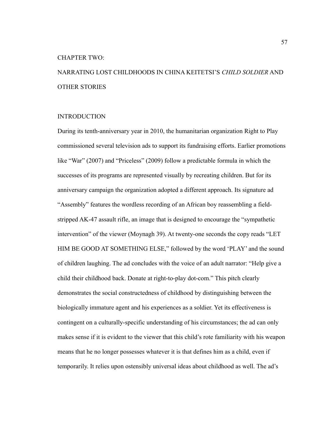#### CHAPTER TWO:

# NARRATING LOST CHILDHOODS IN CHINA KEITETSI'S *CHILD SOLDIER* AND OTHER STORIES

## INTRODUCTION

During its tenth-anniversary year in 2010, the humanitarian organization Right to Play commissioned several television ads to support its fundraising efforts. Earlier promotions like "War" (2007) and "Priceless" (2009) follow a predictable formula in which the successes of its programs are represented visually by recreating children. But for its anniversary campaign the organization adopted a different approach. Its signature ad "Assembly" features the wordless recording of an African boy reassembling a fieldstripped AK-47 assault rifle, an image that is designed to encourage the "sympathetic intervention" of the viewer (Moynagh 39). At twenty-one seconds the copy reads "LET HIM BE GOOD AT SOMETHING ELSE," followed by the word 'PLAY' and the sound of children laughing. The ad concludes with the voice of an adult narrator: "Help give a child their childhood back. Donate at right-to-play dot-com." This pitch clearly demonstrates the social constructedness of childhood by distinguishing between the biologically immature agent and his experiences as a soldier. Yet its effectiveness is contingent on a culturally-specific understanding of his circumstances; the ad can only makes sense if it is evident to the viewer that this child's rote familiarity with his weapon means that he no longer possesses whatever it is that defines him as a child, even if temporarily. It relies upon ostensibly universal ideas about childhood as well. The ad's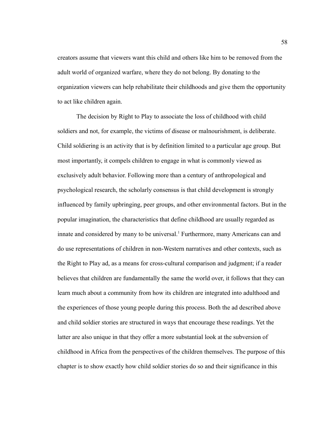creators assume that viewers want this child and others like him to be removed from the adult world of organized warfare, where they do not belong. By donating to the organization viewers can help rehabilitate their childhoods and give them the opportunity to act like children again.

The decision by Right to Play to associate the loss of childhood with child soldiers and not, for example, the victims of disease or malnourishment, is deliberate. Child soldiering is an activity that is by definition limited to a particular age group. But most importantly, it compels children to engage in what is commonly viewed as exclusively adult behavior. Following more than a century of anthropological and psychological research, the scholarly consensus is that child development is strongly influenced by family upbringing, peer groups, and other environmental factors. But in the popular imagination, the characteristics that define childhood are usually regarded as innate and considered by many to be universal.<sup>1</sup> Furthermore, many Americans can and do use representations of children in non-Western narratives and other contexts, such as the Right to Play ad, as a means for cross-cultural comparison and judgment; if a reader believes that children are fundamentally the same the world over, it follows that they can learn much about a community from how its children are integrated into adulthood and the experiences of those young people during this process. Both the ad described above and child soldier stories are structured in ways that encourage these readings. Yet the latter are also unique in that they offer a more substantial look at the subversion of childhood in Africa from the perspectives of the children themselves. The purpose of this chapter is to show exactly how child soldier stories do so and their significance in this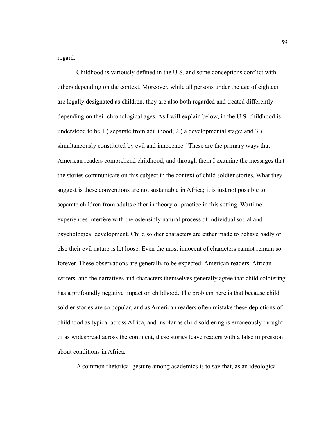regard.

Childhood is variously defined in the U.S. and some conceptions conflict with others depending on the context. Moreover, while all persons under the age of eighteen are legally designated as children, they are also both regarded and treated differently depending on their chronological ages. As I will explain below, in the U.S. childhood is understood to be 1.) separate from adulthood; 2.) a developmental stage; and 3.) simultaneously constituted by evil and innocence.<sup>2</sup> These are the primary ways that American readers comprehend childhood, and through them I examine the messages that the stories communicate on this subject in the context of child soldier stories. What they suggest is these conventions are not sustainable in Africa; it is just not possible to separate children from adults either in theory or practice in this setting. Wartime experiences interfere with the ostensibly natural process of individual social and psychological development. Child soldier characters are either made to behave badly or else their evil nature is let loose. Even the most innocent of characters cannot remain so forever. These observations are generally to be expected; American readers, African writers, and the narratives and characters themselves generally agree that child soldiering has a profoundly negative impact on childhood. The problem here is that because child soldier stories are so popular, and as American readers often mistake these depictions of childhood as typical across Africa, and insofar as child soldiering is erroneously thought of as widespread across the continent, these stories leave readers with a false impression about conditions in Africa.

A common rhetorical gesture among academics is to say that, as an ideological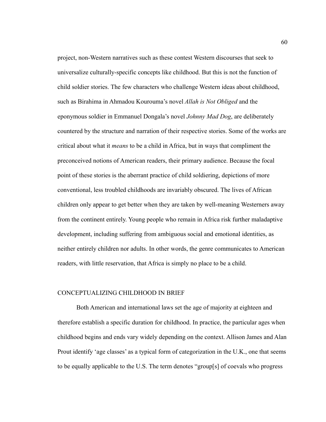project, non-Western narratives such as these contest Western discourses that seek to universalize culturally-specific concepts like childhood. But this is not the function of child soldier stories. The few characters who challenge Western ideas about childhood, such as Birahima in Ahmadou Kourouma's novel *Allah is Not Obliged* and the eponymous soldier in Emmanuel Dongala's novel *Johnny Mad Dog*, are deliberately countered by the structure and narration of their respective stories. Some of the works are critical about what it *means* to be a child in Africa, but in ways that compliment the preconceived notions of American readers, their primary audience. Because the focal point of these stories is the aberrant practice of child soldiering, depictions of more conventional, less troubled childhoods are invariably obscured. The lives of African children only appear to get better when they are taken by well-meaning Westerners away from the continent entirely. Young people who remain in Africa risk further maladaptive development, including suffering from ambiguous social and emotional identities, as neither entirely children nor adults. In other words, the genre communicates to American readers, with little reservation, that Africa is simply no place to be a child.

# CONCEPTUALIZING CHILDHOOD IN BRIEF

Both American and international laws set the age of majority at eighteen and therefore establish a specific duration for childhood. In practice, the particular ages when childhood begins and ends vary widely depending on the context. Allison James and Alan Prout identify 'age classes' as a typical form of categorization in the U.K., one that seems to be equally applicable to the U.S. The term denotes "group[s] of coevals who progress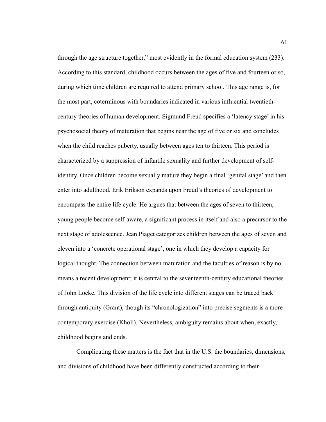through the age structure together," most evidently in the formal education system (233). According to this standard, childhood occurs between the ages of five and fourteen or so, during which time children are required to attend primary school. This age range is, for the most part, coterminous with boundaries indicated in various influential twentiethcentury theories of human development. Sigmund Freud specifies a 'latency stage' in his psychosocial theory of maturation that begins near the age of five or six and concludes when the child reaches puberty, usually between ages ten to thirteen. This period is characterized by a suppression of infantile sexuality and further development of selfidentity. Once children become sexually mature they begin a final 'genital stage' and then enter into adulthood. Erik Erikson expands upon Freud's theories of development to encompass the entire life cycle. He argues that between the ages of seven to thirteen, young people become self-aware, a significant process in itself and also a precursor to the next stage of adolescence. Jean Piaget categorizes children between the ages of seven and eleven into a 'concrete operational stage', one in which they develop a capacity for logical thought. The connection between maturation and the faculties of reason is by no means a recent development; it is central to the seventeenth-century educational theories of John Locke. This division of the life cycle into different stages can be traced back through antiquity (Grant), though its "chronologization" into precise segments is a more contemporary exercise (Kholi). Nevertheless, ambiguity remains about when, exactly, childhood begins and ends.

Complicating these matters is the fact that in the U.S. the boundaries, dimensions, and divisions of childhood have been differently constructed according to their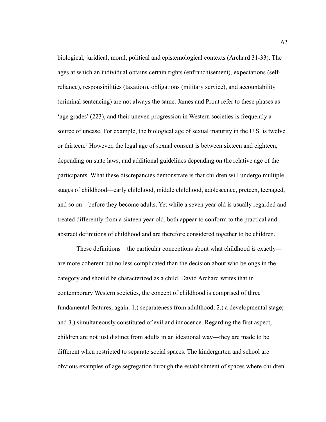biological, juridical, moral, political and epistemological contexts (Archard 31-33). The ages at which an individual obtains certain rights (enfranchisement), expectations (selfreliance), responsibilities (taxation), obligations (military service), and accountability (criminal sentencing) are not always the same. James and Prout refer to these phases as 'age grades' (223), and their uneven progression in Western societies is frequently a source of unease. For example, the biological age of sexual maturity in the U.S. is twelve or thirteen.<sup>3</sup> However, the legal age of sexual consent is between sixteen and eighteen, depending on state laws, and additional guidelines depending on the relative age of the participants. What these discrepancies demonstrate is that children will undergo multiple stages of childhood—early childhood, middle childhood, adolescence, preteen, teenaged, and so on—before they become adults. Yet while a seven year old is usually regarded and treated differently from a sixteen year old, both appear to conform to the practical and abstract definitions of childhood and are therefore considered together to be children.

These definitions—the particular conceptions about what childhood *is* exactly are more coherent but no less complicated than the decision about who belongs in the category and should be characterized as a child. David Archard writes that in contemporary Western societies, the concept of childhood is comprised of three fundamental features, again: 1.) separateness from adulthood; 2.) a developmental stage; and 3.) simultaneously constituted of evil and innocence. Regarding the first aspect, children are not just distinct from adults in an ideational way—they are made to be different when restricted to separate social spaces. The kindergarten and school are obvious examples of age segregation through the establishment of spaces where children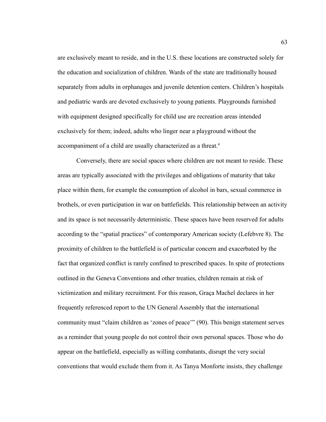are exclusively meant to reside, and in the U.S. these locations are constructed solely for the education and socialization of children. Wards of the state are traditionally housed separately from adults in orphanages and juvenile detention centers. Children's hospitals and pediatric wards are devoted exclusively to young patients. Playgrounds furnished with equipment designed specifically for child use are recreation areas intended exclusively for them; indeed, adults who linger near a playground without the accompaniment of a child are usually characterized as a threat.<sup>4</sup>

Conversely, there are social spaces where children are not meant to reside. These areas are typically associated with the privileges and obligations of maturity that take place within them, for example the consumption of alcohol in bars, sexual commerce in brothels, or even participation in war on battlefields. This relationship between an activity and its space is not necessarily deterministic. These spaces have been reserved for adults according to the "spatial practices" of contemporary American society (Lefebvre 8). The proximity of children to the battlefield is of particular concern and exacerbated by the fact that organized conflict is rarely confined to prescribed spaces. In spite of protections outlined in the Geneva Conventions and other treaties, children remain at risk of victimization and military recruitment. For this reason, Graça Machel declares in her frequently referenced report to the UN General Assembly that the international community must "claim children as 'zones of peace'" (90). This benign statement serves as a reminder that young people do not control their own personal spaces. Those who do appear on the battlefield, especially as willing combatants, disrupt the very social conventions that would exclude them from it. As Tanya Monforte insists, they challenge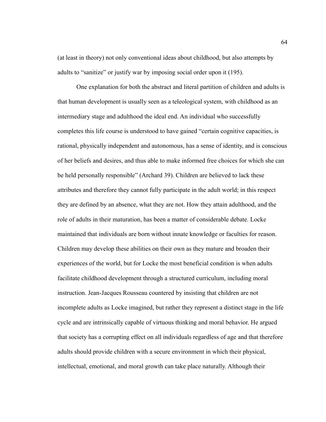(at least in theory) not only conventional ideas about childhood, but also attempts by adults to "sanitize" or justify war by imposing social order upon it (195).

One explanation for both the abstract and literal partition of children and adults is that human development is usually seen as a teleological system, with childhood as an intermediary stage and adulthood the ideal end. An individual who successfully completes this life course is understood to have gained "certain cognitive capacities, is rational, physically independent and autonomous, has a sense of identity, and is conscious of her beliefs and desires, and thus able to make informed free choices for which she can be held personally responsible" (Archard 39). Children are believed to lack these attributes and therefore they cannot fully participate in the adult world; in this respect they are defined by an absence, what they are not. How they attain adulthood, and the role of adults in their maturation, has been a matter of considerable debate. Locke maintained that individuals are born without innate knowledge or faculties for reason. Children may develop these abilities on their own as they mature and broaden their experiences of the world, but for Locke the most beneficial condition is when adults facilitate childhood development through a structured curriculum, including moral instruction. Jean-Jacques Rousseau countered by insisting that children are not incomplete adults as Locke imagined, but rather they represent a distinct stage in the life cycle and are intrinsically capable of virtuous thinking and moral behavior. He argued that society has a corrupting effect on all individuals regardless of age and that therefore adults should provide children with a secure environment in which their physical, intellectual, emotional, and moral growth can take place naturally. Although their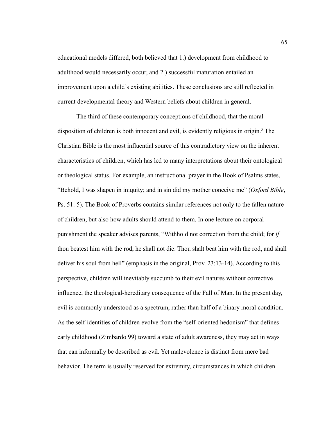educational models differed, both believed that 1.) development from childhood to adulthood would necessarily occur, and 2.) successful maturation entailed an improvement upon a child's existing abilities. These conclusions are still reflected in current developmental theory and Western beliefs about children in general.

The third of these contemporary conceptions of childhood, that the moral disposition of children is both innocent and evil, is evidently religious in origin.<sup>5</sup> The Christian Bible is the most influential source of this contradictory view on the inherent characteristics of children, which has led to many interpretations about their ontological or theological status. For example, an instructional prayer in the Book of Psalms states, "Behold, I was shapen in iniquity; and in sin did my mother conceive me" (*Oxford Bible,*  Ps. 51: 5). The Book of Proverbs contains similar references not only to the fallen nature of children, but also how adults should attend to them. In one lecture on corporal punishment the speaker advises parents, "Withhold not correction from the child; for *if* thou beatest him with the rod, he shall not die. Thou shalt beat him with the rod, and shall deliver his soul from hell" (emphasis in the original, Prov. 23:13-14). According to this perspective, children will inevitably succumb to their evil natures without corrective influence, the theological-hereditary consequence of the Fall of Man. In the present day, evil is commonly understood as a spectrum, rather than half of a binary moral condition. As the self-identities of children evolve from the "self-oriented hedonism" that defines early childhood (Zimbardo 99) toward a state of adult awareness, they may act in ways that can informally be described as evil. Yet malevolence is distinct from mere bad behavior. The term is usually reserved for extremity, circumstances in which children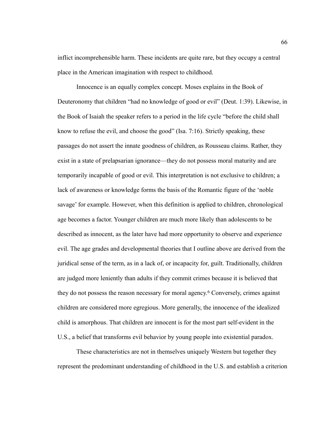inflict incomprehensible harm. These incidents are quite rare, but they occupy a central place in the American imagination with respect to childhood.

Innocence is an equally complex concept. Moses explains in the Book of Deuteronomy that children "had no knowledge of good or evil" (Deut. 1:39). Likewise, in the Book of Isaiah the speaker refers to a period in the life cycle "before the child shall know to refuse the evil, and choose the good" (Isa. 7:16). Strictly speaking, these passages do not assert the innate goodness of children, as Rousseau claims. Rather, they exist in a state of prelapsarian ignorance—they do not possess moral maturity and are temporarily incapable of good or evil. This interpretation is not exclusive to children; a lack of awareness or knowledge forms the basis of the Romantic figure of the 'noble savage' for example. However, when this definition is applied to children, chronological age becomes a factor. Younger children are much more likely than adolescents to be described as innocent, as the later have had more opportunity to observe and experience evil. The age grades and developmental theories that I outline above are derived from the juridical sense of the term, as in a lack of, or incapacity for, guilt. Traditionally, children are judged more leniently than adults if they commit crimes because it is believed that they do not possess the reason necessary for moral agency.<sup>6</sup> Conversely, crimes against children are considered more egregious. More generally, the innocence of the idealized child is amorphous. That children are innocent is for the most part self-evident in the U.S., a belief that transforms evil behavior by young people into existential paradox.

These characteristics are not in themselves uniquely Western but together they represent the predominant understanding of childhood in the U.S. and establish a criterion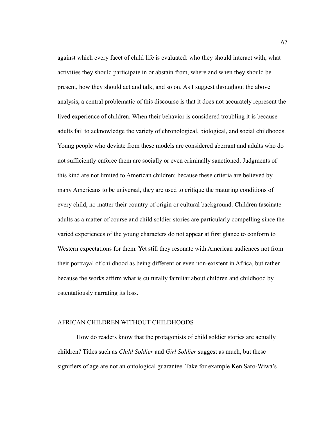against which every facet of child life is evaluated: who they should interact with, what activities they should participate in or abstain from, where and when they should be present, how they should act and talk, and so on. As I suggest throughout the above analysis, a central problematic of this discourse is that it does not accurately represent the lived experience of children. When their behavior is considered troubling it is because adults fail to acknowledge the variety of chronological, biological, and social childhoods. Young people who deviate from these models are considered aberrant and adults who do not sufficiently enforce them are socially or even criminally sanctioned. Judgments of this kind are not limited to American children; because these criteria are believed by many Americans to be universal, they are used to critique the maturing conditions of every child, no matter their country of origin or cultural background. Children fascinate adults as a matter of course and child soldier stories are particularly compelling since the varied experiences of the young characters do not appear at first glance to conform to Western expectations for them. Yet still they resonate with American audiences not from their portrayal of childhood as being different or even non-existent in Africa, but rather because the works affirm what is culturally familiar about children and childhood by ostentatiously narrating its loss.

#### AFRICAN CHILDREN WITHOUT CHILDHOODS

How do readers know that the protagonists of child soldier stories are actually children? Titles such as *Child Soldier* and *Girl Soldier* suggest as much, but these signifiers of age are not an ontological guarantee. Take for example Ken Saro-Wiwa's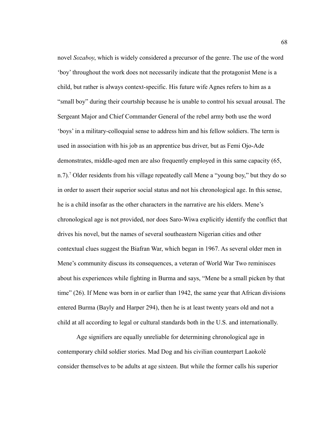novel *Sozaboy*, which is widely considered a precursor of the genre. The use of the word 'boy' throughout the work does not necessarily indicate that the protagonist Mene is a child, but rather is always context-specific. His future wife Agnes refers to him as a "small boy" during their courtship because he is unable to control his sexual arousal. The Sergeant Major and Chief Commander General of the rebel army both use the word 'boys' in a military-colloquial sense to address him and his fellow soldiers. The term is used in association with his job as an apprentice bus driver, but as Femi Ojo-Ade demonstrates, middle-aged men are also frequently employed in this same capacity (65, n.7).<sup>7</sup> Older residents from his village repeatedly call Mene a "young boy," but they do so in order to assert their superior social status and not his chronological age. In this sense, he is a child insofar as the other characters in the narrative are his elders. Mene's chronological age is not provided, nor does Saro-Wiwa explicitly identify the conflict that drives his novel, but the names of several southeastern Nigerian cities and other contextual clues suggest the Biafran War, which began in 1967. As several older men in Mene's community discuss its consequences, a veteran of World War Two reminisces about his experiences while fighting in Burma and says, "Mene be a small picken by that time" (26). If Mene was born in or earlier than 1942, the same year that African divisions entered Burma (Bayly and Harper 294), then he is at least twenty years old and not a child at all according to legal or cultural standards both in the U.S. and internationally.

Age signifiers are equally unreliable for determining chronological age in contemporary child soldier stories. Mad Dog and his civilian counterpart Laokolé consider themselves to be adults at age sixteen. But while the former calls his superior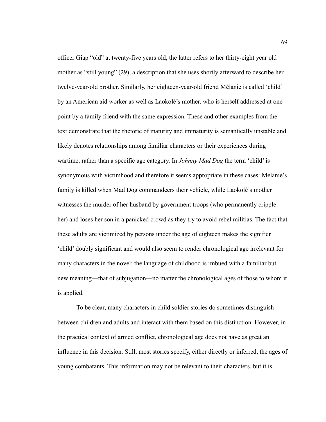officer Giap "old" at twenty-five years old, the latter refers to her thirty-eight year old mother as "still young" (29), a description that she uses shortly afterward to describe her twelve-year-old brother. Similarly, her eighteen-year-old friend Mélanie is called 'child' by an American aid worker as well as Laokolé's mother, who is herself addressed at one point by a family friend with the same expression. These and other examples from the text demonstrate that the rhetoric of maturity and immaturity is semantically unstable and likely denotes relationships among familiar characters or their experiences during wartime, rather than a specific age category. In *Johnny Mad Dog* the term 'child' is synonymous with victimhood and therefore it seems appropriate in these cases: Mélanie's family is killed when Mad Dog commandeers their vehicle, while Laokolé's mother witnesses the murder of her husband by government troops (who permanently cripple her) and loses her son in a panicked crowd as they try to avoid rebel militias. The fact that these adults are victimized by persons under the age of eighteen makes the signifier 'child' doubly significant and would also seem to render chronological age irrelevant for many characters in the novel: the language of childhood is imbued with a familiar but new meaning—that of subjugation—no matter the chronological ages of those to whom it is applied.

To be clear, many characters in child soldier stories do sometimes distinguish between children and adults and interact with them based on this distinction. However, in the practical context of armed conflict, chronological age does not have as great an influence in this decision. Still, most stories specify, either directly or inferred, the ages of young combatants. This information may not be relevant to their characters, but it is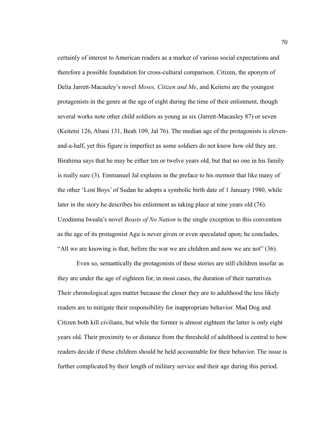certainly of interest to American readers as a marker of various social expectations and therefore a possible foundation for cross-cultural comparison. Citizen, the eponym of Delia Jarrett-Macauley's novel *Moses, Citizen and Me*, and Keitetsi are the youngest protagonists in the genre at the age of eight during the time of their enlistment, though several works note other child soldiers as young as six (Jarrett-Macauley 87) or seven (Keitetsi 126, Abani 131, Beah 109, Jal 76). The median age of the protagonists is elevenand-a-half, yet this figure is imperfect as some soldiers do not know how old they are. Birahima says that he may be either ten or twelve years old, but that no one in his family is really sure (3). Emmanuel Jal explains in the preface to his memoir that like many of the other 'Lost Boys' of Sudan he adopts a symbolic birth date of 1 January 1980, while later in the story he describes his enlistment as taking place at nine years old (76). Uzodinma Iweala's novel *Beasts of No Nation* is the single exception to this convention as the age of its protagonist Agu is never given or even speculated upon; he concludes, "All we are knowing is that, before the war we are children and now we are not" (36).

Even so, semantically the protagonists of these stories are still children insofar as they are under the age of eighteen for, in most cases, the duration of their narratives. Their chronological ages matter because the closer they are to adulthood the less likely readers are to mitigate their responsibility for inappropriate behavior. Mad Dog and Citizen both kill civilians, but while the former is almost eighteen the latter is only eight years old. Their proximity to or distance from the threshold of adulthood is central to how readers decide if these children should be held accountable for their behavior. The issue is further complicated by their length of military service and their age during this period.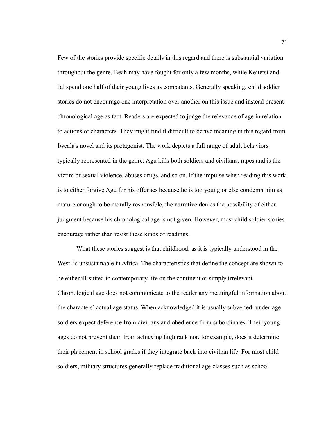Few of the stories provide specific details in this regard and there is substantial variation throughout the genre. Beah may have fought for only a few months, while Keitetsi and Jal spend one half of their young lives as combatants. Generally speaking, child soldier stories do not encourage one interpretation over another on this issue and instead present chronological age as fact. Readers are expected to judge the relevance of age in relation to actions of characters. They might find it difficult to derive meaning in this regard from Iweala's novel and its protagonist. The work depicts a full range of adult behaviors typically represented in the genre: Agu kills both soldiers and civilians, rapes and is the victim of sexual violence, abuses drugs, and so on. If the impulse when reading this work is to either forgive Agu for his offenses because he is too young or else condemn him as mature enough to be morally responsible, the narrative denies the possibility of either judgment because his chronological age is not given. However, most child soldier stories encourage rather than resist these kinds of readings.

What these stories suggest is that childhood, as it is typically understood in the West, is unsustainable in Africa. The characteristics that define the concept are shown to be either ill-suited to contemporary life on the continent or simply irrelevant. Chronological age does not communicate to the reader any meaningful information about the characters' actual age status. When acknowledged it is usually subverted: under-age soldiers expect deference from civilians and obedience from subordinates. Their young ages do not prevent them from achieving high rank nor, for example, does it determine their placement in school grades if they integrate back into civilian life. For most child soldiers, military structures generally replace traditional age classes such as school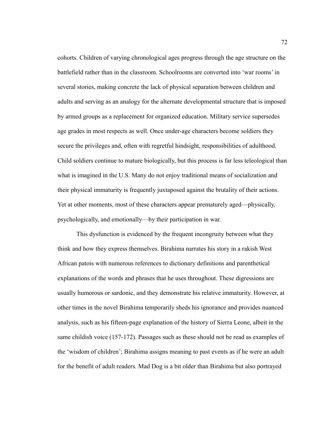cohorts. Children of varying chronological ages progress through the age structure on the battlefield rather than in the classroom. Schoolrooms are converted into 'war rooms' in several stories, making concrete the lack of physical separation between children and adults and serving as an analogy for the alternate developmental structure that is imposed by armed groups as a replacement for organized education. Military service supersedes age grades in most respects as well. Once under-age characters become soldiers they secure the privileges and, often with regretful hindsight, responsibilities of adulthood. Child soldiers continue to mature biologically, but this process is far less teleological than what is imagined in the U.S. Many do not enjoy traditional means of socialization and their physical immaturity is frequently juxtaposed against the brutality of their actions. Yet at other moments, most of these characters appear prematurely aged—physically, psychologically, and emotionally—by their participation in war.

This dysfunction is evidenced by the frequent incongruity between what they think and how they express themselves. Birahima narrates his story in a rakish West African patois with numerous references to dictionary definitions and parenthetical explanations of the words and phrases that he uses throughout. These digressions are usually humorous or sardonic, and they demonstrate his relative immaturity. However, at other times in the novel Birahima temporarily sheds his ignorance and provides nuanced analysis, such as his fifteen-page explanation of the history of Sierra Leone, albeit in the same childish voice (157-172). Passages such as these should not be read as examples of the 'wisdom of children'; Birahima assigns meaning to past events as if he were an adult for the benefit of adult readers. Mad Dog is a bit older than Birahima but also portrayed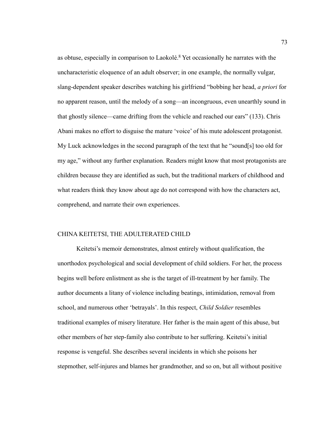as obtuse, especially in comparison to Laokolé.<sup>8</sup> Yet occasionally he narrates with the uncharacteristic eloquence of an adult observer; in one example, the normally vulgar, slang-dependent speaker describes watching his girlfriend "bobbing her head, *a priori* for no apparent reason, until the melody of a song—an incongruous, even unearthly sound in that ghostly silence—came drifting from the vehicle and reached our ears" (133). Chris Abani makes no effort to disguise the mature 'voice' of his mute adolescent protagonist. My Luck acknowledges in the second paragraph of the text that he "sound[s] too old for my age," without any further explanation. Readers might know that most protagonists are children because they are identified as such, but the traditional markers of childhood and what readers think they know about age do not correspond with how the characters act, comprehend, and narrate their own experiences.

## CHINA KEITETSI, THE ADULTERATED CHILD

Keitetsi's memoir demonstrates, almost entirely without qualification, the unorthodox psychological and social development of child soldiers. For her, the process begins well before enlistment as she is the target of ill-treatment by her family. The author documents a litany of violence including beatings, intimidation, removal from school, and numerous other 'betrayals'. In this respect, *Child Soldier* resembles traditional examples of misery literature. Her father is the main agent of this abuse, but other members of her step-family also contribute to her suffering. Keitetsi's initial response is vengeful. She describes several incidents in which she poisons her stepmother, self-injures and blames her grandmother, and so on, but all without positive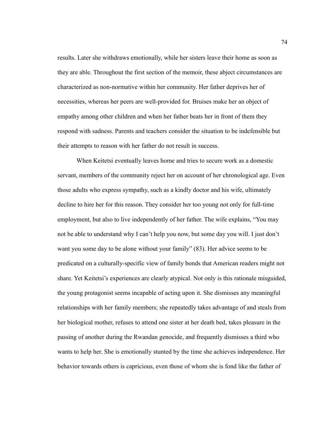results. Later she withdraws emotionally, while her sisters leave their home as soon as they are able. Throughout the first section of the memoir, these abject circumstances are characterized as non-normative within her community. Her father deprives her of necessities, whereas her peers are well-provided for. Bruises make her an object of empathy among other children and when her father beats her in front of them they respond with sadness. Parents and teachers consider the situation to be indefensible but their attempts to reason with her father do not result in success.

When Keitetsi eventually leaves home and tries to secure work as a domestic servant, members of the community reject her on account of her chronological age. Even those adults who express sympathy, such as a kindly doctor and his wife, ultimately decline to hire her for this reason. They consider her too young not only for full-time employment, but also to live independently of her father. The wife explains, "You may not be able to understand why I can't help you now, but some day you will. I just don't want you some day to be alone without your family" (83). Her advice seems to be predicated on a culturally-specific view of family bonds that American readers might not share. Yet Keitetsi's experiences are clearly atypical. Not only is this rationale misguided, the young protagonist seems incapable of acting upon it. She dismisses any meaningful relationships with her family members; she repeatedly takes advantage of and steals from her biological mother, refuses to attend one sister at her death bed, takes pleasure in the passing of another during the Rwandan genocide, and frequently dismisses a third who wants to help her. She is emotionally stunted by the time she achieves independence. Her behavior towards others is capricious, even those of whom she is fond like the father of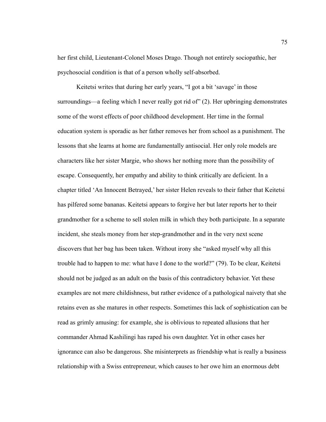her first child, Lieutenant-Colonel Moses Drago. Though not entirely sociopathic, her psychosocial condition is that of a person wholly self-absorbed.

Keitetsi writes that during her early years, "I got a bit 'savage' in those surroundings—a feeling which I never really got rid of" (2). Her upbringing demonstrates some of the worst effects of poor childhood development. Her time in the formal education system is sporadic as her father removes her from school as a punishment. The lessons that she learns at home are fundamentally antisocial. Her only role models are characters like her sister Margie, who shows her nothing more than the possibility of escape. Consequently, her empathy and ability to think critically are deficient. In a chapter titled 'An Innocent Betrayed,' her sister Helen reveals to their father that Keitetsi has pilfered some bananas. Keitetsi appears to forgive her but later reports her to their grandmother for a scheme to sell stolen milk in which they both participate. In a separate incident, she steals money from her step-grandmother and in the very next scene discovers that her bag has been taken. Without irony she "asked myself why all this trouble had to happen to me: what have I done to the world?" (79). To be clear, Keitetsi should not be judged as an adult on the basis of this contradictory behavior. Yet these examples are not mere childishness, but rather evidence of a pathological naivety that she retains even as she matures in other respects. Sometimes this lack of sophistication can be read as grimly amusing: for example, she is oblivious to repeated allusions that her commander Ahmad Kashilingi has raped his own daughter. Yet in other cases her ignorance can also be dangerous. She misinterprets as friendship what is really a business relationship with a Swiss entrepreneur, which causes to her owe him an enormous debt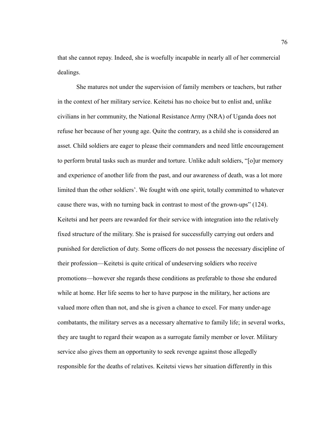that she cannot repay. Indeed, she is woefully incapable in nearly all of her commercial dealings.

She matures not under the supervision of family members or teachers, but rather in the context of her military service. Keitetsi has no choice but to enlist and, unlike civilians in her community, the National Resistance Army (NRA) of Uganda does not refuse her because of her young age. Quite the contrary, as a child she is considered an asset. Child soldiers are eager to please their commanders and need little encouragement to perform brutal tasks such as murder and torture. Unlike adult soldiers, "[o]ur memory and experience of another life from the past, and our awareness of death, was a lot more limited than the other soldiers'. We fought with one spirit, totally committed to whatever cause there was, with no turning back in contrast to most of the grown-ups" (124). Keitetsi and her peers are rewarded for their service with integration into the relatively fixed structure of the military. She is praised for successfully carrying out orders and punished for dereliction of duty. Some officers do not possess the necessary discipline of their profession—Keitetsi is quite critical of undeserving soldiers who receive promotions—however she regards these conditions as preferable to those she endured while at home. Her life seems to her to have purpose in the military, her actions are valued more often than not, and she is given a chance to excel. For many under-age combatants, the military serves as a necessary alternative to family life; in several works, they are taught to regard their weapon as a surrogate family member or lover. Military service also gives them an opportunity to seek revenge against those allegedly responsible for the deaths of relatives. Keitetsi views her situation differently in this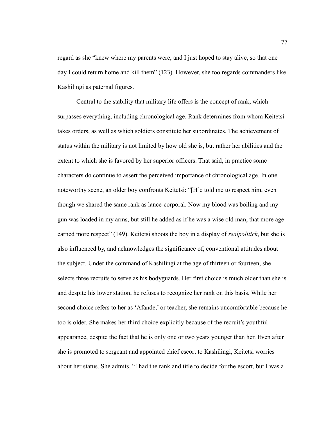regard as she "knew where my parents were, and I just hoped to stay alive, so that one day I could return home and kill them" (123). However, she too regards commanders like Kashilingi as paternal figures.

Central to the stability that military life offers is the concept of rank, which surpasses everything, including chronological age. Rank determines from whom Keitetsi takes orders, as well as which soldiers constitute her subordinates. The achievement of status within the military is not limited by how old she is, but rather her abilities and the extent to which she is favored by her superior officers. That said, in practice some characters do continue to assert the perceived importance of chronological age. In one noteworthy scene, an older boy confronts Keitetsi: "[H]e told me to respect him, even though we shared the same rank as lance-corporal. Now my blood was boiling and my gun was loaded in my arms, but still he added as if he was a wise old man, that more age earned more respect" (149). Keitetsi shoots the boy in a display of *realpolitick*, but she is also influenced by, and acknowledges the significance of, conventional attitudes about the subject. Under the command of Kashilingi at the age of thirteen or fourteen, she selects three recruits to serve as his bodyguards. Her first choice is much older than she is and despite his lower station, he refuses to recognize her rank on this basis. While her second choice refers to her as 'Afande,' or teacher, she remains uncomfortable because he too is older. She makes her third choice explicitly because of the recruit's youthful appearance, despite the fact that he is only one or two years younger than her. Even after she is promoted to sergeant and appointed chief escort to Kashilingi, Keitetsi worries about her status. She admits, "I had the rank and title to decide for the escort, but I was a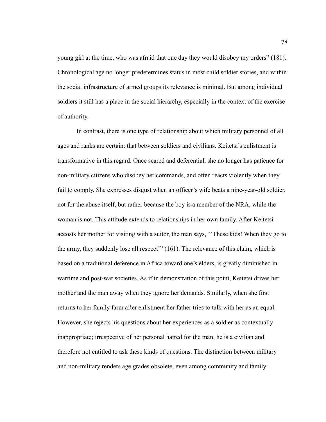young girl at the time, who was afraid that one day they would disobey my orders" (181). Chronological age no longer predetermines status in most child soldier stories, and within the social infrastructure of armed groups its relevance is minimal. But among individual soldiers it still has a place in the social hierarchy, especially in the context of the exercise of authority.

In contrast, there is one type of relationship about which military personnel of all ages and ranks are certain: that between soldiers and civilians. Keitetsi's enlistment is transformative in this regard. Once scared and deferential, she no longer has patience for non-military citizens who disobey her commands, and often reacts violently when they fail to comply. She expresses disgust when an officer's wife beats a nine-year-old soldier, not for the abuse itself, but rather because the boy is a member of the NRA, while the woman is not. This attitude extends to relationships in her own family. After Keitetsi accosts her mother for visiting with a suitor, the man says, "'These kids! When they go to the army, they suddenly lose all respect'" (161). The relevance of this claim, which is based on a traditional deference in Africa toward one's elders, is greatly diminished in wartime and post-war societies. As if in demonstration of this point, Keitetsi drives her mother and the man away when they ignore her demands. Similarly, when she first returns to her family farm after enlistment her father tries to talk with her as an equal. However, she rejects his questions about her experiences as a soldier as contextually inappropriate; irrespective of her personal hatred for the man, he is a civilian and therefore not entitled to ask these kinds of questions. The distinction between military and non-military renders age grades obsolete, even among community and family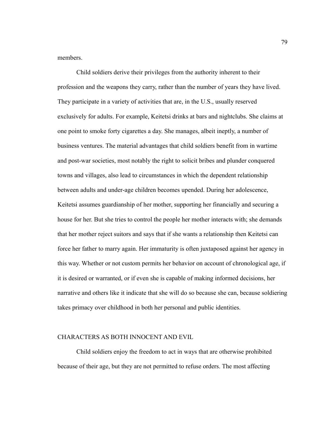members.

Child soldiers derive their privileges from the authority inherent to their profession and the weapons they carry, rather than the number of years they have lived. They participate in a variety of activities that are, in the U.S., usually reserved exclusively for adults. For example, Keitetsi drinks at bars and nightclubs. She claims at one point to smoke forty cigarettes a day. She manages, albeit ineptly, a number of business ventures. The material advantages that child soldiers benefit from in wartime and post-war societies, most notably the right to solicit bribes and plunder conquered towns and villages, also lead to circumstances in which the dependent relationship between adults and under-age children becomes upended. During her adolescence, Keitetsi assumes guardianship of her mother, supporting her financially and securing a house for her. But she tries to control the people her mother interacts with; she demands that her mother reject suitors and says that if she wants a relationship then Keitetsi can force her father to marry again. Her immaturity is often juxtaposed against her agency in this way. Whether or not custom permits her behavior on account of chronological age, if it is desired or warranted, or if even she is capable of making informed decisions, her narrative and others like it indicate that she will do so because she can, because soldiering takes primacy over childhood in both her personal and public identities.

# CHARACTERS AS BOTH INNOCENT AND EVIL

Child soldiers enjoy the freedom to act in ways that are otherwise prohibited because of their age, but they are not permitted to refuse orders. The most affecting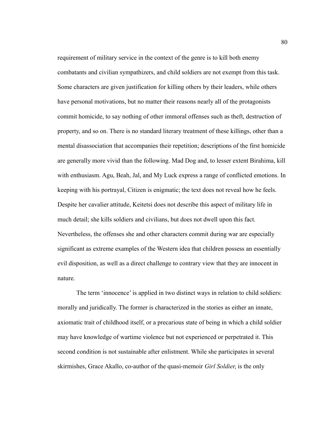requirement of military service in the context of the genre is to kill both enemy combatants and civilian sympathizers, and child soldiers are not exempt from this task. Some characters are given justification for killing others by their leaders, while others have personal motivations, but no matter their reasons nearly all of the protagonists commit homicide, to say nothing of other immoral offenses such as theft, destruction of property, and so on. There is no standard literary treatment of these killings, other than a mental disassociation that accompanies their repetition; descriptions of the first homicide are generally more vivid than the following. Mad Dog and, to lesser extent Birahima, kill with enthusiasm. Agu, Beah, Jal, and My Luck express a range of conflicted emotions. In keeping with his portrayal, Citizen is enigmatic; the text does not reveal how he feels. Despite her cavalier attitude, Keitetsi does not describe this aspect of military life in much detail; she kills soldiers and civilians, but does not dwell upon this fact. Nevertheless, the offenses she and other characters commit during war are especially significant as extreme examples of the Western idea that children possess an essentially evil disposition, as well as a direct challenge to contrary view that they are innocent in nature.

The term 'innocence' is applied in two distinct ways in relation to child soldiers: morally and juridically. The former is characterized in the stories as either an innate, axiomatic trait of childhood itself, or a precarious state of being in which a child soldier may have knowledge of wartime violence but not experienced or perpetrated it. This second condition is not sustainable after enlistment. While she participates in several skirmishes, Grace Akallo, co-author of the quasi-memoir *Girl Soldier*, is the only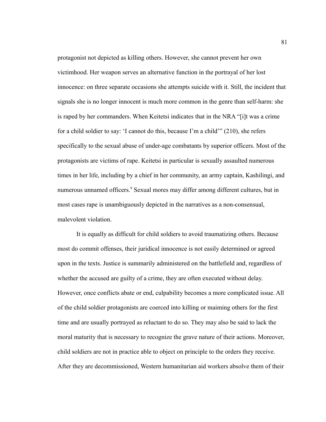protagonist not depicted as killing others. However, she cannot prevent her own victimhood. Her weapon serves an alternative function in the portrayal of her lost innocence: on three separate occasions she attempts suicide with it. Still, the incident that signals she is no longer innocent is much more common in the genre than self-harm: she is raped by her commanders. When Keitetsi indicates that in the NRA "[i]t was a crime for a child soldier to say: 'I cannot do this, because I'm a child'" (210), she refers specifically to the sexual abuse of under-age combatants by superior officers. Most of the protagonists are victims of rape. Keitetsi in particular is sexually assaulted numerous times in her life, including by a chief in her community, an army captain, Kashilingi, and numerous unnamed officers.<sup>9</sup> Sexual mores may differ among different cultures, but in most cases rape is unambiguously depicted in the narratives as a non-consensual, malevolent violation.

It is equally as difficult for child soldiers to avoid traumatizing others. Because most do commit offenses, their juridical innocence is not easily determined or agreed upon in the texts. Justice is summarily administered on the battlefield and, regardless of whether the accused are guilty of a crime, they are often executed without delay. However, once conflicts abate or end, culpability becomes a more complicated issue. All of the child soldier protagonists are coerced into killing or maiming others for the first time and are usually portrayed as reluctant to do so. They may also be said to lack the moral maturity that is necessary to recognize the grave nature of their actions. Moreover, child soldiers are not in practice able to object on principle to the orders they receive. After they are decommissioned, Western humanitarian aid workers absolve them of their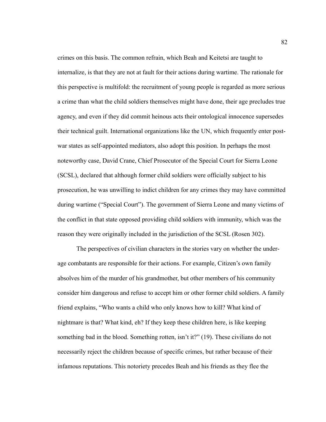crimes on this basis. The common refrain, which Beah and Keitetsi are taught to internalize, is that they are not at fault for their actions during wartime. The rationale for this perspective is multifold: the recruitment of young people is regarded as more serious a crime than what the child soldiers themselves might have done, their age precludes true agency, and even if they did commit heinous acts their ontological innocence supersedes their technical guilt. International organizations like the UN, which frequently enter postwar states as self-appointed mediators, also adopt this position. In perhaps the most noteworthy case, David Crane, Chief Prosecutor of the Special Court for Sierra Leone (SCSL), declared that although former child soldiers were officially subject to his prosecution, he was unwilling to indict children for any crimes they may have committed during wartime ("Special Court"). The government of Sierra Leone and many victims of the conflict in that state opposed providing child soldiers with immunity, which was the reason they were originally included in the jurisdiction of the SCSL (Rosen 302).

The perspectives of civilian characters in the stories vary on whether the underage combatants are responsible for their actions. For example, Citizen's own family absolves him of the murder of his grandmother, but other members of his community consider him dangerous and refuse to accept him or other former child soldiers. A family friend explains, "Who wants a child who only knows how to kill? What kind of nightmare is that? What kind, eh? If they keep these children here, is like keeping something bad in the blood. Something rotten, isn't it?" (19). These civilians do not necessarily reject the children because of specific crimes, but rather because of their infamous reputations. This notoriety precedes Beah and his friends as they flee the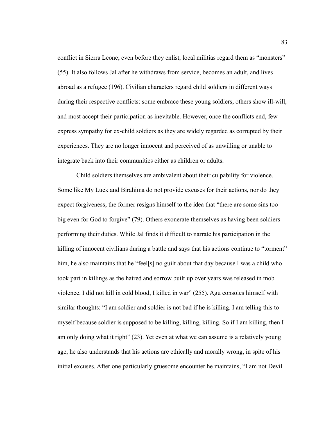conflict in Sierra Leone; even before they enlist, local militias regard them as "monsters" (55). It also follows Jal after he withdraws from service, becomes an adult, and lives abroad as a refugee (196). Civilian characters regard child soldiers in different ways during their respective conflicts: some embrace these young soldiers, others show ill-will, and most accept their participation as inevitable. However, once the conflicts end, few express sympathy for ex-child soldiers as they are widely regarded as corrupted by their experiences. They are no longer innocent and perceived of as unwilling or unable to integrate back into their communities either as children or adults.

Child soldiers themselves are ambivalent about their culpability for violence. Some like My Luck and Birahima do not provide excuses for their actions, nor do they expect forgiveness; the former resigns himself to the idea that "there are some sins too big even for God to forgive" (79). Others exonerate themselves as having been soldiers performing their duties. While Jal finds it difficult to narrate his participation in the killing of innocent civilians during a battle and says that his actions continue to "torment" him, he also maintains that he "feel[s] no guilt about that day because I was a child who took part in killings as the hatred and sorrow built up over years was released in mob violence. I did not kill in cold blood, I killed in war" (255). Agu consoles himself with similar thoughts: "I am soldier and soldier is not bad if he is killing. I am telling this to myself because soldier is supposed to be killing, killing, killing. So if I am killing, then I am only doing what it right" (23). Yet even at what we can assume is a relatively young age, he also understands that his actions are ethically and morally wrong, in spite of his initial excuses. After one particularly gruesome encounter he maintains, "I am not Devil.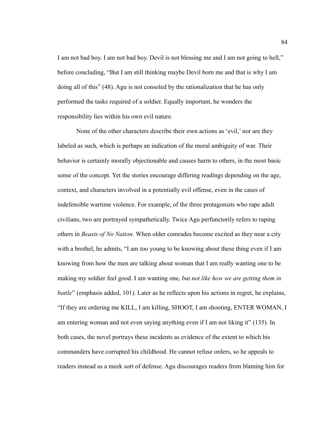I am not bad boy. I am not bad boy. Devil is not blessing me and I am not going to hell," before concluding, "But I am still thinking maybe Devil born me and that is why I am doing all of this" (48). Agu is not consoled by the rationalization that he has only performed the tasks required of a soldier. Equally important, he wonders the responsibility lies within his own evil nature.

None of the other characters describe their own actions as 'evil,' nor are they labeled as such, which is perhaps an indication of the moral ambiguity of war. Their behavior is certainly morally objectionable and causes harm to others, in the most basic sense of the concept. Yet the stories encourage differing readings depending on the age, context, and characters involved in a potentially evil offense, even in the cases of indefensible wartime violence. For example, of the three protagonists who rape adult civilians, two are portrayed sympathetically. Twice Agu perfunctorily refers to raping others in *Beasts of No Nation*. When older comrades become excited as they near a city with a brothel, he admits, "I am too young to be knowing about these thing even if I am knowing from how the men are talking about woman that I am really wanting one to be making my soldier feel good. I am wanting one, *but not like how we are getting them in battle*" (emphasis added, 101). Later as he reflects upon his actions in regret, he explains, "If they are ordering me KILL, I am killing, SHOOT, I am shooting, ENTER WOMAN, I am entering woman and not even saying anything even if I am not liking it" (135). In both cases, the novel portrays these incidents as evidence of the extent to which his commanders have corrupted his childhood. He cannot refuse orders, so he appeals to readers instead as a meek sort of defense. Agu discourages readers from blaming him for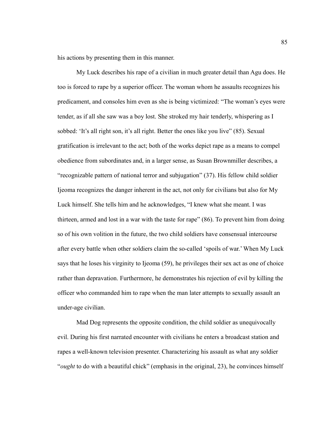his actions by presenting them in this manner.

My Luck describes his rape of a civilian in much greater detail than Agu does. He too is forced to rape by a superior officer. The woman whom he assaults recognizes his predicament, and consoles him even as she is being victimized: "The woman's eyes were tender, as if all she saw was a boy lost. She stroked my hair tenderly, whispering as I sobbed: 'It's all right son, it's all right. Better the ones like you live" (85). Sexual gratification is irrelevant to the act; both of the works depict rape as a means to compel obedience from subordinates and, in a larger sense, as Susan Brownmiller describes, a "recognizable pattern of national terror and subjugation" (37). His fellow child soldier Ijeoma recognizes the danger inherent in the act, not only for civilians but also for My Luck himself. She tells him and he acknowledges, "I knew what she meant. I was thirteen, armed and lost in a war with the taste for rape" (86). To prevent him from doing so of his own volition in the future, the two child soldiers have consensual intercourse after every battle when other soldiers claim the so-called 'spoils of war.' When My Luck says that he loses his virginity to Ijeoma (59), he privileges their sex act as one of choice rather than depravation. Furthermore, he demonstrates his rejection of evil by killing the officer who commanded him to rape when the man later attempts to sexually assault an under-age civilian.

Mad Dog represents the opposite condition, the child soldier as unequivocally evil. During his first narrated encounter with civilians he enters a broadcast station and rapes a well-known television presenter. Characterizing his assault as what any soldier "*ought* to do with a beautiful chick" (emphasis in the original, 23), he convinces himself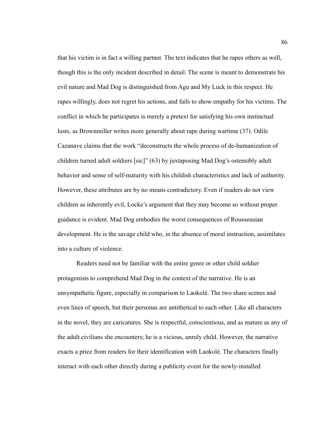that his victim is in fact a willing partner. The text indicates that he rapes others as well, though this is the only incident described in detail. The scene is meant to demonstrate his evil nature and Mad Dog is distinguished from Agu and My Luck in this respect. He rapes willingly, does not regret his actions, and fails to show empathy for his victims. The conflict in which he participates is merely a pretext for satisfying his own instinctual lusts, as Brownmiller writes more generally about rape during wartime (37). Odile Cazanave claims that the work "deconstructs the whole process of de-humanization of children turned adult soldiers [sic]" (63) by juxtaposing Mad Dog's ostensibly adult behavior and sense of self-maturity with his childish characteristics and lack of authority. However, these attributes are by no means contradictory. Even if readers do not view children as inherently evil, Locke's argument that they may become so without proper guidance is evident. Mad Dog embodies the worst consequences of Rousseauian development. He is the savage child who, in the absence of moral instruction, assimilates into a culture of violence.

Readers need not be familiar with the entire genre or other child soldier protagonists to comprehend Mad Dog in the context of the narrative. He is an unsympathetic figure, especially in comparison to Laokolé. The two share scenes and even lines of speech, but their personas are antithetical to each other. Like all characters in the novel, they are caricatures. She is respectful, conscientious, and as mature as any of the adult civilians she encounters; he is a vicious, unruly child. However, the narrative exacts a price from readers for their identification with Laokolé. The characters finally interact with each other directly during a publicity event for the newly-installed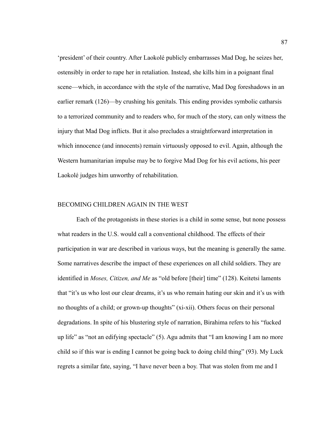'president' of their country. After Laokolé publicly embarrasses Mad Dog, he seizes her, ostensibly in order to rape her in retaliation. Instead, she kills him in a poignant final scene—which, in accordance with the style of the narrative, Mad Dog foreshadows in an earlier remark (126)—by crushing his genitals. This ending provides symbolic catharsis to a terrorized community and to readers who, for much of the story, can only witness the injury that Mad Dog inflicts. But it also precludes a straightforward interpretation in which innocence (and innocents) remain virtuously opposed to evil. Again, although the Western humanitarian impulse may be to forgive Mad Dog for his evil actions, his peer Laokolé judges him unworthy of rehabilitation.

## BECOMING CHILDREN AGAIN IN THE WEST

Each of the protagonists in these stories is a child in some sense, but none possess what readers in the U.S. would call a conventional childhood. The effects of their participation in war are described in various ways, but the meaning is generally the same. Some narratives describe the impact of these experiences on all child soldiers. They are identified in *Moses, Citizen, and Me* as "old before [their] time" (128). Keitetsi laments that "it's us who lost our clear dreams, it's us who remain hating our skin and it's us with no thoughts of a child; or grown-up thoughts" (xi-xii). Others focus on their personal degradations. In spite of his blustering style of narration, Birahima refers to his "fucked up life" as "not an edifying spectacle" (5). Agu admits that "I am knowing I am no more child so if this war is ending I cannot be going back to doing child thing" (93). My Luck regrets a similar fate, saying, "I have never been a boy. That was stolen from me and I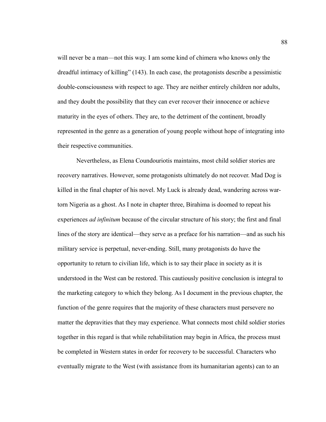will never be a man—not this way. I am some kind of chimera who knows only the dreadful intimacy of killing" (143). In each case, the protagonists describe a pessimistic double-consciousness with respect to age. They are neither entirely children nor adults, and they doubt the possibility that they can ever recover their innocence or achieve maturity in the eyes of others. They are, to the detriment of the continent, broadly represented in the genre as a generation of young people without hope of integrating into their respective communities.

Nevertheless, as Elena Coundouriotis maintains, most child soldier stories are recovery narratives. However, some protagonists ultimately do not recover. Mad Dog is killed in the final chapter of his novel. My Luck is already dead, wandering across wartorn Nigeria as a ghost. As I note in chapter three, Birahima is doomed to repeat his experiences *ad infinitum* because of the circular structure of his story; the first and final lines of the story are identical—they serve as a preface for his narration—and as such his military service is perpetual, never-ending. Still, many protagonists do have the opportunity to return to civilian life, which is to say their place in society as it is understood in the West can be restored. This cautiously positive conclusion is integral to the marketing category to which they belong. As I document in the previous chapter, the function of the genre requires that the majority of these characters must persevere no matter the depravities that they may experience. What connects most child soldier stories together in this regard is that while rehabilitation may begin in Africa, the process must be completed in Western states in order for recovery to be successful. Characters who eventually migrate to the West (with assistance from its humanitarian agents) can to an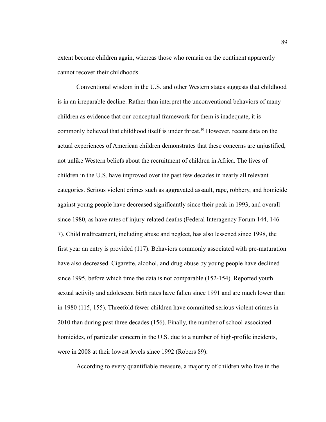extent become children again, whereas those who remain on the continent apparently cannot recover their childhoods.

Conventional wisdom in the U.S. and other Western states suggests that childhood is in an irreparable decline. Rather than interpret the unconventional behaviors of many children as evidence that our conceptual framework for them is inadequate, it is commonly believed that childhood itself is under threat.<sup>10</sup> However, recent data on the actual experiences of American children demonstrates that these concerns are unjustified, not unlike Western beliefs about the recruitment of children in Africa. The lives of children in the U.S. have improved over the past few decades in nearly all relevant categories. Serious violent crimes such as aggravated assault, rape, robbery, and homicide against young people have decreased significantly since their peak in 1993, and overall since 1980, as have rates of injury-related deaths (Federal Interagency Forum 144, 146- 7). Child maltreatment, including abuse and neglect, has also lessened since 1998, the first year an entry is provided (117). Behaviors commonly associated with pre-maturation have also decreased. Cigarette, alcohol, and drug abuse by young people have declined since 1995, before which time the data is not comparable (152-154). Reported youth sexual activity and adolescent birth rates have fallen since 1991 and are much lower than in 1980 (115, 155). Threefold fewer children have committed serious violent crimes in 2010 than during past three decades (156). Finally, the number of school-associated homicides, of particular concern in the U.S. due to a number of high-profile incidents, were in 2008 at their lowest levels since 1992 (Robers 89).

According to every quantifiable measure, a majority of children who live in the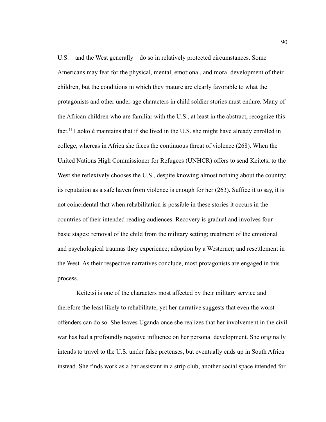U.S.—and the West generally—do so in relatively protected circumstances. Some Americans may fear for the physical, mental, emotional, and moral development of their children, but the conditions in which they mature are clearly favorable to what the protagonists and other under-age characters in child soldier stories must endure. Many of the African children who are familiar with the U.S., at least in the abstract, recognize this fact.<sup>11</sup> Laokolé maintains that if she lived in the U.S. she might have already enrolled in college, whereas in Africa she faces the continuous threat of violence (268). When the United Nations High Commissioner for Refugees (UNHCR) offers to send Keitetsi to the West she reflexively chooses the U.S., despite knowing almost nothing about the country; its reputation as a safe haven from violence is enough for her (263). Suffice it to say, it is not coincidental that when rehabilitation is possible in these stories it occurs in the countries of their intended reading audiences. Recovery is gradual and involves four basic stages: removal of the child from the military setting; treatment of the emotional and psychological traumas they experience; adoption by a Westerner; and resettlement in the West. As their respective narratives conclude, most protagonists are engaged in this process.

Keitetsi is one of the characters most affected by their military service and therefore the least likely to rehabilitate, yet her narrative suggests that even the worst offenders can do so. She leaves Uganda once she realizes that her involvement in the civil war has had a profoundly negative influence on her personal development. She originally intends to travel to the U.S. under false pretenses, but eventually ends up in South Africa instead. She finds work as a bar assistant in a strip club, another social space intended for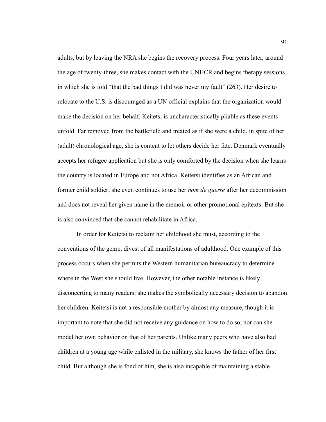adults, but by leaving the NRA she begins the recovery process. Four years later, around the age of twenty-three, she makes contact with the UNHCR and begins therapy sessions, in which she is told "that the bad things I did was never my fault" (263). Her desire to relocate to the U.S. is discouraged as a UN official explains that the organization would make the decision on her behalf. Keitetsi is uncharacteristically pliable as these events unfold. Far removed from the battlefield and treated as if she were a child, in spite of her (adult) chronological age, she is content to let others decide her fate. Denmark eventually accepts her refugee application but she is only comforted by the decision when she learns the country is located in Europe and not Africa. Keitetsi identifies as an African and former child soldier; she even continues to use her *nom de guerre* after her decommission and does not reveal her given name in the memoir or other promotional epitexts. But she is also convinced that she cannot rehabilitate in Africa.

In order for Keitetsi to reclaim her childhood she must, according to the conventions of the genre, divest of all manifestations of adulthood. One example of this process occurs when she permits the Western humanitarian bureaucracy to determine where in the West she should live. However, the other notable instance is likely disconcerting to many readers: she makes the symbolically necessary decision to abandon her children. Keitetsi is not a responsible mother by almost any measure, though it is important to note that she did not receive any guidance on how to do so, nor can she model her own behavior on that of her parents. Unlike many peers who have also had children at a young age while enlisted in the military, she knows the father of her first child. But although she is fond of him, she is also incapable of maintaining a stable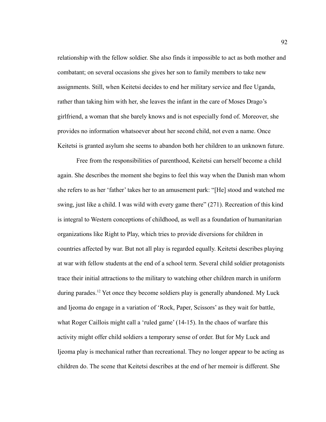relationship with the fellow soldier. She also finds it impossible to act as both mother and combatant; on several occasions she gives her son to family members to take new assignments. Still, when Keitetsi decides to end her military service and flee Uganda, rather than taking him with her, she leaves the infant in the care of Moses Drago's girlfriend, a woman that she barely knows and is not especially fond of. Moreover, she provides no information whatsoever about her second child, not even a name. Once Keitetsi is granted asylum she seems to abandon both her children to an unknown future.

Free from the responsibilities of parenthood, Keitetsi can herself become a child again. She describes the moment she begins to feel this way when the Danish man whom she refers to as her 'father' takes her to an amusement park: "[He] stood and watched me swing, just like a child. I was wild with every game there" (271). Recreation of this kind is integral to Western conceptions of childhood, as well as a foundation of humanitarian organizations like Right to Play, which tries to provide diversions for children in countries affected by war. But not all play is regarded equally. Keitetsi describes playing at war with fellow students at the end of a school term. Several child soldier protagonists trace their initial attractions to the military to watching other children march in uniform during parades.<sup>12</sup> Yet once they become soldiers play is generally abandoned. My Luck and Ijeoma do engage in a variation of 'Rock, Paper, Scissors' as they wait for battle, what Roger Caillois might call a 'ruled game' (14-15). In the chaos of warfare this activity might offer child soldiers a temporary sense of order. But for My Luck and Ijeoma play is mechanical rather than recreational. They no longer appear to be acting as children do. The scene that Keitetsi describes at the end of her memoir is different. She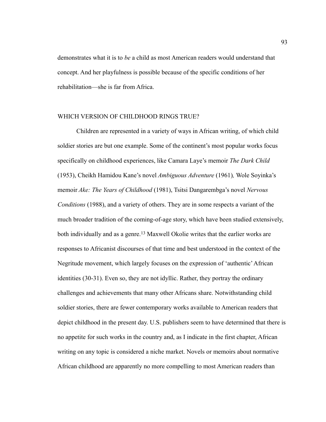demonstrates what it is to *be* a child as most American readers would understand that concept. And her playfulness is possible because of the specific conditions of her rehabilitation—she is far from Africa.

## WHICH VERSION OF CHILDHOOD RINGS TRUE?

Children are represented in a variety of ways in African writing, of which child soldier stories are but one example. Some of the continent's most popular works focus specifically on childhood experiences, like Camara Laye's memoir *The Dark Child* (1953), Cheikh Hamidou Kane's novel *Ambiguous Adventure* (1961)*,* Wole Soyinka's memoir *Ake: The Years of Childhood* (1981), Tsitsi Dangarembga's novel *Nervous Conditions* (1988), and a variety of others. They are in some respects a variant of the much broader tradition of the coming-of-age story, which have been studied extensively, both individually and as a genre.<sup>13</sup> Maxwell Okolie writes that the earlier works are responses to Africanist discourses of that time and best understood in the context of the Negritude movement, which largely focuses on the expression of 'authentic' African identities (30-31). Even so, they are not idyllic. Rather, they portray the ordinary challenges and achievements that many other Africans share. Notwithstanding child soldier stories, there are fewer contemporary works available to American readers that depict childhood in the present day. U.S. publishers seem to have determined that there is no appetite for such works in the country and, as I indicate in the first chapter, African writing on any topic is considered a niche market. Novels or memoirs about normative African childhood are apparently no more compelling to most American readers than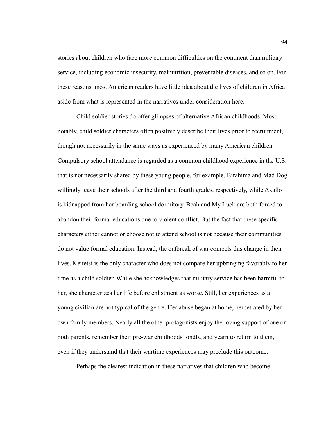stories about children who face more common difficulties on the continent than military service, including economic insecurity, malnutrition, preventable diseases, and so on. For these reasons, most American readers have little idea about the lives of children in Africa aside from what is represented in the narratives under consideration here.

Child soldier stories do offer glimpses of alternative African childhoods. Most notably, child soldier characters often positively describe their lives prior to recruitment, though not necessarily in the same ways as experienced by many American children. Compulsory school attendance is regarded as a common childhood experience in the U.S. that is not necessarily shared by these young people, for example. Birahima and Mad Dog willingly leave their schools after the third and fourth grades, respectively, while Akallo is kidnapped from her boarding school dormitory. Beah and My Luck are both forced to abandon their formal educations due to violent conflict. But the fact that these specific characters either cannot or choose not to attend school is not because their communities do not value formal education. Instead, the outbreak of war compels this change in their lives. Keitetsi is the only character who does not compare her upbringing favorably to her time as a child soldier. While she acknowledges that military service has been harmful to her, she characterizes her life before enlistment as worse. Still, her experiences as a young civilian are not typical of the genre. Her abuse began at home, perpetrated by her own family members. Nearly all the other protagonists enjoy the loving support of one or both parents, remember their pre-war childhoods fondly, and yearn to return to them, even if they understand that their wartime experiences may preclude this outcome.

Perhaps the clearest indication in these narratives that children who become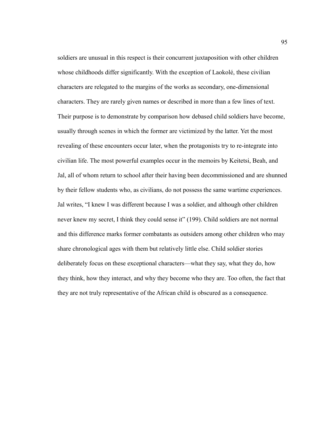soldiers are unusual in this respect is their concurrent juxtaposition with other children whose childhoods differ significantly. With the exception of Laokolé, these civilian characters are relegated to the margins of the works as secondary, one-dimensional characters. They are rarely given names or described in more than a few lines of text. Their purpose is to demonstrate by comparison how debased child soldiers have become, usually through scenes in which the former are victimized by the latter. Yet the most revealing of these encounters occur later, when the protagonists try to re-integrate into civilian life. The most powerful examples occur in the memoirs by Keitetsi, Beah, and Jal, all of whom return to school after their having been decommissioned and are shunned by their fellow students who, as civilians, do not possess the same wartime experiences. Jal writes, "I knew I was different because I was a soldier, and although other children never knew my secret, I think they could sense it" (199). Child soldiers are not normal and this difference marks former combatants as outsiders among other children who may share chronological ages with them but relatively little else. Child soldier stories deliberately focus on these exceptional characters—what they say, what they do, how they think, how they interact, and why they become who they are. Too often, the fact that they are not truly representative of the African child is obscured as a consequence.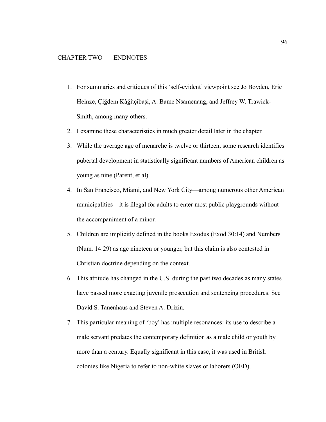- 1. For summaries and critiques of this 'self-evident' viewpoint see Jo Boyden, Eric Heinze, Çiğdem Kâğitçibaşi, A. Bame Nsamenang, and Jeffrey W. Trawick-Smith, among many others.
- 2. I examine these characteristics in much greater detail later in the chapter.
- 3. While the average age of menarche is twelve or thirteen, some research identifies pubertal development in statistically significant numbers of American children as young as nine (Parent, et al).
- 4. In San Francisco, Miami, and New York City—among numerous other American municipalities—it is illegal for adults to enter most public playgrounds without the accompaniment of a minor.
- 5. Children are implicitly defined in the books Exodus (Exod 30:14) and Numbers (Num. 14:29) as age nineteen or younger, but this claim is also contested in Christian doctrine depending on the context.
- 6. This attitude has changed in the U.S. during the past two decades as many states have passed more exacting juvenile prosecution and sentencing procedures. See David S. Tanenhaus and Steven A. Drizin.
- 7. This particular meaning of 'boy' has multiple resonances: its use to describe a male servant predates the contemporary definition as a male child or youth by more than a century. Equally significant in this case, it was used in British colonies like Nigeria to refer to non-white slaves or laborers (OED).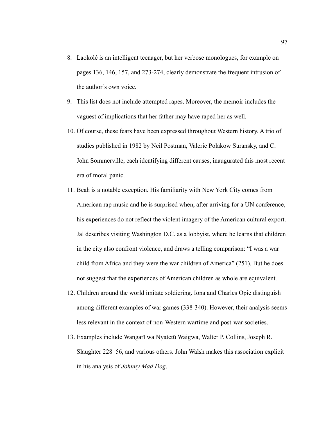- 8. Laokolé is an intelligent teenager, but her verbose monologues, for example on pages 136, 146, 157, and 273-274, clearly demonstrate the frequent intrusion of the author's own voice.
- 9. This list does not include attempted rapes. Moreover, the memoir includes the vaguest of implications that her father may have raped her as well.
- 10. Of course, these fears have been expressed throughout Western history. A trio of studies published in 1982 by Neil Postman, Valerie Polakow Suransky, and C. John Sommerville, each identifying different causes, inaugurated this most recent era of moral panic.
- 11. Beah is a notable exception. His familiarity with New York City comes from American rap music and he is surprised when, after arriving for a UN conference, his experiences do not reflect the violent imagery of the American cultural export. Jal describes visiting Washington D.C. as a lobbyist, where he learns that children in the city also confront violence, and draws a telling comparison: "I was a war child from Africa and they were the war children of America" (251). But he does not suggest that the experiences of American children as whole are equivalent.
- 12. Children around the world imitate soldiering. Iona and Charles Opie distinguish among different examples of war games (338-340). However, their analysis seems less relevant in the context of non-Western wartime and post-war societies.
- 13. Examples include Wangarĩ wa Nyatetũ Waigwa, Walter P. Collins, Joseph R. Slaughter 228–56, and various others. John Walsh makes this association explicit in his analysis of *Johnny Mad Dog*.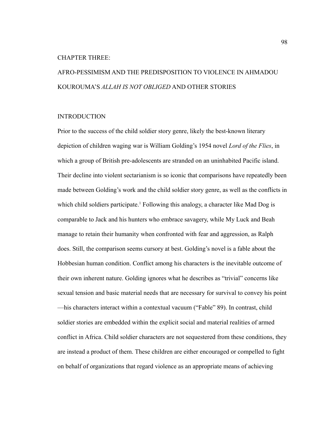#### CHAPTER THREE:

# AFRO-PESSIMISM AND THE PREDISPOSITION TO VIOLENCE IN AHMADOU KOUROUMA'S *ALLAH IS NOT OBLIGED* AND OTHER STORIES

## INTRODUCTION

Prior to the success of the child soldier story genre, likely the best-known literary depiction of children waging war is William Golding's 1954 novel *Lord of the Flies*, in which a group of British pre-adolescents are stranded on an uninhabited Pacific island. Their decline into violent sectarianism is so iconic that comparisons have repeatedly been made between Golding's work and the child soldier story genre, as well as the conflicts in which child soldiers participate.<sup>1</sup> Following this analogy, a character like Mad Dog is comparable to Jack and his hunters who embrace savagery, while My Luck and Beah manage to retain their humanity when confronted with fear and aggression, as Ralph does. Still, the comparison seems cursory at best. Golding's novel is a fable about the Hobbesian human condition. Conflict among his characters is the inevitable outcome of their own inherent nature. Golding ignores what he describes as "trivial" concerns like sexual tension and basic material needs that are necessary for survival to convey his point —his characters interact within a contextual vacuum ("Fable" 89). In contrast, child soldier stories are embedded within the explicit social and material realities of armed conflict in Africa. Child soldier characters are not sequestered from these conditions, they are instead a product of them. These children are either encouraged or compelled to fight on behalf of organizations that regard violence as an appropriate means of achieving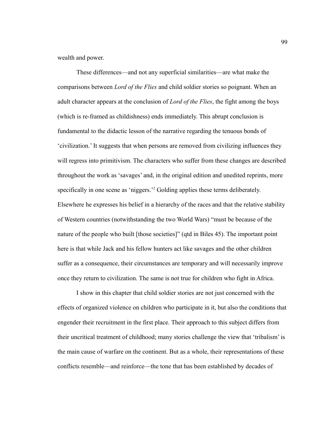wealth and power.

These differences—and not any superficial similarities—are what make the comparisons between *Lord of the Flies* and child soldier stories so poignant. When an adult character appears at the conclusion of *Lord of the Flies*, the fight among the boys (which is re-framed as childishness) ends immediately. This abrupt conclusion is fundamental to the didactic lesson of the narrative regarding the tenuous bonds of 'civilization.' It suggests that when persons are removed from civilizing influences they will regress into primitivism. The characters who suffer from these changes are described throughout the work as 'savages' and, in the original edition and unedited reprints, more specifically in one scene as 'niggers.'<sup>2</sup> Golding applies these terms deliberately. Elsewhere he expresses his belief in a hierarchy of the races and that the relative stability of Western countries (notwithstanding the two World Wars) "must be because of the nature of the people who built [those societies]" (qtd in Biles 45). The important point here is that while Jack and his fellow hunters act like savages and the other children suffer as a consequence, their circumstances are temporary and will necessarily improve once they return to civilization. The same is not true for children who fight in Africa.

I show in this chapter that child soldier stories are not just concerned with the effects of organized violence on children who participate in it, but also the conditions that engender their recruitment in the first place. Their approach to this subject differs from their uncritical treatment of childhood; many stories challenge the view that 'tribalism' is the main cause of warfare on the continent. But as a whole, their representations of these conflicts resemble—and reinforce—the tone that has been established by decades of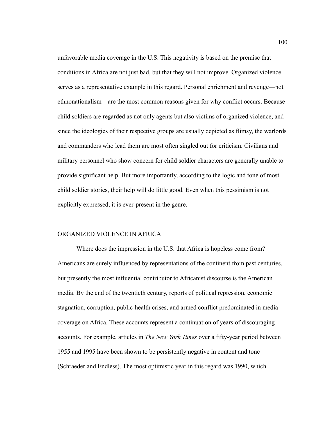unfavorable media coverage in the U.S. This negativity is based on the premise that conditions in Africa are not just bad, but that they will not improve. Organized violence serves as a representative example in this regard. Personal enrichment and revenge—not ethnonationalism—are the most common reasons given for why conflict occurs. Because child soldiers are regarded as not only agents but also victims of organized violence, and since the ideologies of their respective groups are usually depicted as flimsy, the warlords and commanders who lead them are most often singled out for criticism. Civilians and military personnel who show concern for child soldier characters are generally unable to provide significant help. But more importantly, according to the logic and tone of most child soldier stories, their help will do little good. Even when this pessimism is not explicitly expressed, it is ever-present in the genre.

## ORGANIZED VIOLENCE IN AFRICA

Where does the impression in the U.S. that Africa is hopeless come from? Americans are surely influenced by representations of the continent from past centuries, but presently the most influential contributor to Africanist discourse is the American media. By the end of the twentieth century, reports of political repression, economic stagnation, corruption, public-health crises, and armed conflict predominated in media coverage on Africa. These accounts represent a continuation of years of discouraging accounts. For example, articles in *The New York Times* over a fifty-year period between 1955 and 1995 have been shown to be persistently negative in content and tone (Schraeder and Endless). The most optimistic year in this regard was 1990, which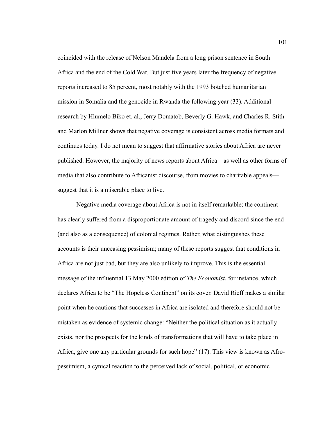coincided with the release of Nelson Mandela from a long prison sentence in South Africa and the end of the Cold War. But just five years later the frequency of negative reports increased to 85 percent, most notably with the 1993 botched humanitarian mission in Somalia and the genocide in Rwanda the following year (33). Additional research by Hlumelo Biko et. al., Jerry Domatob, Beverly G. Hawk, and Charles R. Stith and Marlon Millner shows that negative coverage is consistent across media formats and continues today. I do not mean to suggest that affirmative stories about Africa are never published. However, the majority of news reports about Africa—as well as other forms of media that also contribute to Africanist discourse, from movies to charitable appeals suggest that it is a miserable place to live.

Negative media coverage about Africa is not in itself remarkable; the continent has clearly suffered from a disproportionate amount of tragedy and discord since the end (and also as a consequence) of colonial regimes. Rather, what distinguishes these accounts is their unceasing pessimism; many of these reports suggest that conditions in Africa are not just bad, but they are also unlikely to improve. This is the essential message of the influential 13 May 2000 edition of *The Economist*, for instance, which declares Africa to be "The Hopeless Continent" on its cover. David Rieff makes a similar point when he cautions that successes in Africa are isolated and therefore should not be mistaken as evidence of systemic change: "Neither the political situation as it actually exists, nor the prospects for the kinds of transformations that will have to take place in Africa, give one any particular grounds for such hope" (17). This view is known as Afropessimism, a cynical reaction to the perceived lack of social, political, or economic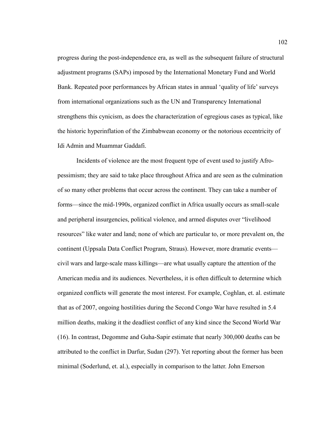progress during the post-independence era, as well as the subsequent failure of structural adjustment programs (SAPs) imposed by the International Monetary Fund and World Bank. Repeated poor performances by African states in annual 'quality of life' surveys from international organizations such as the UN and Transparency International strengthens this cynicism, as does the characterization of egregious cases as typical, like the historic hyperinflation of the Zimbabwean economy or the notorious eccentricity of Idi Admin and Muammar Gaddafi.

Incidents of violence are the most frequent type of event used to justify Afropessimism; they are said to take place throughout Africa and are seen as the culmination of so many other problems that occur across the continent. They can take a number of forms—since the mid-1990s, organized conflict in Africa usually occurs as small-scale and peripheral insurgencies, political violence, and armed disputes over "livelihood resources" like water and land; none of which are particular to, or more prevalent on, the continent (Uppsala Data Conflict Program, Straus). However, more dramatic events civil wars and large-scale mass killings—are what usually capture the attention of the American media and its audiences. Nevertheless, it is often difficult to determine which organized conflicts will generate the most interest. For example, Coghlan, et. al. estimate that as of 2007, ongoing hostilities during the Second Congo War have resulted in 5.4 million deaths, making it the deadliest conflict of any kind since the Second World War (16). In contrast, Degomme and Guha-Sapir estimate that nearly 300,000 deaths can be attributed to the conflict in Darfur, Sudan (297). Yet reporting about the former has been minimal (Soderlund, et. al.), especially in comparison to the latter. John Emerson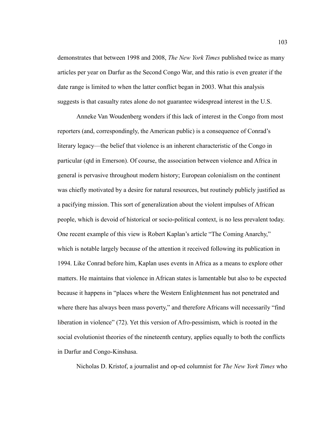demonstrates that between 1998 and 2008, *The New York Times* published twice as many articles per year on Darfur as the Second Congo War, and this ratio is even greater if the date range is limited to when the latter conflict began in 2003. What this analysis suggests is that casualty rates alone do not guarantee widespread interest in the U.S.

Anneke Van Woudenberg wonders if this lack of interest in the Congo from most reporters (and, correspondingly, the American public) is a consequence of Conrad's literary legacy—the belief that violence is an inherent characteristic of the Congo in particular (qtd in Emerson). Of course, the association between violence and Africa in general is pervasive throughout modern history; European colonialism on the continent was chiefly motivated by a desire for natural resources, but routinely publicly justified as a pacifying mission. This sort of generalization about the violent impulses of African people, which is devoid of historical or socio-political context, is no less prevalent today. One recent example of this view is Robert Kaplan's article "The Coming Anarchy," which is notable largely because of the attention it received following its publication in 1994. Like Conrad before him, Kaplan uses events in Africa as a means to explore other matters. He maintains that violence in African states is lamentable but also to be expected because it happens in "places where the Western Enlightenment has not penetrated and where there has always been mass poverty," and therefore Africans will necessarily "find" liberation in violence" (72). Yet this version of Afro-pessimism, which is rooted in the social evolutionist theories of the nineteenth century, applies equally to both the conflicts in Darfur and Congo-Kinshasa.

Nicholas D. Kristof, a journalist and op-ed columnist for *The New York Times* who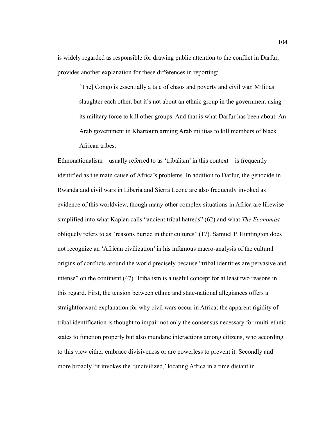is widely regarded as responsible for drawing public attention to the conflict in Darfur, provides another explanation for these differences in reporting:

[The] Congo is essentially a tale of chaos and poverty and civil war. Militias slaughter each other, but it's not about an ethnic group in the government using its military force to kill other groups. And that is what Darfur has been about: An Arab government in Khartoum arming Arab militias to kill members of black African tribes.

Ethnonationalism—usually referred to as 'tribalism' in this context—is frequently identified as the main cause of Africa's problems. In addition to Darfur, the genocide in Rwanda and civil wars in Liberia and Sierra Leone are also frequently invoked as evidence of this worldview, though many other complex situations in Africa are likewise simplified into what Kaplan calls "ancient tribal hatreds" (62) and what *The Economist* obliquely refers to as "reasons buried in their cultures" (17). Samuel P. Huntington does not recognize an 'African civilization' in his infamous macro-analysis of the cultural origins of conflicts around the world precisely because "tribal identities are pervasive and intense" on the continent (47). Tribalism is a useful concept for at least two reasons in this regard. First, the tension between ethnic and state-national allegiances offers a straightforward explanation for why civil wars occur in Africa; the apparent rigidity of tribal identification is thought to impair not only the consensus necessary for multi-ethnic states to function properly but also mundane interactions among citizens, who according to this view either embrace divisiveness or are powerless to prevent it. Secondly and more broadly "it invokes the 'uncivilized,' locating Africa in a time distant in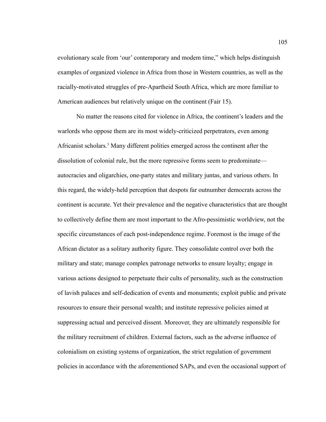evolutionary scale from 'our' contemporary and modem time," which helps distinguish examples of organized violence in Africa from those in Western countries, as well as the racially-motivated struggles of pre-Apartheid South Africa, which are more familiar to American audiences but relatively unique on the continent (Fair 15).

No matter the reasons cited for violence in Africa, the continent's leaders and the warlords who oppose them are its most widely-criticized perpetrators, even among Africanist scholars.<sup>3</sup> Many different polities emerged across the continent after the dissolution of colonial rule, but the more repressive forms seem to predominate autocracies and oligarchies, one-party states and military juntas, and various others. In this regard, the widely-held perception that despots far outnumber democrats across the continent is accurate. Yet their prevalence and the negative characteristics that are thought to collectively define them are most important to the Afro-pessimistic worldview, not the specific circumstances of each post-independence regime. Foremost is the image of the African dictator as a solitary authority figure. They consolidate control over both the military and state; manage complex patronage networks to ensure loyalty; engage in various actions designed to perpetuate their cults of personality, such as the construction of lavish palaces and self-dedication of events and monuments; exploit public and private resources to ensure their personal wealth; and institute repressive policies aimed at suppressing actual and perceived dissent. Moreover, they are ultimately responsible for the military recruitment of children. External factors, such as the adverse influence of colonialism on existing systems of organization, the strict regulation of government policies in accordance with the aforementioned SAPs, and even the occasional support of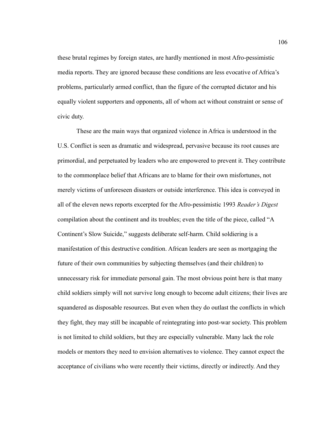these brutal regimes by foreign states, are hardly mentioned in most Afro-pessimistic media reports. They are ignored because these conditions are less evocative of Africa's problems, particularly armed conflict, than the figure of the corrupted dictator and his equally violent supporters and opponents, all of whom act without constraint or sense of civic duty.

These are the main ways that organized violence in Africa is understood in the U.S. Conflict is seen as dramatic and widespread, pervasive because its root causes are primordial, and perpetuated by leaders who are empowered to prevent it. They contribute to the commonplace belief that Africans are to blame for their own misfortunes, not merely victims of unforeseen disasters or outside interference. This idea is conveyed in all of the eleven news reports excerpted for the Afro-pessimistic 1993 *Reader's Digest*  compilation about the continent and its troubles; even the title of the piece, called "A Continent's Slow Suicide," suggests deliberate self-harm. Child soldiering is a manifestation of this destructive condition. African leaders are seen as mortgaging the future of their own communities by subjecting themselves (and their children) to unnecessary risk for immediate personal gain. The most obvious point here is that many child soldiers simply will not survive long enough to become adult citizens; their lives are squandered as disposable resources. But even when they do outlast the conflicts in which they fight, they may still be incapable of reintegrating into post-war society. This problem is not limited to child soldiers, but they are especially vulnerable. Many lack the role models or mentors they need to envision alternatives to violence. They cannot expect the acceptance of civilians who were recently their victims, directly or indirectly. And they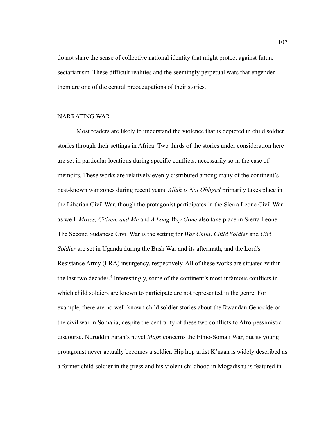do not share the sense of collective national identity that might protect against future sectarianism. These difficult realities and the seemingly perpetual wars that engender them are one of the central preoccupations of their stories.

## NARRATING WAR

Most readers are likely to understand the violence that is depicted in child soldier stories through their settings in Africa. Two thirds of the stories under consideration here are set in particular locations during specific conflicts, necessarily so in the case of memoirs. These works are relatively evenly distributed among many of the continent's best-known war zones during recent years. *Allah is Not Obliged* primarily takes place in the Liberian Civil War, though the protagonist participates in the Sierra Leone Civil War as well. *Moses, Citizen, and Me* and *A Long Way Gone* also take place in Sierra Leone. The Second Sudanese Civil War is the setting for *War Child*. *Child Soldier* and *Girl Soldier* are set in Uganda during the Bush War and its aftermath, and the Lord's Resistance Army (LRA) insurgency, respectively. All of these works are situated within the last two decades.<sup>4</sup> Interestingly, some of the continent's most infamous conflicts in which child soldiers are known to participate are not represented in the genre. For example, there are no well-known child soldier stories about the Rwandan Genocide or the civil war in Somalia, despite the centrality of these two conflicts to Afro-pessimistic discourse. Nuruddin Farah's novel *Maps* concerns the Ethio-Somali War, but its young protagonist never actually becomes a soldier. Hip hop artist K'naan is widely described as a former child soldier in the press and his violent childhood in Mogadishu is featured in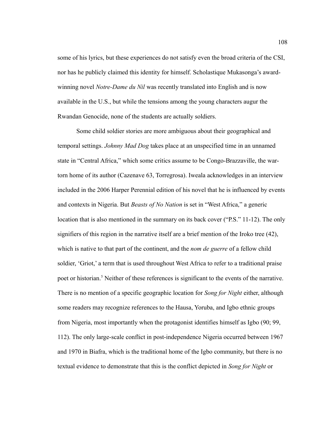some of his lyrics, but these experiences do not satisfy even the broad criteria of the CSI, nor has he publicly claimed this identity for himself. Scholastique Mukasonga's awardwinning novel *Notre-Dame du Nil* was recently translated into English and is now available in the U.S., but while the tensions among the young characters augur the Rwandan Genocide, none of the students are actually soldiers.

Some child soldier stories are more ambiguous about their geographical and temporal settings. *Johnny Mad Dog* takes place at an unspecified time in an unnamed state in "Central Africa," which some critics assume to be Congo-Brazzaville, the wartorn home of its author (Cazenave 63, Torregrosa). Iweala acknowledges in an interview included in the 2006 Harper Perennial edition of his novel that he is influenced by events and contexts in Nigeria. But *Beasts of No Nation* is set in "West Africa," a generic location that is also mentioned in the summary on its back cover ("P.S." 11-12). The only signifiers of this region in the narrative itself are a brief mention of the Iroko tree (42), which is native to that part of the continent, and the *nom de guerre* of a fellow child soldier, 'Griot,' a term that is used throughout West Africa to refer to a traditional praise poet or historian.<sup>5</sup> Neither of these references is significant to the events of the narrative. There is no mention of a specific geographic location for *Song for Night* either, although some readers may recognize references to the Hausa, Yoruba, and Igbo ethnic groups from Nigeria, most importantly when the protagonist identifies himself as Igbo (90; 99, 112). The only large-scale conflict in post-independence Nigeria occurred between 1967 and 1970 in Biafra, which is the traditional home of the Igbo community, but there is no textual evidence to demonstrate that this is the conflict depicted in *Song for Night* or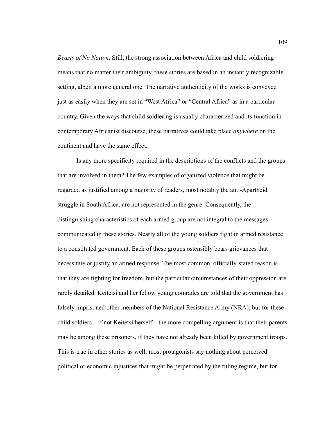*Beasts of No Nation*. Still, the strong association between Africa and child soldiering means that no matter their ambiguity, these stories are based in an instantly recognizable setting, albeit a more general one. The narrative authenticity of the works is conveyed just as easily when they are set in "West Africa" or "Central Africa" as in a particular country. Given the ways that child soldiering is usually characterized and its function in contemporary Africanist discourse, these narratives could take place *anywhere* on the continent and have the same effect.

Is any more specificity required in the descriptions of the conflicts and the groups that are involved in them? The few examples of organized violence that might be regarded as justified among a majority of readers, most notably the anti-Apartheid struggle in South Africa, are not represented in the genre. Consequently, the distinguishing characteristics of each armed group are not integral to the messages communicated in these stories. Nearly all of the young soldiers fight in armed resistance to a constituted government. Each of these groups ostensibly bears grievances that necessitate or justify an armed response. The most common, officially-stated reason is that they are fighting for freedom, but the particular circumstances of their oppression are rarely detailed. Keitetsi and her fellow young comrades are told that the government has falsely imprisoned other members of the National Resistance Army (NRA), but for these child soldiers—if not Keitetsi herself—the more compelling argument is that their parents may be among these prisoners, if they have not already been killed by government troops. This is true in other stories as well; most protagonists say nothing about perceived political or economic injustices that might be perpetrated by the ruling regime, but for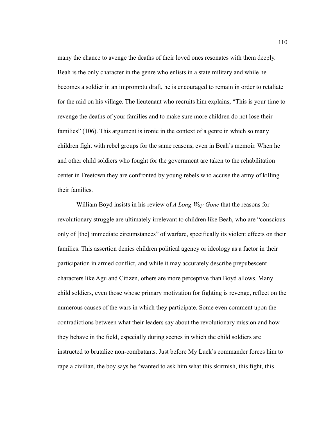many the chance to avenge the deaths of their loved ones resonates with them deeply. Beah is the only character in the genre who enlists in a state military and while he becomes a soldier in an impromptu draft, he is encouraged to remain in order to retaliate for the raid on his village. The lieutenant who recruits him explains, "This is your time to revenge the deaths of your families and to make sure more children do not lose their families" (106). This argument is ironic in the context of a genre in which so many children fight with rebel groups for the same reasons, even in Beah's memoir. When he and other child soldiers who fought for the government are taken to the rehabilitation center in Freetown they are confronted by young rebels who accuse the army of killing their families.

William Boyd insists in his review of *A Long Way Gone* that the reasons for revolutionary struggle are ultimately irrelevant to children like Beah, who are "conscious only of [the] immediate circumstances" of warfare, specifically its violent effects on their families. This assertion denies children political agency or ideology as a factor in their participation in armed conflict, and while it may accurately describe prepubescent characters like Agu and Citizen, others are more perceptive than Boyd allows. Many child soldiers, even those whose primary motivation for fighting is revenge, reflect on the numerous causes of the wars in which they participate. Some even comment upon the contradictions between what their leaders say about the revolutionary mission and how they behave in the field, especially during scenes in which the child soldiers are instructed to brutalize non-combatants. Just before My Luck's commander forces him to rape a civilian, the boy says he "wanted to ask him what this skirmish, this fight, this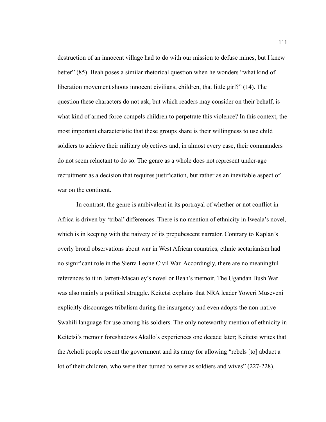destruction of an innocent village had to do with our mission to defuse mines, but I knew better" (85). Beah poses a similar rhetorical question when he wonders "what kind of liberation movement shoots innocent civilians, children, that little girl?" (14). The question these characters do not ask, but which readers may consider on their behalf, is what kind of armed force compels children to perpetrate this violence? In this context, the most important characteristic that these groups share is their willingness to use child soldiers to achieve their military objectives and, in almost every case, their commanders do not seem reluctant to do so. The genre as a whole does not represent under-age recruitment as a decision that requires justification, but rather as an inevitable aspect of war on the continent.

In contrast, the genre is ambivalent in its portrayal of whether or not conflict in Africa is driven by 'tribal' differences. There is no mention of ethnicity in Iweala's novel, which is in keeping with the naivety of its prepubescent narrator. Contrary to Kaplan's overly broad observations about war in West African countries, ethnic sectarianism had no significant role in the Sierra Leone Civil War. Accordingly, there are no meaningful references to it in Jarrett-Macauley's novel or Beah's memoir. The Ugandan Bush War was also mainly a political struggle. Keitetsi explains that NRA leader Yoweri Museveni explicitly discourages tribalism during the insurgency and even adopts the non-native Swahili language for use among his soldiers. The only noteworthy mention of ethnicity in Keitetsi's memoir foreshadows Akallo's experiences one decade later; Keitetsi writes that the Acholi people resent the government and its army for allowing "rebels [to] abduct a lot of their children, who were then turned to serve as soldiers and wives" (227-228).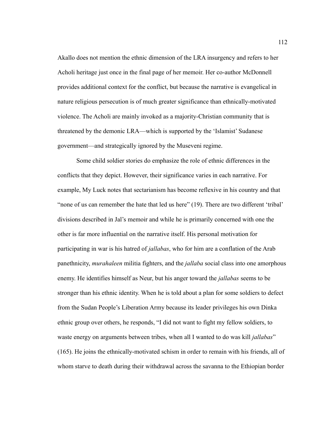Akallo does not mention the ethnic dimension of the LRA insurgency and refers to her Acholi heritage just once in the final page of her memoir. Her co-author McDonnell provides additional context for the conflict, but because the narrative is evangelical in nature religious persecution is of much greater significance than ethnically-motivated violence. The Acholi are mainly invoked as a majority-Christian community that is threatened by the demonic LRA—which is supported by the 'Islamist' Sudanese government—and strategically ignored by the Museveni regime.

Some child soldier stories do emphasize the role of ethnic differences in the conflicts that they depict. However, their significance varies in each narrative. For example, My Luck notes that sectarianism has become reflexive in his country and that "none of us can remember the hate that led us here" (19). There are two different 'tribal' divisions described in Jal's memoir and while he is primarily concerned with one the other is far more influential on the narrative itself. His personal motivation for participating in war is his hatred of *jallabas*, who for him are a conflation of the Arab panethnicity, *murahaleen* militia fighters, and the *jallaba* social class into one amorphous enemy. He identifies himself as Neur, but his anger toward the *jallabas* seems to be stronger than his ethnic identity. When he is told about a plan for some soldiers to defect from the Sudan People's Liberation Army because its leader privileges his own Dinka ethnic group over others, he responds, "I did not want to fight my fellow soldiers, to waste energy on arguments between tribes, when all I wanted to do was kill *jallabas*" (165). He joins the ethnically-motivated schism in order to remain with his friends, all of whom starve to death during their withdrawal across the savanna to the Ethiopian border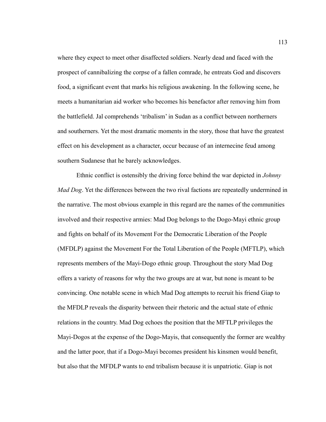where they expect to meet other disaffected soldiers. Nearly dead and faced with the prospect of cannibalizing the corpse of a fallen comrade, he entreats God and discovers food, a significant event that marks his religious awakening. In the following scene, he meets a humanitarian aid worker who becomes his benefactor after removing him from the battlefield. Jal comprehends 'tribalism' in Sudan as a conflict between northerners and southerners. Yet the most dramatic moments in the story, those that have the greatest effect on his development as a character, occur because of an internecine feud among southern Sudanese that he barely acknowledges.

Ethnic conflict is ostensibly the driving force behind the war depicted in *Johnny Mad Dog*. Yet the differences between the two rival factions are repeatedly undermined in the narrative. The most obvious example in this regard are the names of the communities involved and their respective armies: Mad Dog belongs to the Dogo-Mayi ethnic group and fights on behalf of its Movement For the Democratic Liberation of the People (MFDLP) against the Movement For the Total Liberation of the People (MFTLP), which represents members of the Mayi-Dogo ethnic group. Throughout the story Mad Dog offers a variety of reasons for why the two groups are at war, but none is meant to be convincing. One notable scene in which Mad Dog attempts to recruit his friend Giap to the MFDLP reveals the disparity between their rhetoric and the actual state of ethnic relations in the country. Mad Dog echoes the position that the MFTLP privileges the Mayi-Dogos at the expense of the Dogo-Mayis, that consequently the former are wealthy and the latter poor, that if a Dogo-Mayi becomes president his kinsmen would benefit, but also that the MFDLP wants to end tribalism because it is unpatriotic. Giap is not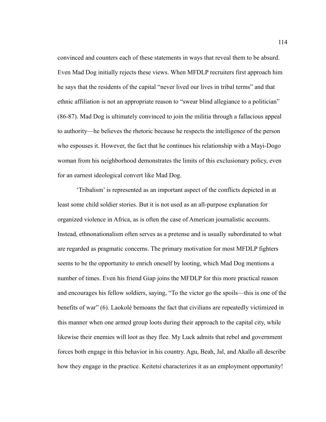convinced and counters each of these statements in ways that reveal them to be absurd. Even Mad Dog initially rejects these views. When MFDLP recruiters first approach him he says that the residents of the capital "never lived our lives in tribal terms" and that ethnic affiliation is not an appropriate reason to "swear blind allegiance to a politician" (86-87). Mad Dog is ultimately convinced to join the militia through a fallacious appeal to authority—he believes the rhetoric because he respects the intelligence of the person who espouses it. However, the fact that he continues his relationship with a Mayi-Dogo woman from his neighborhood demonstrates the limits of this exclusionary policy, even for an earnest ideological convert like Mad Dog.

'Tribalism' is represented as an important aspect of the conflicts depicted in at least some child soldier stories. But it is not used as an all-purpose explanation for organized violence in Africa, as is often the case of American journalistic accounts. Instead, ethnonationalism often serves as a pretense and is usually subordinated to what are regarded as pragmatic concerns. The primary motivation for most MFDLP fighters seems to be the opportunity to enrich oneself by looting, which Mad Dog mentions a number of times. Even his friend Giap joins the MFDLP for this more practical reason and encourages his fellow soldiers, saying, "To the victor go the spoils—this is one of the benefits of war" (6). Laokolé bemoans the fact that civilians are repeatedly victimized in this manner when one armed group loots during their approach to the capital city, while likewise their enemies will loot as they flee. My Luck admits that rebel and government forces both engage in this behavior in his country. Agu, Beah, Jal, and Akallo all describe how they engage in the practice. Keitetsi characterizes it as an employment opportunity!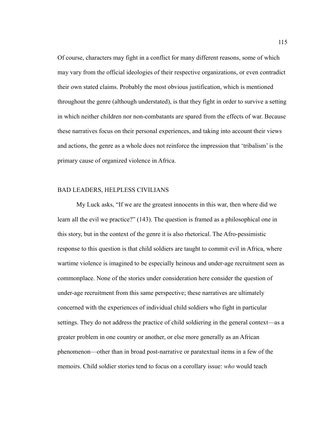Of course, characters may fight in a conflict for many different reasons, some of which may vary from the official ideologies of their respective organizations, or even contradict their own stated claims. Probably the most obvious justification, which is mentioned throughout the genre (although understated), is that they fight in order to survive a setting in which neither children nor non-combatants are spared from the effects of war. Because these narratives focus on their personal experiences, and taking into account their views and actions, the genre as a whole does not reinforce the impression that 'tribalism' is the primary cause of organized violence in Africa.

## BAD LEADERS, HELPLESS CIVILIANS

My Luck asks, "If we are the greatest innocents in this war, then where did we learn all the evil we practice?" (143). The question is framed as a philosophical one in this story, but in the context of the genre it is also rhetorical. The Afro-pessimistic response to this question is that child soldiers are taught to commit evil in Africa, where wartime violence is imagined to be especially heinous and under-age recruitment seen as commonplace. None of the stories under consideration here consider the question of under-age recruitment from this same perspective; these narratives are ultimately concerned with the experiences of individual child soldiers who fight in particular settings. They do not address the practice of child soldiering in the general context—as a greater problem in one country or another, or else more generally as an African phenomenon—other than in broad post-narrative or paratextual items in a few of the memoirs. Child soldier stories tend to focus on a corollary issue: *who* would teach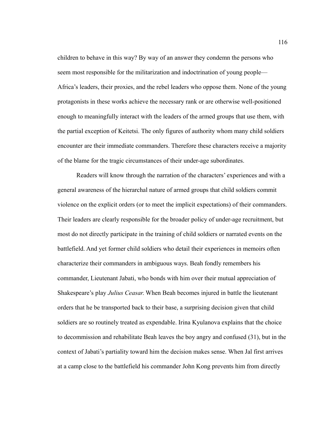children to behave in this way? By way of an answer they condemn the persons who seem most responsible for the militarization and indoctrination of young people— Africa's leaders, their proxies, and the rebel leaders who oppose them. None of the young protagonists in these works achieve the necessary rank or are otherwise well-positioned enough to meaningfully interact with the leaders of the armed groups that use them, with the partial exception of Keitetsi. The only figures of authority whom many child soldiers encounter are their immediate commanders. Therefore these characters receive a majority of the blame for the tragic circumstances of their under-age subordinates.

Readers will know through the narration of the characters' experiences and with a general awareness of the hierarchal nature of armed groups that child soldiers commit violence on the explicit orders (or to meet the implicit expectations) of their commanders. Their leaders are clearly responsible for the broader policy of under-age recruitment, but most do not directly participate in the training of child soldiers or narrated events on the battlefield. And yet former child soldiers who detail their experiences in memoirs often characterize their commanders in ambiguous ways. Beah fondly remembers his commander, Lieutenant Jabati, who bonds with him over their mutual appreciation of Shakespeare's play *Julius Ceasar*. When Beah becomes injured in battle the lieutenant orders that he be transported back to their base, a surprising decision given that child soldiers are so routinely treated as expendable. Irina Kyulanova explains that the choice to decommission and rehabilitate Beah leaves the boy angry and confused (31), but in the context of Jabati's partiality toward him the decision makes sense. When Jal first arrives at a camp close to the battlefield his commander John Kong prevents him from directly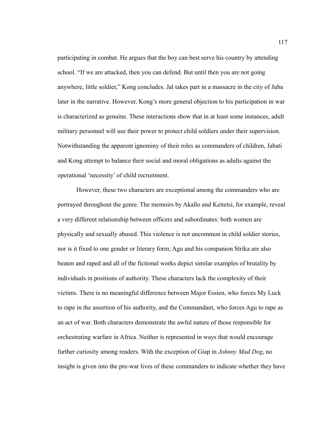participating in combat. He argues that the boy can best serve his country by attending school. "If we are attacked, then you can defend. But until then you are not going anywhere, little soldier," Kong concludes. Jal takes part in a massacre in the city of Juba later in the narrative. However, Kong's more general objection to his participation in war is characterized as genuine. These interactions show that in at least some instances, adult military personnel will use their power to protect child soldiers under their supervision. Notwithstanding the apparent ignominy of their roles as commanders of children, Jabati and Kong attempt to balance their social and moral obligations as adults against the operational 'necessity' of child recruitment.

However, these two characters are exceptional among the commanders who are portrayed throughout the genre. The memoirs by Akallo and Keitetsi, for example, reveal a very different relationship between officers and subordinates: both women are physically and sexually abused. This violence is not uncommon in child soldier stories, nor is it fixed to one gender or literary form; Agu and his companion Strika are also beaten and raped and all of the fictional works depict similar examples of brutality by individuals in positions of authority. These characters lack the complexity of their victims. There is no meaningful difference between Major Essien, who forces My Luck to rape in the assertion of his authority, and the Commandant, who forces Agu to rape as an act of war. Both characters demonstrate the awful nature of those responsible for orchestrating warfare in Africa. Neither is represented in ways that would encourage further curiosity among readers. With the exception of Giap in *Johnny Mad Dog*, no insight is given into the pre-war lives of these commanders to indicate whether they have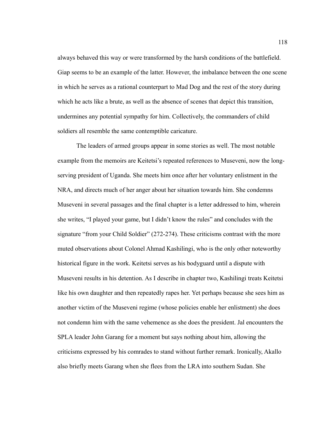always behaved this way or were transformed by the harsh conditions of the battlefield. Giap seems to be an example of the latter. However, the imbalance between the one scene in which he serves as a rational counterpart to Mad Dog and the rest of the story during which he acts like a brute, as well as the absence of scenes that depict this transition, undermines any potential sympathy for him. Collectively, the commanders of child soldiers all resemble the same contemptible caricature.

The leaders of armed groups appear in some stories as well. The most notable example from the memoirs are Keitetsi's repeated references to Museveni, now the longserving president of Uganda. She meets him once after her voluntary enlistment in the NRA, and directs much of her anger about her situation towards him. She condemns Museveni in several passages and the final chapter is a letter addressed to him, wherein she writes, "I played your game, but I didn't know the rules" and concludes with the signature "from your Child Soldier" (272-274). These criticisms contrast with the more muted observations about Colonel Ahmad Kashilingi, who is the only other noteworthy historical figure in the work. Keitetsi serves as his bodyguard until a dispute with Museveni results in his detention. As I describe in chapter two, Kashilingi treats Keitetsi like his own daughter and then repeatedly rapes her. Yet perhaps because she sees him as another victim of the Museveni regime (whose policies enable her enlistment) she does not condemn him with the same vehemence as she does the president. Jal encounters the SPLA leader John Garang for a moment but says nothing about him, allowing the criticisms expressed by his comrades to stand without further remark. Ironically, Akallo also briefly meets Garang when she flees from the LRA into southern Sudan. She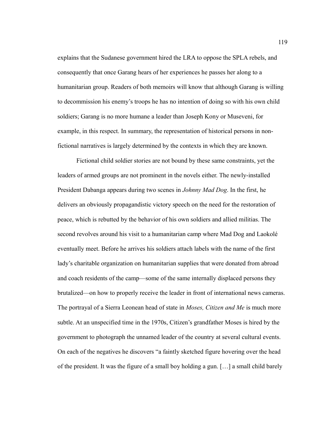explains that the Sudanese government hired the LRA to oppose the SPLA rebels, and consequently that once Garang hears of her experiences he passes her along to a humanitarian group. Readers of both memoirs will know that although Garang is willing to decommission his enemy's troops he has no intention of doing so with his own child soldiers; Garang is no more humane a leader than Joseph Kony or Museveni, for example, in this respect. In summary, the representation of historical persons in nonfictional narratives is largely determined by the contexts in which they are known.

Fictional child soldier stories are not bound by these same constraints, yet the leaders of armed groups are not prominent in the novels either. The newly-installed President Dabanga appears during two scenes in *Johnny Mad Dog*. In the first, he delivers an obviously propagandistic victory speech on the need for the restoration of peace, which is rebutted by the behavior of his own soldiers and allied militias. The second revolves around his visit to a humanitarian camp where Mad Dog and Laokolé eventually meet. Before he arrives his soldiers attach labels with the name of the first lady's charitable organization on humanitarian supplies that were donated from abroad and coach residents of the camp—some of the same internally displaced persons they brutalized—on how to properly receive the leader in front of international news cameras. The portrayal of a Sierra Leonean head of state in *Moses, Citizen and Me* is much more subtle. At an unspecified time in the 1970s, Citizen's grandfather Moses is hired by the government to photograph the unnamed leader of the country at several cultural events. On each of the negatives he discovers "a faintly sketched figure hovering over the head of the president. It was the figure of a small boy holding a gun. […] a small child barely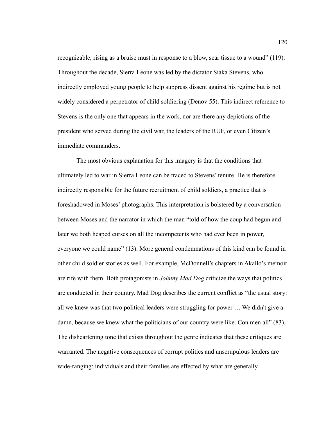recognizable, rising as a bruise must in response to a blow, scar tissue to a wound" (119). Throughout the decade, Sierra Leone was led by the dictator Siaka Stevens, who indirectly employed young people to help suppress dissent against his regime but is not widely considered a perpetrator of child soldiering (Denov 55). This indirect reference to Stevens is the only one that appears in the work, nor are there any depictions of the president who served during the civil war, the leaders of the RUF, or even Citizen's immediate commanders.

The most obvious explanation for this imagery is that the conditions that ultimately led to war in Sierra Leone can be traced to Stevens' tenure. He is therefore indirectly responsible for the future recruitment of child soldiers, a practice that is foreshadowed in Moses' photographs. This interpretation is bolstered by a conversation between Moses and the narrator in which the man "told of how the coup had begun and later we both heaped curses on all the incompetents who had ever been in power, everyone we could name" (13). More general condemnations of this kind can be found in other child soldier stories as well. For example, McDonnell's chapters in Akallo's memoir are rife with them. Both protagonists in *Johnny Mad Dog* criticize the ways that politics are conducted in their country. Mad Dog describes the current conflict as "the usual story: all we knew was that two political leaders were struggling for power … We didn't give a damn, because we knew what the politicians of our country were like. Con men all" (83). The disheartening tone that exists throughout the genre indicates that these critiques are warranted. The negative consequences of corrupt politics and unscrupulous leaders are wide-ranging: individuals and their families are effected by what are generally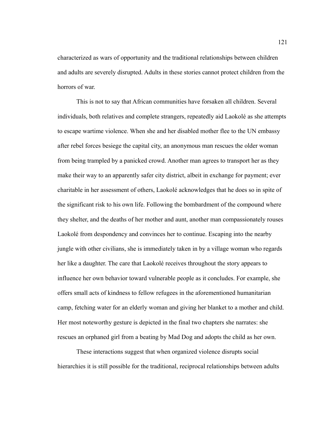characterized as wars of opportunity and the traditional relationships between children and adults are severely disrupted. Adults in these stories cannot protect children from the horrors of war.

This is not to say that African communities have forsaken all children. Several individuals, both relatives and complete strangers, repeatedly aid Laokolé as she attempts to escape wartime violence. When she and her disabled mother flee to the UN embassy after rebel forces besiege the capital city, an anonymous man rescues the older woman from being trampled by a panicked crowd. Another man agrees to transport her as they make their way to an apparently safer city district, albeit in exchange for payment; ever charitable in her assessment of others, Laokolé acknowledges that he does so in spite of the significant risk to his own life. Following the bombardment of the compound where they shelter, and the deaths of her mother and aunt, another man compassionately rouses Laokolé from despondency and convinces her to continue. Escaping into the nearby jungle with other civilians, she is immediately taken in by a village woman who regards her like a daughter. The care that Laokolé receives throughout the story appears to influence her own behavior toward vulnerable people as it concludes. For example, she offers small acts of kindness to fellow refugees in the aforementioned humanitarian camp, fetching water for an elderly woman and giving her blanket to a mother and child. Her most noteworthy gesture is depicted in the final two chapters she narrates: she rescues an orphaned girl from a beating by Mad Dog and adopts the child as her own.

These interactions suggest that when organized violence disrupts social hierarchies it is still possible for the traditional, reciprocal relationships between adults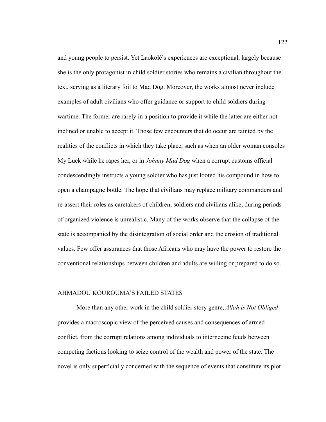and young people to persist. Yet Laokolé's experiences are exceptional, largely because she is the only protagonist in child soldier stories who remains a civilian throughout the text, serving as a literary foil to Mad Dog. Moreover, the works almost never include examples of adult civilians who offer guidance or support to child soldiers during wartime. The former are rarely in a position to provide it while the latter are either not inclined or unable to accept it. Those few encounters that do occur are tainted by the realities of the conflicts in which they take place, such as when an older woman consoles My Luck while he rapes her, or in *Johnny Mad Dog* when a corrupt customs official condescendingly instructs a young soldier who has just looted his compound in how to open a champagne bottle. The hope that civilians may replace military commanders and re-assert their roles as caretakers of children, soldiers and civilians alike, during periods of organized violence is unrealistic. Many of the works observe that the collapse of the state is accompanied by the disintegration of social order and the erosion of traditional values. Few offer assurances that those Africans who may have the power to restore the conventional relationships between children and adults are willing or prepared to do so.

## AHMADOU KOUROUMA'S FAILED STATES

More than any other work in the child soldier story genre, *Allah is Not Obliged* provides a macroscopic view of the perceived causes and consequences of armed conflict, from the corrupt relations among individuals to internecine feuds between competing factions looking to seize control of the wealth and power of the state. The novel is only superficially concerned with the sequence of events that constitute its plot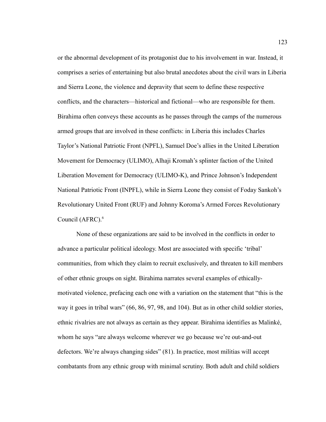or the abnormal development of its protagonist due to his involvement in war. Instead, it comprises a series of entertaining but also brutal anecdotes about the civil wars in Liberia and Sierra Leone, the violence and depravity that seem to define these respective conflicts, and the characters—historical and fictional—who are responsible for them. Birahima often conveys these accounts as he passes through the camps of the numerous armed groups that are involved in these conflicts: in Liberia this includes Charles Taylor's National Patriotic Front (NPFL), Samuel Doe's allies in the United Liberation Movement for Democracy (ULIMO), Alhaji Kromah's splinter faction of the United Liberation Movement for Democracy (ULIMO-K), and Prince Johnson's Independent National Patriotic Front (INPFL), while in Sierra Leone they consist of Foday Sankoh's Revolutionary United Front (RUF) and Johnny Koroma's Armed Forces Revolutionary Council (AFRC).<sup>6</sup>

None of these organizations are said to be involved in the conflicts in order to advance a particular political ideology. Most are associated with specific 'tribal' communities, from which they claim to recruit exclusively, and threaten to kill members of other ethnic groups on sight. Birahima narrates several examples of ethicallymotivated violence, prefacing each one with a variation on the statement that "this is the way it goes in tribal wars" (66, 86, 97, 98, and 104). But as in other child soldier stories, ethnic rivalries are not always as certain as they appear. Birahima identifies as Malinké, whom he says "are always welcome wherever we go because we're out-and-out defectors. We're always changing sides" (81). In practice, most militias will accept combatants from any ethnic group with minimal scrutiny. Both adult and child soldiers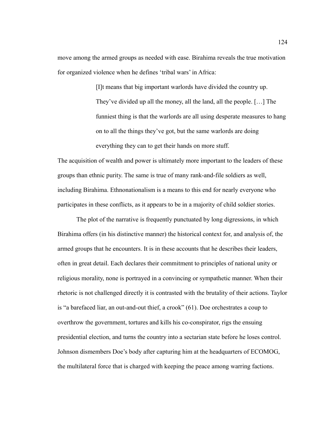move among the armed groups as needed with ease. Birahima reveals the true motivation for organized violence when he defines 'tribal wars' in Africa:

> [I]t means that big important warlords have divided the country up. They've divided up all the money, all the land, all the people. […] The funniest thing is that the warlords are all using desperate measures to hang on to all the things they've got, but the same warlords are doing everything they can to get their hands on more stuff.

The acquisition of wealth and power is ultimately more important to the leaders of these groups than ethnic purity. The same is true of many rank-and-file soldiers as well, including Birahima. Ethnonationalism is a means to this end for nearly everyone who participates in these conflicts, as it appears to be in a majority of child soldier stories.

The plot of the narrative is frequently punctuated by long digressions, in which Birahima offers (in his distinctive manner) the historical context for, and analysis of, the armed groups that he encounters. It is in these accounts that he describes their leaders, often in great detail. Each declares their commitment to principles of national unity or religious morality, none is portrayed in a convincing or sympathetic manner. When their rhetoric is not challenged directly it is contrasted with the brutality of their actions. Taylor is "a barefaced liar, an out-and-out thief, a crook" (61). Doe orchestrates a coup to overthrow the government, tortures and kills his co-conspirator, rigs the ensuing presidential election, and turns the country into a sectarian state before he loses control. Johnson dismembers Doe's body after capturing him at the headquarters of ECOMOG, the multilateral force that is charged with keeping the peace among warring factions.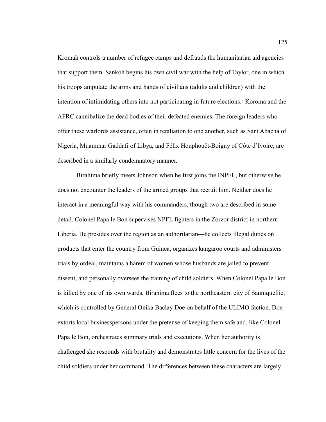Kromah controls a number of refugee camps and defrauds the humanitarian aid agencies that support them. Sankoh begins his own civil war with the help of Taylor, one in which his troops amputate the arms and hands of civilians (adults and children) with the intention of intimidating others into not participating in future elections.<sup>7</sup> Koroma and the AFRC cannibalize the dead bodies of their defeated enemies. The foreign leaders who offer these warlords assistance, often in retaliation to one another, such as Sani Abacha of Nigeria, Muammar Gaddafi of Libya, and Félix Houphouët-Boigny of Côte d'Ivoire, are described in a similarly condemnatory manner.

Birahima briefly meets Johnson when he first joins the INPFL, but otherwise he does not encounter the leaders of the armed groups that recruit him. Neither does he interact in a meaningful way with his commanders, though two are described in some detail. Colonel Papa le Bon supervises NPFL fighters in the Zorzor district in northern Liberia. He presides over the region as an authoritarian—he collects illegal duties on products that enter the country from Guinea, organizes kangaroo courts and administers trials by ordeal, maintains a harem of women whose husbands are jailed to prevent dissent, and personally oversees the training of child soldiers. When Colonel Papa le Bon is killed by one of his own wards, Birahima flees to the northeastern city of Sanniquellie, which is controlled by General Onika Baclay Doe on behalf of the ULIMO faction. Doe extorts local businesspersons under the pretense of keeping them safe and, like Colonel Papa le Bon, orchestrates summary trials and executions. When her authority is challenged she responds with brutality and demonstrates little concern for the lives of the child soldiers under her command. The differences between these characters are largely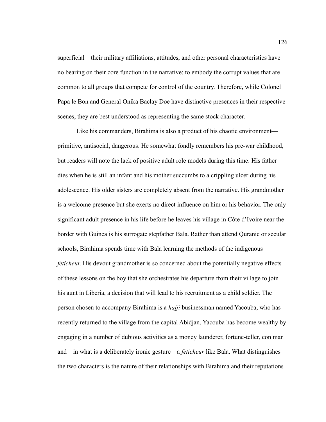superficial—their military affiliations, attitudes, and other personal characteristics have no bearing on their core function in the narrative: to embody the corrupt values that are common to all groups that compete for control of the country. Therefore, while Colonel Papa le Bon and General Onika Baclay Doe have distinctive presences in their respective scenes, they are best understood as representing the same stock character.

Like his commanders, Birahima is also a product of his chaotic environment primitive, antisocial, dangerous. He somewhat fondly remembers his pre-war childhood, but readers will note the lack of positive adult role models during this time. His father dies when he is still an infant and his mother succumbs to a crippling ulcer during his adolescence. His older sisters are completely absent from the narrative. His grandmother is a welcome presence but she exerts no direct influence on him or his behavior. The only significant adult presence in his life before he leaves his village in Côte d'Ivoire near the border with Guinea is his surrogate stepfather Bala. Rather than attend Quranic or secular schools, Birahima spends time with Bala learning the methods of the indigenous *feticheur*. His devout grandmother is so concerned about the potentially negative effects of these lessons on the boy that she orchestrates his departure from their village to join his aunt in Liberia, a decision that will lead to his recruitment as a child soldier. The person chosen to accompany Birahima is a *hajji* businessman named Yacouba, who has recently returned to the village from the capital Abidjan. Yacouba has become wealthy by engaging in a number of dubious activities as a money launderer, fortune-teller, con man and—in what is a deliberately ironic gesture—a *feticheur* like Bala. What distinguishes the two characters is the nature of their relationships with Birahima and their reputations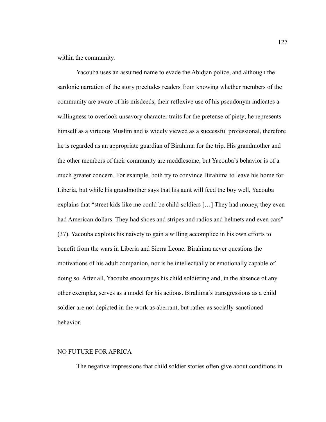within the community.

Yacouba uses an assumed name to evade the Abidjan police, and although the sardonic narration of the story precludes readers from knowing whether members of the community are aware of his misdeeds, their reflexive use of his pseudonym indicates a willingness to overlook unsavory character traits for the pretense of piety; he represents himself as a virtuous Muslim and is widely viewed as a successful professional, therefore he is regarded as an appropriate guardian of Birahima for the trip. His grandmother and the other members of their community are meddlesome, but Yacouba's behavior is of a much greater concern. For example, both try to convince Birahima to leave his home for Liberia, but while his grandmother says that his aunt will feed the boy well, Yacouba explains that "street kids like me could be child-soldiers […] They had money, they even had American dollars. They had shoes and stripes and radios and helmets and even cars" (37). Yacouba exploits his naivety to gain a willing accomplice in his own efforts to benefit from the wars in Liberia and Sierra Leone. Birahima never questions the motivations of his adult companion, nor is he intellectually or emotionally capable of doing so. After all, Yacouba encourages his child soldiering and, in the absence of any other exemplar, serves as a model for his actions. Birahima's transgressions as a child soldier are not depicted in the work as aberrant, but rather as socially-sanctioned behavior.

# NO FUTURE FOR AFRICA

The negative impressions that child soldier stories often give about conditions in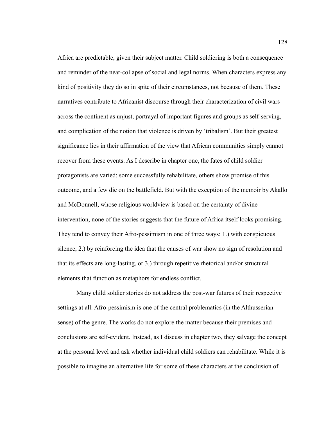Africa are predictable, given their subject matter. Child soldiering is both a consequence and reminder of the near-collapse of social and legal norms. When characters express any kind of positivity they do so in spite of their circumstances, not because of them. These narratives contribute to Africanist discourse through their characterization of civil wars across the continent as unjust, portrayal of important figures and groups as self-serving, and complication of the notion that violence is driven by 'tribalism'. But their greatest significance lies in their affirmation of the view that African communities simply cannot recover from these events. As I describe in chapter one, the fates of child soldier protagonists are varied: some successfully rehabilitate, others show promise of this outcome, and a few die on the battlefield. But with the exception of the memoir by Akallo and McDonnell, whose religious worldview is based on the certainty of divine intervention, none of the stories suggests that the future of Africa itself looks promising. They tend to convey their Afro-pessimism in one of three ways: 1.) with conspicuous silence, 2.) by reinforcing the idea that the causes of war show no sign of resolution and that its effects are long-lasting, or 3.) through repetitive rhetorical and/or structural elements that function as metaphors for endless conflict.

Many child soldier stories do not address the post-war futures of their respective settings at all. Afro-pessimism is one of the central problematics (in the Althusserian sense) of the genre. The works do not explore the matter because their premises and conclusions are self-evident. Instead, as I discuss in chapter two, they salvage the concept at the personal level and ask whether individual child soldiers can rehabilitate. While it is possible to imagine an alternative life for some of these characters at the conclusion of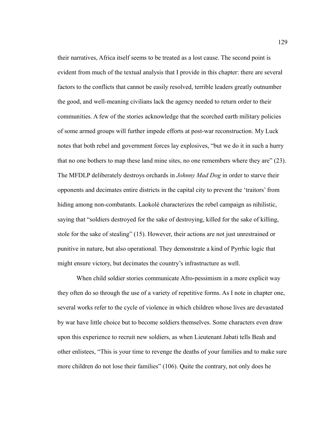their narratives, Africa itself seems to be treated as a lost cause. The second point is evident from much of the textual analysis that I provide in this chapter: there are several factors to the conflicts that cannot be easily resolved, terrible leaders greatly outnumber the good, and well-meaning civilians lack the agency needed to return order to their communities. A few of the stories acknowledge that the scorched earth military policies of some armed groups will further impede efforts at post-war reconstruction. My Luck notes that both rebel and government forces lay explosives, "but we do it in such a hurry that no one bothers to map these land mine sites, no one remembers where they are" (23). The MFDLP deliberately destroys orchards in *Johnny Mad Dog* in order to starve their opponents and decimates entire districts in the capital city to prevent the 'traitors' from hiding among non-combatants. Laokolé characterizes the rebel campaign as nihilistic, saying that "soldiers destroyed for the sake of destroying, killed for the sake of killing, stole for the sake of stealing" (15). However, their actions are not just unrestrained or punitive in nature, but also operational. They demonstrate a kind of Pyrrhic logic that might ensure victory, but decimates the country's infrastructure as well.

When child soldier stories communicate Afro-pessimism in a more explicit way they often do so through the use of a variety of repetitive forms. As I note in chapter one, several works refer to the cycle of violence in which children whose lives are devastated by war have little choice but to become soldiers themselves. Some characters even draw upon this experience to recruit new soldiers, as when Lieutenant Jabati tells Beah and other enlistees, "This is your time to revenge the deaths of your families and to make sure more children do not lose their families" (106). Quite the contrary, not only does he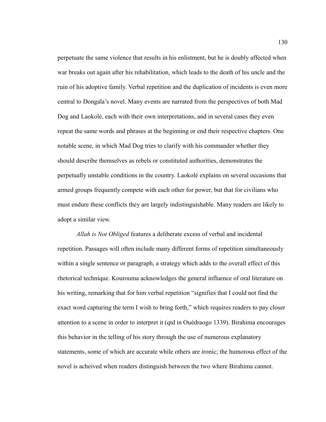perpetuate the same violence that results in his enlistment, but he is doubly affected when war breaks out again after his rehabilitation, which leads to the death of his uncle and the ruin of his adoptive family. Verbal repetition and the duplication of incidents is even more central to Dongala's novel. Many events are narrated from the perspectives of both Mad Dog and Laokolé, each with their own interpretations, and in several cases they even repeat the same words and phrases at the beginning or end their respective chapters. One notable scene, in which Mad Dog tries to clarify with his commander whether they should describe themselves as rebels or constituted authorities, demonstrates the perpetually unstable conditions in the country. Laokolé explains on several occasions that armed groups frequently compete with each other for power, but that for civilians who must endure these conflicts they are largely indistinguishable. Many readers are likely to adopt a similar view.

*Allah is Not Obliged* features a deliberate excess of verbal and incidental repetition. Passages will often include many different forms of repetition simultaneously within a single sentence or paragraph, a strategy which adds to the overall effect of this rhetorical technique. Kourouma acknowledges the general influence of oral literature on his writing, remarking that for him verbal repetition "signifies that I could not find the exact word capturing the term I wish to bring forth," which requires readers to pay closer attention to a scene in order to interpret it (qtd in Ouédraogo 1339). Birahima encourages this behavior in the telling of his story through the use of numerous explanatory statements, some of which are accurate while others are ironic; the humorous effect of the novel is acheived when readers distinguish between the two where Birahima cannot.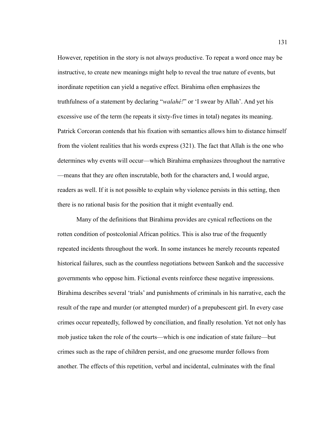However, repetition in the story is not always productive. To repeat a word once may be instructive, to create new meanings might help to reveal the true nature of events, but inordinate repetition can yield a negative effect. Birahima often emphasizes the truthfulness of a statement by declaring "*walahé!*" or 'I swear by Allah'. And yet his excessive use of the term (he repeats it sixty-five times in total) negates its meaning. Patrick Corcoran contends that his fixation with semantics allows him to distance himself from the violent realities that his words express (321). The fact that Allah is the one who determines why events will occur—which Birahima emphasizes throughout the narrative —means that they are often inscrutable, both for the characters and, I would argue, readers as well. If it is not possible to explain why violence persists in this setting, then there is no rational basis for the position that it might eventually end.

Many of the definitions that Birahima provides are cynical reflections on the rotten condition of postcolonial African politics. This is also true of the frequently repeated incidents throughout the work. In some instances he merely recounts repeated historical failures, such as the countless negotiations between Sankoh and the successive governments who oppose him. Fictional events reinforce these negative impressions. Birahima describes several 'trials' and punishments of criminals in his narrative, each the result of the rape and murder (or attempted murder) of a prepubescent girl. In every case crimes occur repeatedly, followed by conciliation, and finally resolution. Yet not only has mob justice taken the role of the courts—which is one indication of state failure—but crimes such as the rape of children persist, and one gruesome murder follows from another. The effects of this repetition, verbal and incidental, culminates with the final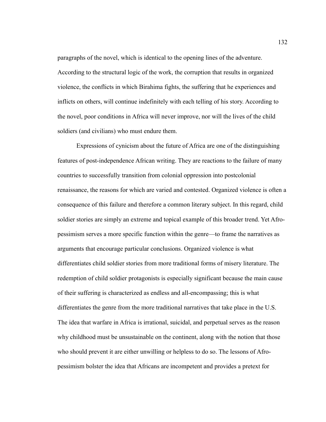paragraphs of the novel, which is identical to the opening lines of the adventure. According to the structural logic of the work, the corruption that results in organized violence, the conflicts in which Birahima fights, the suffering that he experiences and inflicts on others, will continue indefinitely with each telling of his story. According to the novel, poor conditions in Africa will never improve, nor will the lives of the child soldiers (and civilians) who must endure them.

Expressions of cynicism about the future of Africa are one of the distinguishing features of post-independence African writing. They are reactions to the failure of many countries to successfully transition from colonial oppression into postcolonial renaissance, the reasons for which are varied and contested. Organized violence is often a consequence of this failure and therefore a common literary subject. In this regard, child soldier stories are simply an extreme and topical example of this broader trend. Yet Afropessimism serves a more specific function within the genre—to frame the narratives as arguments that encourage particular conclusions. Organized violence is what differentiates child soldier stories from more traditional forms of misery literature. The redemption of child soldier protagonists is especially significant because the main cause of their suffering is characterized as endless and all-encompassing; this is what differentiates the genre from the more traditional narratives that take place in the U.S. The idea that warfare in Africa is irrational, suicidal, and perpetual serves as the reason why childhood must be unsustainable on the continent, along with the notion that those who should prevent it are either unwilling or helpless to do so. The lessons of Afropessimism bolster the idea that Africans are incompetent and provides a pretext for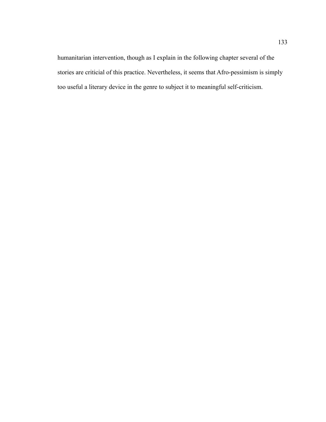humanitarian intervention, though as I explain in the following chapter several of the stories are criticial of this practice. Nevertheless, it seems that Afro-pessimism is simply too useful a literary device in the genre to subject it to meaningful self-criticism.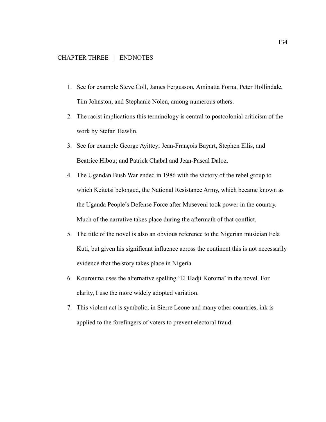- 1. See for example Steve Coll, James Fergusson, Aminatta Forna, Peter Hollindale, Tim Johnston, and Stephanie Nolen, among numerous others.
- 2. The racist implications this terminology is central to postcolonial criticism of the work by Stefan Hawlin.
- 3. See for example George Ayittey; Jean-François Bayart, Stephen Ellis, and Beatrice Hibou; and Patrick Chabal and Jean-Pascal Daloz.
- 4. The Ugandan Bush War ended in 1986 with the victory of the rebel group to which Keitetsi belonged, the National Resistance Army, which became known as the Uganda People's Defense Force after Museveni took power in the country. Much of the narrative takes place during the aftermath of that conflict.
- 5. The title of the novel is also an obvious reference to the Nigerian musician Fela Kuti, but given his significant influence across the continent this is not necessarily evidence that the story takes place in Nigeria.
- 6. Kourouma uses the alternative spelling 'El Hadji Koroma' in the novel. For clarity, I use the more widely adopted variation.
- 7. This violent act is symbolic; in Sierre Leone and many other countries, ink is applied to the forefingers of voters to prevent electoral fraud.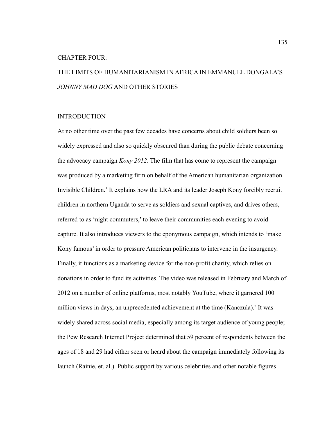#### CHAPTER FOUR:

# THE LIMITS OF HUMANITARIANISM IN AFRICA IN EMMANUEL DONGALA'S *JOHNNY MAD DOG* AND OTHER STORIES

## INTRODUCTION

At no other time over the past few decades have concerns about child soldiers been so widely expressed and also so quickly obscured than during the public debate concerning the advocacy campaign *Kony 2012*. The film that has come to represent the campaign was produced by a marketing firm on behalf of the American humanitarian organization Invisible Children.<sup>1</sup> It explains how the LRA and its leader Joseph Kony forcibly recruit children in northern Uganda to serve as soldiers and sexual captives, and drives others, referred to as 'night commuters,' to leave their communities each evening to avoid capture. It also introduces viewers to the eponymous campaign, which intends to 'make Kony famous' in order to pressure American politicians to intervene in the insurgency. Finally, it functions as a marketing device for the non-profit charity, which relies on donations in order to fund its activities. The video was released in February and March of 2012 on a number of online platforms, most notably YouTube, where it garnered 100 million views in days, an unprecedented achievement at the time (Kanczula).<sup>2</sup> It was widely shared across social media, especially among its target audience of young people; the Pew Research Internet Project determined that 59 percent of respondents between the ages of 18 and 29 had either seen or heard about the campaign immediately following its launch (Rainie, et. al.). Public support by various celebrities and other notable figures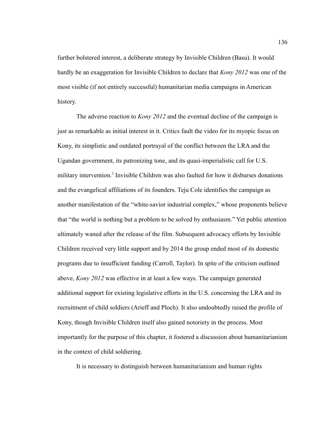further bolstered interest, a deliberate strategy by Invisible Children (Basu). It would hardly be an exaggeration for Invisible Children to declare that *Kony 2012* was one of the most visible (if not entirely successful) humanitarian media campaigns in American history.

The adverse reaction to *Kony 2012* and the eventual decline of the campaign is just as remarkable as initial interest in it. Critics fault the video for its myopic focus on Kony, its simplistic and outdated portrayal of the conflict between the LRA and the Ugandan government, its patronizing tone, and its quasi-imperialistic call for U.S. military intervention.<sup>3</sup> Invisible Children was also faulted for how it disburses donations and the evangelical affiliations of its founders. Teju Cole identifies the campaign as another manifestation of the "white-savior industrial complex," whose proponents believe that "the world is nothing but a problem to be solved by enthusiasm." Yet public attention ultimately waned after the release of the film. Subsequent advocacy efforts by Invisible Children received very little support and by 2014 the group ended most of its domestic programs due to insufficient funding (Carroll, Taylor). In spite of the criticism outlined above, *Kony 2012* was effective in at least a few ways. The campaign generated additional support for existing legislative efforts in the U.S. concerning the LRA and its recruitment of child soldiers (Arieff and Ploch). It also undoubtedly raised the profile of Kony, though Invisible Children itself also gained notoriety in the process. Most importantly for the purpose of this chapter, it fostered a discussion about humanitarianism in the context of child soldiering.

It is necessary to distinguish between humanitarianism and human rights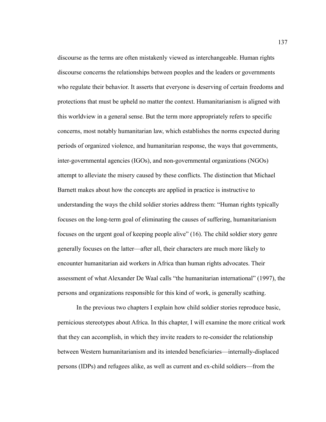discourse as the terms are often mistakenly viewed as interchangeable. Human rights discourse concerns the relationships between peoples and the leaders or governments who regulate their behavior. It asserts that everyone is deserving of certain freedoms and protections that must be upheld no matter the context. Humanitarianism is aligned with this worldview in a general sense. But the term more appropriately refers to specific concerns, most notably humanitarian law, which establishes the norms expected during periods of organized violence, and humanitarian response, the ways that governments, inter-governmental agencies (IGOs), and non-governmental organizations (NGOs) attempt to alleviate the misery caused by these conflicts. The distinction that Michael Barnett makes about how the concepts are applied in practice is instructive to understanding the ways the child soldier stories address them: "Human rights typically focuses on the long-term goal of eliminating the causes of suffering, humanitarianism focuses on the urgent goal of keeping people alive" (16). The child soldier story genre generally focuses on the latter—after all, their characters are much more likely to encounter humanitarian aid workers in Africa than human rights advocates. Their assessment of what Alexander De Waal calls "the humanitarian international" (1997), the persons and organizations responsible for this kind of work, is generally scathing.

In the previous two chapters I explain how child soldier stories reproduce basic, pernicious stereotypes about Africa. In this chapter, I will examine the more critical work that they can accomplish, in which they invite readers to re-consider the relationship between Western humanitarianism and its intended beneficiaries—internally-displaced persons (IDPs) and refugees alike, as well as current and ex-child soldiers—from the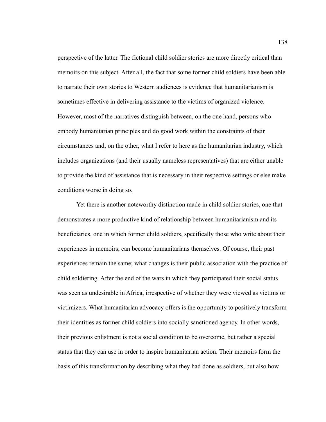perspective of the latter. The fictional child soldier stories are more directly critical than memoirs on this subject. After all, the fact that some former child soldiers have been able to narrate their own stories to Western audiences is evidence that humanitarianism is sometimes effective in delivering assistance to the victims of organized violence. However, most of the narratives distinguish between, on the one hand, persons who embody humanitarian principles and do good work within the constraints of their circumstances and, on the other, what I refer to here as the humanitarian industry, which includes organizations (and their usually nameless representatives) that are either unable to provide the kind of assistance that is necessary in their respective settings or else make conditions worse in doing so.

Yet there is another noteworthy distinction made in child soldier stories, one that demonstrates a more productive kind of relationship between humanitarianism and its beneficiaries, one in which former child soldiers, specifically those who write about their experiences in memoirs, can become humanitarians themselves. Of course, their past experiences remain the same; what changes is their public association with the practice of child soldiering. After the end of the wars in which they participated their social status was seen as undesirable in Africa, irrespective of whether they were viewed as victims or victimizers. What humanitarian advocacy offers is the opportunity to positively transform their identities as former child soldiers into socially sanctioned agency. In other words, their previous enlistment is not a social condition to be overcome, but rather a special status that they can use in order to inspire humanitarian action. Their memoirs form the basis of this transformation by describing what they had done as soldiers, but also how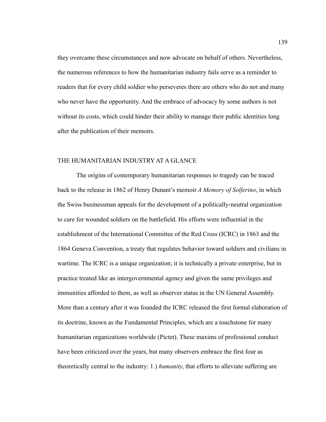they overcame these circumstances and now advocate on behalf of others. Nevertheless, the numerous references to how the humanitarian industry fails serve as a reminder to readers that for every child soldier who perseveres there are others who do not and many who never have the opportunity. And the embrace of advocacy by some authors is not without its costs, which could hinder their ability to manage their public identities long after the publication of their memoirs.

#### THE HUMANITARIAN INDUSTRY AT A GLANCE

The origins of contemporary humanitarian responses to tragedy can be traced back to the release in 1862 of Henry Dunant's memoir *A Memory of Solferino*, in which the Swiss businessman appeals for the development of a politically-neutral organization to care for wounded soldiers on the battlefield. His efforts were influential in the establishment of the International Committee of the Red Cross (ICRC) in 1863 and the 1864 Geneva Convention, a treaty that regulates behavior toward soldiers and civilians in wartime. The ICRC is a unique organization; it is technically a private enterprise, but in practice treated like an intergovernmental agency and given the same privileges and immunities afforded to them, as well as observer status in the UN General Assembly. More than a century after it was founded the ICRC released the first formal elaboration of its doctrine, known as the Fundamental Principles, which are a touchstone for many humanitarian organizations worldwide (Pictet). These maxims of professional conduct have been criticized over the years, but many observers embrace the first four as theoretically central to the industry: 1.) *humanity*, that efforts to alleviate suffering are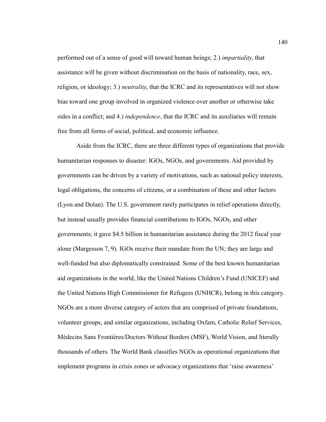performed out of a sense of good will toward human beings; 2.) *impartiality*, that assistance will be given without discrimination on the basis of nationality, race, sex, religion, or ideology; 3.) *neutrality*, that the ICRC and its representatives will not show bias toward one group involved in organized violence over another or otherwise take sides in a conflict; and 4.) *independence*, that the ICRC and its auxiliaries will remain free from all forms of social, political, and economic influence.

Aside from the ICRC, there are three different types of organizations that provide humanitarian responses to disaster: IGOs, NGOs, and governments. Aid provided by governments can be driven by a variety of motivations, such as national policy interests, legal obligations, the concerns of citizens, or a combination of these and other factors (Lyon and Dolan). The U.S. government rarely participates in relief operations directly, but instead usually provides financial contributions to IGOs, NGOs, and other governments; it gave \$4.5 billion in humanitarian assistance during the 2012 fiscal year alone (Margesson 7, 9). IGOs receive their mandate from the UN; they are large and well-funded but also diplomatically constrained. Some of the best known humanitarian aid organizations in the world, like the United Nations Children's Fund (UNICEF) and the United Nations High Commissioner for Refugees (UNHCR), belong in this category. NGOs are a more diverse category of actors that are comprised of private foundations, volunteer groups, and similar organizations, including Oxfam, Catholic Relief Services, Médecins Sans Frontières/Doctors Without Borders (MSF), World Vision, and literally thousands of others. The World Bank classifies NGOs as operational organizations that implement programs in crisis zones or advocacy organizations that 'raise awareness'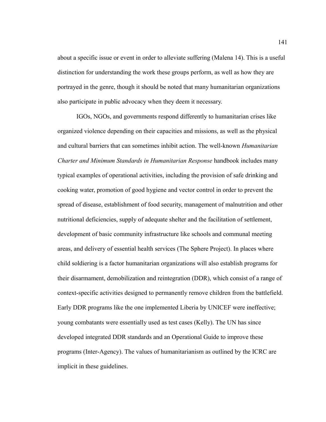about a specific issue or event in order to alleviate suffering (Malena 14). This is a useful distinction for understanding the work these groups perform, as well as how they are portrayed in the genre, though it should be noted that many humanitarian organizations also participate in public advocacy when they deem it necessary.

IGOs, NGOs, and governments respond differently to humanitarian crises like organized violence depending on their capacities and missions, as well as the physical and cultural barriers that can sometimes inhibit action. The well-known *Humanitarian Charter and Minimum Standards in Humanitarian Response* handbook includes many typical examples of operational activities, including the provision of safe drinking and cooking water, promotion of good hygiene and vector control in order to prevent the spread of disease, establishment of food security, management of malnutrition and other nutritional deficiencies, supply of adequate shelter and the facilitation of settlement, development of basic community infrastructure like schools and communal meeting areas, and delivery of essential health services (The Sphere Project). In places where child soldiering is a factor humanitarian organizations will also establish programs for their disarmament, demobilization and reintegration (DDR), which consist of a range of context-specific activities designed to permanently remove children from the battlefield. Early DDR programs like the one implemented Liberia by UNICEF were ineffective; young combatants were essentially used as test cases (Kelly). The UN has since developed integrated DDR standards and an Operational Guide to improve these programs (Inter-Agency). The values of humanitarianism as outlined by the ICRC are implicit in these guidelines.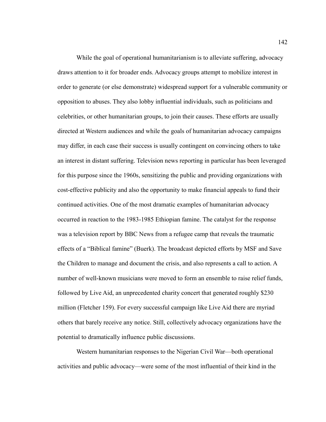While the goal of operational humanitarianism is to alleviate suffering, advocacy draws attention to it for broader ends. Advocacy groups attempt to mobilize interest in order to generate (or else demonstrate) widespread support for a vulnerable community or opposition to abuses. They also lobby influential individuals, such as politicians and celebrities, or other humanitarian groups, to join their causes. These efforts are usually directed at Western audiences and while the goals of humanitarian advocacy campaigns may differ, in each case their success is usually contingent on convincing others to take an interest in distant suffering. Television news reporting in particular has been leveraged for this purpose since the 1960s, sensitizing the public and providing organizations with cost-effective publicity and also the opportunity to make financial appeals to fund their continued activities. One of the most dramatic examples of humanitarian advocacy occurred in reaction to the 1983-1985 Ethiopian famine. The catalyst for the response was a television report by BBC News from a refugee camp that reveals the traumatic effects of a "Biblical famine" (Buerk). The broadcast depicted efforts by MSF and Save the Children to manage and document the crisis, and also represents a call to action. A number of well-known musicians were moved to form an ensemble to raise relief funds, followed by Live Aid, an unprecedented charity concert that generated roughly \$230 million (Fletcher 159). For every successful campaign like Live Aid there are myriad others that barely receive any notice. Still, collectively advocacy organizations have the potential to dramatically influence public discussions.

Western humanitarian responses to the Nigerian Civil War—both operational activities and public advocacy—were some of the most influential of their kind in the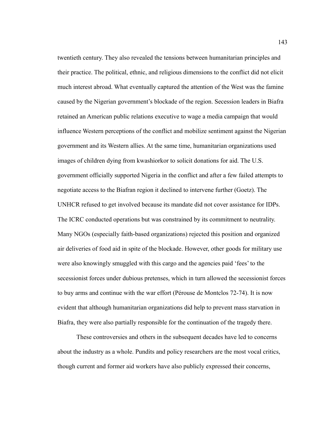twentieth century. They also revealed the tensions between humanitarian principles and their practice. The political, ethnic, and religious dimensions to the conflict did not elicit much interest abroad. What eventually captured the attention of the West was the famine caused by the Nigerian government's blockade of the region. Secession leaders in Biafra retained an American public relations executive to wage a media campaign that would influence Western perceptions of the conflict and mobilize sentiment against the Nigerian government and its Western allies. At the same time, humanitarian organizations used images of children dying from kwashiorkor to solicit donations for aid. The U.S. government officially supported Nigeria in the conflict and after a few failed attempts to negotiate access to the Biafran region it declined to intervene further (Goetz). The UNHCR refused to get involved because its mandate did not cover assistance for IDPs. The ICRC conducted operations but was constrained by its commitment to neutrality. Many NGOs (especially faith-based organizations) rejected this position and organized air deliveries of food aid in spite of the blockade. However, other goods for military use were also knowingly smuggled with this cargo and the agencies paid 'fees' to the secessionist forces under dubious pretenses, which in turn allowed the secessionist forces to buy arms and continue with the war effort (Pérouse de Montclos 72-74). It is now evident that although humanitarian organizations did help to prevent mass starvation in Biafra, they were also partially responsible for the continuation of the tragedy there.

These controversies and others in the subsequent decades have led to concerns about the industry as a whole. Pundits and policy researchers are the most vocal critics, though current and former aid workers have also publicly expressed their concerns,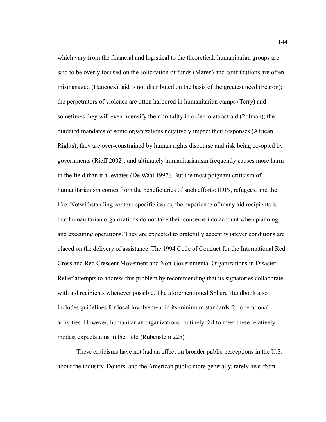which vary from the financial and logistical to the theoretical: humanitarian groups are said to be overly focused on the solicitation of funds (Maren) and contributions are often mismanaged (Hancock); aid is not distributed on the basis of the greatest need (Fearon); the perpetrators of violence are often harbored in humanitarian camps (Terry) and sometimes they will even intensify their brutality in order to attract aid (Polman); the outdated mandates of some organizations negatively impact their responses (African Rights); they are over-constrained by human rights discourse and risk being co-opted by governments (Rieff 2002); and ultimately humanitarianism frequently causes more harm in the field than it alleviates (De Waal 1997). But the most poignant criticism of humanitarianism comes from the beneficiaries of such efforts: IDPs, refugees, and the like. Notwithstanding context-specific issues, the experience of many aid recipients is that humanitarian organizations do not take their concerns into account when planning and executing operations. They are expected to gratefully accept whatever conditions are placed on the delivery of assistance. The 1994 Code of Conduct for the International Red Cross and Red Crescent Movement and Non-Governmental Organizations in Disaster Relief attempts to address this problem by recommending that its signatories collaborate with aid recipients whenever possible. The aforementioned Sphere Handbook also includes guidelines for local involvement in its minimum standards for operational activities. However, humanitarian organizations routinely fail to meet these relatively modest expectations in the field (Rubenstein 225).

These criticisms have not had an effect on broader public perceptions in the U.S. about the industry. Donors, and the American public more generally, rarely hear from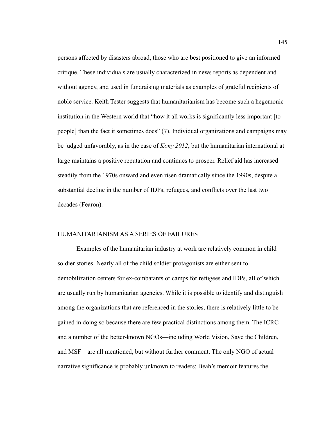persons affected by disasters abroad, those who are best positioned to give an informed critique. These individuals are usually characterized in news reports as dependent and without agency, and used in fundraising materials as examples of grateful recipients of noble service. Keith Tester suggests that humanitarianism has become such a hegemonic institution in the Western world that "how it all works is significantly less important [to people] than the fact it sometimes does" (7). Individual organizations and campaigns may be judged unfavorably, as in the case of *Kony 2012*, but the humanitarian international at large maintains a positive reputation and continues to prosper. Relief aid has increased steadily from the 1970s onward and even risen dramatically since the 1990s, despite a substantial decline in the number of IDPs, refugees, and conflicts over the last two decades (Fearon).

## HUMANITARIANISM AS A SERIES OF FAILURES

Examples of the humanitarian industry at work are relatively common in child soldier stories. Nearly all of the child soldier protagonists are either sent to demobilization centers for ex-combatants or camps for refugees and IDPs, all of which are usually run by humanitarian agencies. While it is possible to identify and distinguish among the organizations that are referenced in the stories, there is relatively little to be gained in doing so because there are few practical distinctions among them. The ICRC and a number of the better-known NGOs—including World Vision, Save the Children, and MSF—are all mentioned, but without further comment. The only NGO of actual narrative significance is probably unknown to readers; Beah's memoir features the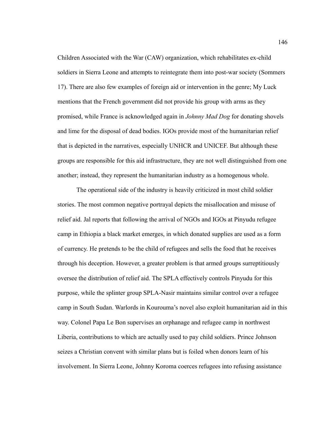Children Associated with the War (CAW) organization, which rehabilitates ex-child soldiers in Sierra Leone and attempts to reintegrate them into post-war society (Sommers 17). There are also few examples of foreign aid or intervention in the genre; My Luck mentions that the French government did not provide his group with arms as they promised, while France is acknowledged again in *Johnny Mad Dog* for donating shovels and lime for the disposal of dead bodies. IGOs provide most of the humanitarian relief that is depicted in the narratives, especially UNHCR and UNICEF. But although these groups are responsible for this aid infrastructure, they are not well distinguished from one another; instead, they represent the humanitarian industry as a homogenous whole.

The operational side of the industry is heavily criticized in most child soldier stories. The most common negative portrayal depicts the misallocation and misuse of relief aid. Jal reports that following the arrival of NGOs and IGOs at Pinyudu refugee camp in Ethiopia a black market emerges, in which donated supplies are used as a form of currency. He pretends to be the child of refugees and sells the food that he receives through his deception. However, a greater problem is that armed groups surreptitiously oversee the distribution of relief aid. The SPLA effectively controls Pinyudu for this purpose, while the splinter group SPLA-Nasir maintains similar control over a refugee camp in South Sudan. Warlords in Kourouma's novel also exploit humanitarian aid in this way. Colonel Papa Le Bon supervises an orphanage and refugee camp in northwest Liberia, contributions to which are actually used to pay child soldiers. Prince Johnson seizes a Christian convent with similar plans but is foiled when donors learn of his involvement. In Sierra Leone, Johnny Koroma coerces refugees into refusing assistance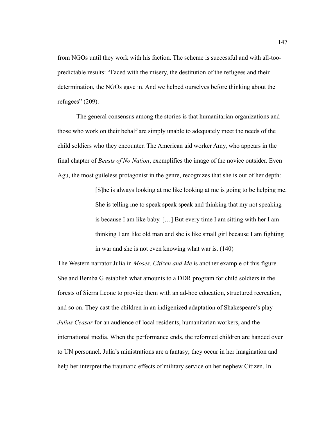from NGOs until they work with his faction. The scheme is successful and with all-toopredictable results: "Faced with the misery, the destitution of the refugees and their determination, the NGOs gave in. And we helped ourselves before thinking about the refugees" (209).

The general consensus among the stories is that humanitarian organizations and those who work on their behalf are simply unable to adequately meet the needs of the child soldiers who they encounter. The American aid worker Amy, who appears in the final chapter of *Beasts of No Nation*, exemplifies the image of the novice outsider. Even Agu, the most guileless protagonist in the genre, recognizes that she is out of her depth:

> [S]he is always looking at me like looking at me is going to be helping me. She is telling me to speak speak speak and thinking that my not speaking is because I am like baby. […] But every time I am sitting with her I am thinking I am like old man and she is like small girl because I am fighting in war and she is not even knowing what war is. (140)

The Western narrator Julia in *Moses, Citizen and Me* is another example of this figure. She and Bemba G establish what amounts to a DDR program for child soldiers in the forests of Sierra Leone to provide them with an ad-hoc education, structured recreation, and so on. They cast the children in an indigenized adaptation of Shakespeare's play *Julius Ceasar* for an audience of local residents, humanitarian workers, and the international media. When the performance ends, the reformed children are handed over to UN personnel. Julia's ministrations are a fantasy; they occur in her imagination and help her interpret the traumatic effects of military service on her nephew Citizen. In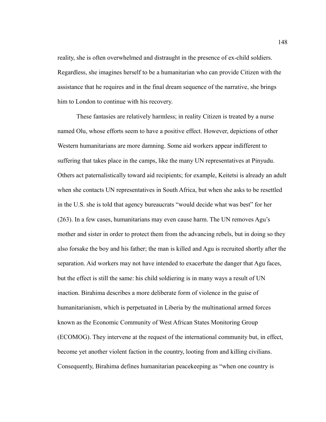reality, she is often overwhelmed and distraught in the presence of ex-child soldiers. Regardless, she imagines herself to be a humanitarian who can provide Citizen with the assistance that he requires and in the final dream sequence of the narrative, she brings him to London to continue with his recovery.

These fantasies are relatively harmless; in reality Citizen is treated by a nurse named Olu, whose efforts seem to have a positive effect. However, depictions of other Western humanitarians are more damning. Some aid workers appear indifferent to suffering that takes place in the camps, like the many UN representatives at Pinyudu. Others act paternalistically toward aid recipients; for example, Keitetsi is already an adult when she contacts UN representatives in South Africa, but when she asks to be resettled in the U.S. she is told that agency bureaucrats "would decide what was best" for her (263). In a few cases, humanitarians may even cause harm. The UN removes Agu's mother and sister in order to protect them from the advancing rebels, but in doing so they also forsake the boy and his father; the man is killed and Agu is recruited shortly after the separation. Aid workers may not have intended to exacerbate the danger that Agu faces, but the effect is still the same: his child soldiering is in many ways a result of UN inaction. Birahima describes a more deliberate form of violence in the guise of humanitarianism, which is perpetuated in Liberia by the multinational armed forces known as the Economic Community of West African States Monitoring Group (ECOMOG). They intervene at the request of the international community but, in effect, become yet another violent faction in the country, looting from and killing civilians. Consequently, Birahima defines humanitarian peacekeeping as "when one country is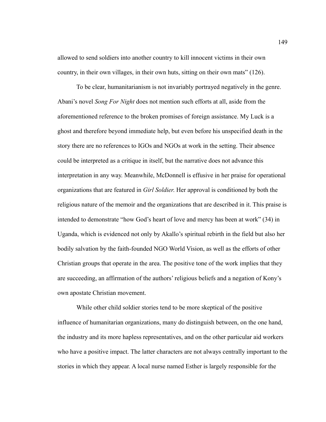allowed to send soldiers into another country to kill innocent victims in their own country, in their own villages, in their own huts, sitting on their own mats" (126).

To be clear, humanitarianism is not invariably portrayed negatively in the genre. Abani's novel *Song For Night* does not mention such efforts at all, aside from the aforementioned reference to the broken promises of foreign assistance. My Luck is a ghost and therefore beyond immediate help, but even before his unspecified death in the story there are no references to IGOs and NGOs at work in the setting. Their absence could be interpreted as a critique in itself, but the narrative does not advance this interpretation in any way. Meanwhile, McDonnell is effusive in her praise for operational organizations that are featured in *Girl Soldier*. Her approval is conditioned by both the religious nature of the memoir and the organizations that are described in it. This praise is intended to demonstrate "how God's heart of love and mercy has been at work" (34) in Uganda, which is evidenced not only by Akallo's spiritual rebirth in the field but also her bodily salvation by the faith-founded NGO World Vision, as well as the efforts of other Christian groups that operate in the area. The positive tone of the work implies that they are succeeding, an affirmation of the authors' religious beliefs and a negation of Kony's own apostate Christian movement.

While other child soldier stories tend to be more skeptical of the positive influence of humanitarian organizations, many do distinguish between, on the one hand, the industry and its more hapless representatives, and on the other particular aid workers who have a positive impact. The latter characters are not always centrally important to the stories in which they appear. A local nurse named Esther is largely responsible for the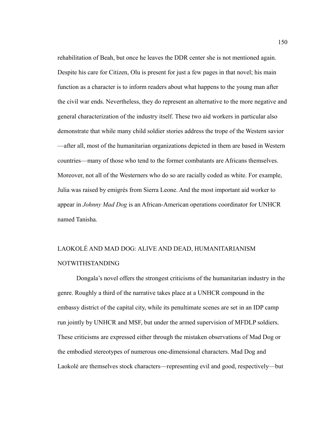rehabilitation of Beah, but once he leaves the DDR center she is not mentioned again. Despite his care for Citizen, Olu is present for just a few pages in that novel; his main function as a character is to inform readers about what happens to the young man after the civil war ends. Nevertheless, they do represent an alternative to the more negative and general characterization of the industry itself. These two aid workers in particular also demonstrate that while many child soldier stories address the trope of the Western savior —after all, most of the humanitarian organizations depicted in them are based in Western countries—many of those who tend to the former combatants are Africans themselves. Moreover, not all of the Westerners who do so are racially coded as white. For example, Julia was raised by emigrés from Sierra Leone. And the most important aid worker to appear in *Johnny Mad Dog* is an African-American operations coordinator for UNHCR named Tanisha.

# LAOKOLÉ AND MAD DOG: ALIVE AND DEAD, HUMANITARIANISM NOTWITHSTANDING

Dongala's novel offers the strongest criticisms of the humanitarian industry in the genre. Roughly a third of the narrative takes place at a UNHCR compound in the embassy district of the capital city, while its penultimate scenes are set in an IDP camp run jointly by UNHCR and MSF, but under the armed supervision of MFDLP soldiers. These criticisms are expressed either through the mistaken observations of Mad Dog or the embodied stereotypes of numerous one-dimensional characters. Mad Dog and Laokolé are themselves stock characters—representing evil and good, respectively—but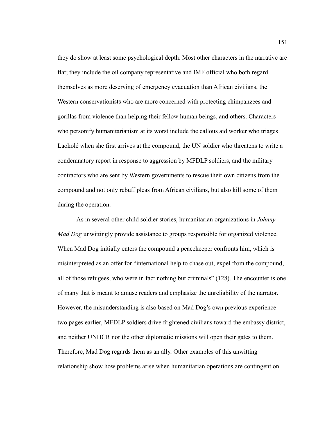they do show at least some psychological depth. Most other characters in the narrative are flat; they include the oil company representative and IMF official who both regard themselves as more deserving of emergency evacuation than African civilians, the Western conservationists who are more concerned with protecting chimpanzees and gorillas from violence than helping their fellow human beings, and others. Characters who personify humanitarianism at its worst include the callous aid worker who triages Laokolé when she first arrives at the compound, the UN soldier who threatens to write a condemnatory report in response to aggression by MFDLP soldiers, and the military contractors who are sent by Western governments to rescue their own citizens from the compound and not only rebuff pleas from African civilians, but also kill some of them during the operation.

As in several other child soldier stories, humanitarian organizations in *Johnny Mad Dog* unwittingly provide assistance to groups responsible for organized violence. When Mad Dog initially enters the compound a peacekeeper confronts him, which is misinterpreted as an offer for "international help to chase out, expel from the compound, all of those refugees, who were in fact nothing but criminals" (128). The encounter is one of many that is meant to amuse readers and emphasize the unreliability of the narrator. However, the misunderstanding is also based on Mad Dog's own previous experience two pages earlier, MFDLP soldiers drive frightened civilians toward the embassy district, and neither UNHCR nor the other diplomatic missions will open their gates to them. Therefore, Mad Dog regards them as an ally. Other examples of this unwitting relationship show how problems arise when humanitarian operations are contingent on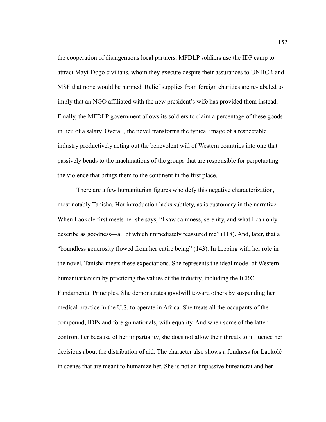the cooperation of disingenuous local partners. MFDLP soldiers use the IDP camp to attract Mayi-Dogo civilians, whom they execute despite their assurances to UNHCR and MSF that none would be harmed. Relief supplies from foreign charities are re-labeled to imply that an NGO affiliated with the new president's wife has provided them instead. Finally, the MFDLP government allows its soldiers to claim a percentage of these goods in lieu of a salary. Overall, the novel transforms the typical image of a respectable industry productively acting out the benevolent will of Western countries into one that passively bends to the machinations of the groups that are responsible for perpetuating the violence that brings them to the continent in the first place.

There are a few humanitarian figures who defy this negative characterization, most notably Tanisha. Her introduction lacks subtlety, as is customary in the narrative. When Laokolé first meets her she says, "I saw calmness, serenity, and what I can only describe as goodness—all of which immediately reassured me" (118). And, later, that a "boundless generosity flowed from her entire being" (143). In keeping with her role in the novel, Tanisha meets these expectations. She represents the ideal model of Western humanitarianism by practicing the values of the industry, including the ICRC Fundamental Principles. She demonstrates goodwill toward others by suspending her medical practice in the U.S. to operate in Africa. She treats all the occupants of the compound, IDPs and foreign nationals, with equality. And when some of the latter confront her because of her impartiality, she does not allow their threats to influence her decisions about the distribution of aid. The character also shows a fondness for Laokolé in scenes that are meant to humanize her. She is not an impassive bureaucrat and her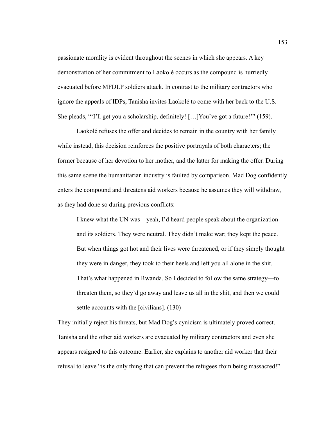passionate morality is evident throughout the scenes in which she appears. A key demonstration of her commitment to Laokolé occurs as the compound is hurriedly evacuated before MFDLP soldiers attack. In contrast to the military contractors who ignore the appeals of IDPs, Tanisha invites Laokolé to come with her back to the U.S. She pleads, "'I'll get you a scholarship, definitely! […]You've got a future!'" (159).

Laokolé refuses the offer and decides to remain in the country with her family while instead, this decision reinforces the positive portrayals of both characters; the former because of her devotion to her mother, and the latter for making the offer. During this same scene the humanitarian industry is faulted by comparison. Mad Dog confidently enters the compound and threatens aid workers because he assumes they will withdraw, as they had done so during previous conflicts:

I knew what the UN was—yeah, I'd heard people speak about the organization and its soldiers. They were neutral. They didn't make war; they kept the peace. But when things got hot and their lives were threatened, or if they simply thought they were in danger, they took to their heels and left you all alone in the shit. That's what happened in Rwanda. So I decided to follow the same strategy—to threaten them, so they'd go away and leave us all in the shit, and then we could settle accounts with the [civilians]. (130)

They initially reject his threats, but Mad Dog's cynicism is ultimately proved correct. Tanisha and the other aid workers are evacuated by military contractors and even she appears resigned to this outcome. Earlier, she explains to another aid worker that their refusal to leave "is the only thing that can prevent the refugees from being massacred!"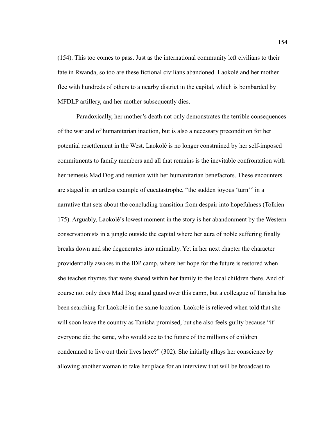(154). This too comes to pass. Just as the international community left civilians to their fate in Rwanda, so too are these fictional civilians abandoned. Laokolé and her mother flee with hundreds of others to a nearby district in the capital, which is bombarded by MFDLP artillery, and her mother subsequently dies.

Paradoxically, her mother's death not only demonstrates the terrible consequences of the war and of humanitarian inaction, but is also a necessary precondition for her potential resettlement in the West. Laokolé is no longer constrained by her self-imposed commitments to family members and all that remains is the inevitable confrontation with her nemesis Mad Dog and reunion with her humanitarian benefactors. These encounters are staged in an artless example of eucatastrophe, "the sudden joyous 'turn'" in a narrative that sets about the concluding transition from despair into hopefulness (Tolkien 175). Arguably, Laokolé's lowest moment in the story is her abandonment by the Western conservationists in a jungle outside the capital where her aura of noble suffering finally breaks down and she degenerates into animality. Yet in her next chapter the character providentially awakes in the IDP camp, where her hope for the future is restored when she teaches rhymes that were shared within her family to the local children there. And of course not only does Mad Dog stand guard over this camp, but a colleague of Tanisha has been searching for Laokolé in the same location. Laokolé is relieved when told that she will soon leave the country as Tanisha promised, but she also feels guilty because "if" everyone did the same, who would see to the future of the millions of children condemned to live out their lives here?" (302). She initially allays her conscience by allowing another woman to take her place for an interview that will be broadcast to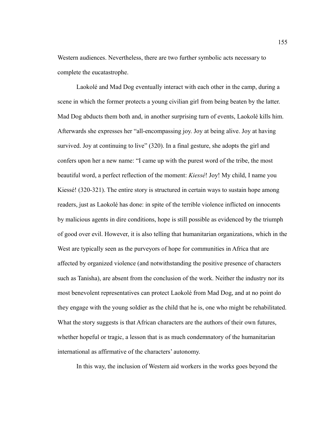Western audiences. Nevertheless, there are two further symbolic acts necessary to complete the eucatastrophe.

Laokolé and Mad Dog eventually interact with each other in the camp, during a scene in which the former protects a young civilian girl from being beaten by the latter. Mad Dog abducts them both and, in another surprising turn of events, Laokolé kills him. Afterwards she expresses her "all-encompassing joy. Joy at being alive. Joy at having survived. Joy at continuing to live" (320). In a final gesture, she adopts the girl and confers upon her a new name: "I came up with the purest word of the tribe, the most beautiful word, a perfect reflection of the moment: *Kiessé*! Joy! My child, I name you Kiessé! (320-321). The entire story is structured in certain ways to sustain hope among readers, just as Laokolé has done: in spite of the terrible violence inflicted on innocents by malicious agents in dire conditions, hope is still possible as evidenced by the triumph of good over evil. However, it is also telling that humanitarian organizations, which in the West are typically seen as the purveyors of hope for communities in Africa that are affected by organized violence (and notwithstanding the positive presence of characters such as Tanisha), are absent from the conclusion of the work. Neither the industry nor its most benevolent representatives can protect Laokolé from Mad Dog, and at no point do they engage with the young soldier as the child that he is, one who might be rehabilitated. What the story suggests is that African characters are the authors of their own futures, whether hopeful or tragic, a lesson that is as much condemnatory of the humanitarian international as affirmative of the characters' autonomy.

In this way, the inclusion of Western aid workers in the works goes beyond the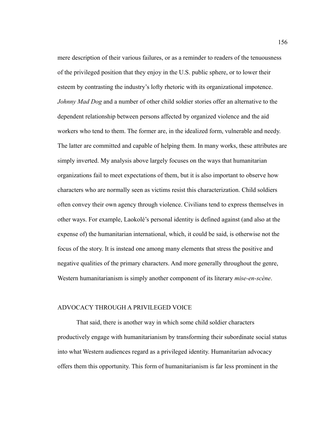mere description of their various failures, or as a reminder to readers of the tenuousness of the privileged position that they enjoy in the U.S. public sphere, or to lower their esteem by contrasting the industry's lofty rhetoric with its organizational impotence. *Johnny Mad Dog* and a number of other child soldier stories offer an alternative to the dependent relationship between persons affected by organized violence and the aid workers who tend to them. The former are, in the idealized form, vulnerable and needy. The latter are committed and capable of helping them. In many works, these attributes are simply inverted. My analysis above largely focuses on the ways that humanitarian organizations fail to meet expectations of them, but it is also important to observe how characters who are normally seen as victims resist this characterization. Child soldiers often convey their own agency through violence. Civilians tend to express themselves in other ways. For example, Laokolé's personal identity is defined against (and also at the expense of) the humanitarian international, which, it could be said, is otherwise not the focus of the story. It is instead one among many elements that stress the positive and negative qualities of the primary characters. And more generally throughout the genre, Western humanitarianism is simply another component of its literary *mise-en-scène*.

## ADVOCACY THROUGH A PRIVILEGED VOICE

That said, there is another way in which some child soldier characters productively engage with humanitarianism by transforming their subordinate social status into what Western audiences regard as a privileged identity. Humanitarian advocacy offers them this opportunity. This form of humanitarianism is far less prominent in the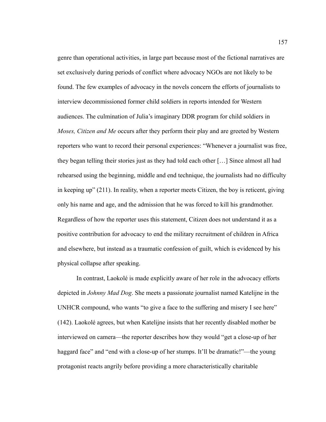genre than operational activities, in large part because most of the fictional narratives are set exclusively during periods of conflict where advocacy NGOs are not likely to be found. The few examples of advocacy in the novels concern the efforts of journalists to interview decommissioned former child soldiers in reports intended for Western audiences. The culmination of Julia's imaginary DDR program for child soldiers in *Moses, Citizen and Me* occurs after they perform their play and are greeted by Western reporters who want to record their personal experiences: "Whenever a journalist was free, they began telling their stories just as they had told each other […] Since almost all had rehearsed using the beginning, middle and end technique, the journalists had no difficulty in keeping up" (211). In reality, when a reporter meets Citizen, the boy is reticent, giving only his name and age, and the admission that he was forced to kill his grandmother. Regardless of how the reporter uses this statement, Citizen does not understand it as a positive contribution for advocacy to end the military recruitment of children in Africa and elsewhere, but instead as a traumatic confession of guilt, which is evidenced by his physical collapse after speaking.

In contrast, Laokolé is made explicitly aware of her role in the advocacy efforts depicted in *Johnny Mad Dog*. She meets a passionate journalist named Katelijne in the UNHCR compound, who wants "to give a face to the suffering and misery I see here" (142). Laokolé agrees, but when Katelijne insists that her recently disabled mother be interviewed on camera—the reporter describes how they would "get a close-up of her haggard face" and "end with a close-up of her stumps. It'll be dramatic!"—the young protagonist reacts angrily before providing a more characteristically charitable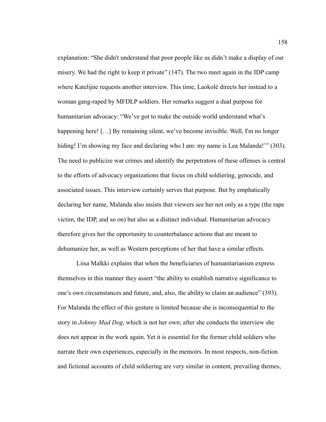explanation: "She didn't understand that poor people like us didn't make a display of our misery. We had the right to keep it private" (147). The two meet again in the IDP camp where Katelijne requests another interview. This time, Laokolé directs her instead to a woman gang-raped by MFDLP soldiers. Her remarks suggest a dual purpose for humanitarian advocacy: "We've got to make the outside world understand what's happening here! [...] By remaining silent, we've become invisible. Well, I'm no longer hiding! I'm showing my face and declaring who I am: my name is Lea Malanda!" (303). The need to publicize war crimes and identify the perpetrators of these offenses is central to the efforts of advocacy organizations that focus on child soldiering, genocide, and associated issues. This interview certainly serves that purpose. But by emphatically declaring her name, Malanda also insists that viewers see her not only as a type (the rape victim, the IDP, and so on) but also as a distinct individual. Humanitarian advocacy therefore gives her the opportunity to counterbalance actions that are meant to dehumanize her, as well as Western perceptions of her that have a similar effects.

Liisa Malkki explains that when the beneficiaries of humanitarianism express themselves in this manner they assert "the ability to establish narrative significance to one's own circumstances and future, and, also, the ability to claim an audience" (393). For Malanda the effect of this gesture is limited because she is inconsequential to the story in *Johnny Mad Dog*, which is not her own; after she conducts the interview she does not appear in the work again. Yet it is essential for the former child soldiers who narrate their own experiences, especially in the memoirs. In most respects, non-fiction and fictional accounts of child soldiering are very similar in content, prevailing themes,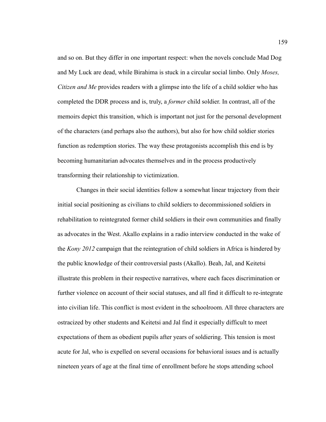and so on. But they differ in one important respect: when the novels conclude Mad Dog and My Luck are dead, while Birahima is stuck in a circular social limbo. Only *Moses, Citizen and Me* provides readers with a glimpse into the life of a child soldier who has completed the DDR process and is, truly, a *former* child soldier. In contrast, all of the memoirs depict this transition, which is important not just for the personal development of the characters (and perhaps also the authors), but also for how child soldier stories function as redemption stories. The way these protagonists accomplish this end is by becoming humanitarian advocates themselves and in the process productively transforming their relationship to victimization.

Changes in their social identities follow a somewhat linear trajectory from their initial social positioning as civilians to child soldiers to decommissioned soldiers in rehabilitation to reintegrated former child soldiers in their own communities and finally as advocates in the West. Akallo explains in a radio interview conducted in the wake of the *Kony 2012* campaign that the reintegration of child soldiers in Africa is hindered by the public knowledge of their controversial pasts (Akallo). Beah, Jal, and Keitetsi illustrate this problem in their respective narratives, where each faces discrimination or further violence on account of their social statuses, and all find it difficult to re-integrate into civilian life. This conflict is most evident in the schoolroom. All three characters are ostracized by other students and Keitetsi and Jal find it especially difficult to meet expectations of them as obedient pupils after years of soldiering. This tension is most acute for Jal, who is expelled on several occasions for behavioral issues and is actually nineteen years of age at the final time of enrollment before he stops attending school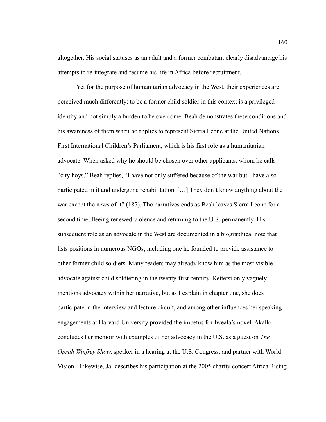altogether. His social statuses as an adult and a former combatant clearly disadvantage his attempts to re-integrate and resume his life in Africa before recruitment.

Yet for the purpose of humanitarian advocacy in the West, their experiences are perceived much differently: to be a former child soldier in this context is a privileged identity and not simply a burden to be overcome. Beah demonstrates these conditions and his awareness of them when he applies to represent Sierra Leone at the United Nations First International Children's Parliament, which is his first role as a humanitarian advocate. When asked why he should be chosen over other applicants, whom he calls "city boys," Beah replies, "I have not only suffered because of the war but I have also participated in it and undergone rehabilitation. […] They don't know anything about the war except the news of it" (187). The narratives ends as Beah leaves Sierra Leone for a second time, fleeing renewed violence and returning to the U.S. permanently. His subsequent role as an advocate in the West are documented in a biographical note that lists positions in numerous NGOs, including one he founded to provide assistance to other former child soldiers. Many readers may already know him as the most visible advocate against child soldiering in the twenty-first century. Keitetsi only vaguely mentions advocacy within her narrative, but as I explain in chapter one, she does participate in the interview and lecture circuit, and among other influences her speaking engagements at Harvard University provided the impetus for Iweala's novel. Akallo concludes her memoir with examples of her advocacy in the U.S. as a guest on *The Oprah Winfrey Show*, speaker in a hearing at the U.S. Congress, and partner with World Vision.<sup>4</sup> Likewise, Jal describes his participation at the 2005 charity concert Africa Rising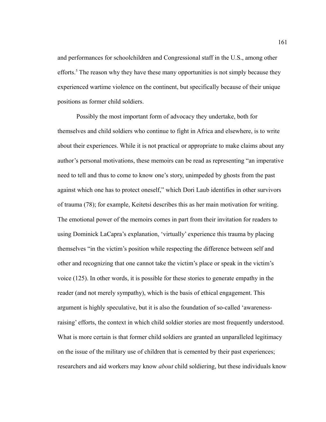and performances for schoolchildren and Congressional staff in the U.S., among other efforts.<sup>5</sup> The reason why they have these many opportunities is not simply because they experienced wartime violence on the continent, but specifically because of their unique positions as former child soldiers.

Possibly the most important form of advocacy they undertake, both for themselves and child soldiers who continue to fight in Africa and elsewhere, is to write about their experiences. While it is not practical or appropriate to make claims about any author's personal motivations, these memoirs can be read as representing "an imperative need to tell and thus to come to know one's story, unimpeded by ghosts from the past against which one has to protect oneself," which Dori Laub identifies in other survivors of trauma (78); for example, Keitetsi describes this as her main motivation for writing. The emotional power of the memoirs comes in part from their invitation for readers to using Dominick LaCapra's explanation, 'virtually' experience this trauma by placing themselves "in the victim's position while respecting the difference between self and other and recognizing that one cannot take the victim's place or speak in the victim's voice (125). In other words, it is possible for these stories to generate empathy in the reader (and not merely sympathy), which is the basis of ethical engagement. This argument is highly speculative, but it is also the foundation of so-called 'awarenessraising' efforts, the context in which child soldier stories are most frequently understood. What is more certain is that former child soldiers are granted an unparalleled legitimacy on the issue of the military use of children that is cemented by their past experiences; researchers and aid workers may know *about* child soldiering, but these individuals know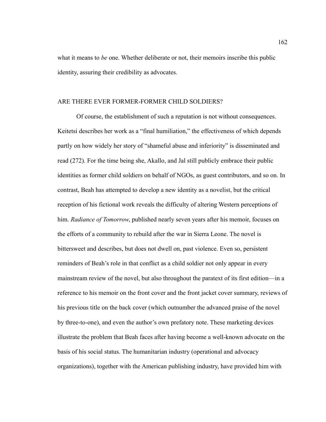what it means to *be* one. Whether deliberate or not, their memoirs inscribe this public identity, assuring their credibility as advocates.

## ARE THERE EVER FORMER-FORMER CHILD SOLDIERS?

Of course, the establishment of such a reputation is not without consequences. Keitetsi describes her work as a "final humiliation," the effectiveness of which depends partly on how widely her story of "shameful abuse and inferiority" is disseminated and read (272). For the time being she, Akallo, and Jal still publicly embrace their public identities as former child soldiers on behalf of NGOs, as guest contributors, and so on. In contrast, Beah has attempted to develop a new identity as a novelist, but the critical reception of his fictional work reveals the difficulty of altering Western perceptions of him. *Radiance of Tomorrow*, published nearly seven years after his memoir, focuses on the efforts of a community to rebuild after the war in Sierra Leone. The novel is bittersweet and describes, but does not dwell on, past violence. Even so, persistent reminders of Beah's role in that conflict as a child soldier not only appear in every mainstream review of the novel, but also throughout the paratext of its first edition—in a reference to his memoir on the front cover and the front jacket cover summary, reviews of his previous title on the back cover (which outnumber the advanced praise of the novel by three-to-one), and even the author's own prefatory note. These marketing devices illustrate the problem that Beah faces after having become a well-known advocate on the basis of his social status. The humanitarian industry (operational and advocacy organizations), together with the American publishing industry, have provided him with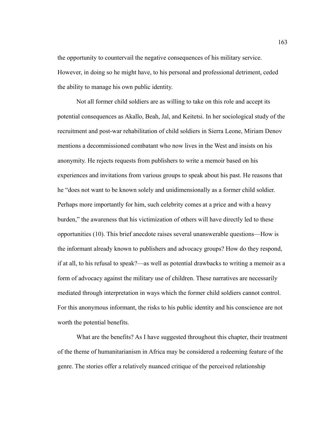the opportunity to countervail the negative consequences of his military service. However, in doing so he might have, to his personal and professional detriment, ceded the ability to manage his own public identity.

Not all former child soldiers are as willing to take on this role and accept its potential consequences as Akallo, Beah, Jal, and Keitetsi. In her sociological study of the recruitment and post-war rehabilitation of child soldiers in Sierra Leone, Miriam Denov mentions a decommissioned combatant who now lives in the West and insists on his anonymity. He rejects requests from publishers to write a memoir based on his experiences and invitations from various groups to speak about his past. He reasons that he "does not want to be known solely and unidimensionally as a former child soldier. Perhaps more importantly for him, such celebrity comes at a price and with a heavy burden," the awareness that his victimization of others will have directly led to these opportunities (10). This brief anecdote raises several unanswerable questions—How is the informant already known to publishers and advocacy groups? How do they respond, if at all, to his refusal to speak?—as well as potential drawbacks to writing a memoir as a form of advocacy against the military use of children. These narratives are necessarily mediated through interpretation in ways which the former child soldiers cannot control. For this anonymous informant, the risks to his public identity and his conscience are not worth the potential benefits.

What are the benefits? As I have suggested throughout this chapter, their treatment of the theme of humanitarianism in Africa may be considered a redeeming feature of the genre. The stories offer a relatively nuanced critique of the perceived relationship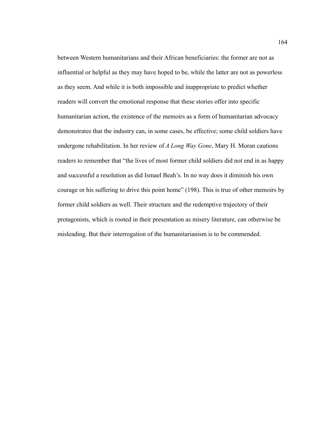between Western humanitarians and their African beneficiaries: the former are not as influential or helpful as they may have hoped to be, while the latter are not as powerless as they seem. And while it is both impossible and inappropriate to predict whether readers will convert the emotional response that these stories offer into specific humanitarian action, the existence of the memoirs as a form of humanitarian advocacy demonstrates that the industry can, in some cases, be effective; some child soldiers have undergone rehabilitation. In her review of *A Long Way Gone*, Mary H. Moran cautions readers to remember that "the lives of most former child soldiers did not end in as happy and successful a resolution as did Ismael Beah's. In no way does it diminish his own courage or his suffering to drive this point home" (198). This is true of other memoirs by former child soldiers as well. Their structure and the redemptive trajectory of their protagonists, which is rooted in their presentation as misery literature, can otherwise be misleading. But their interrogation of the humanitarianism is to be commended.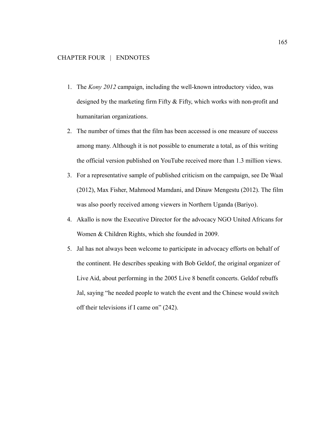- 1. The *Kony 2012* campaign, including the well-known introductory video, was designed by the marketing firm Fifty & Fifty, which works with non-profit and humanitarian organizations.
- 2. The number of times that the film has been accessed is one measure of success among many. Although it is not possible to enumerate a total, as of this writing the official version published on YouTube received more than 1.3 million views.
- 3. For a representative sample of published criticism on the campaign, see De Waal (2012), Max Fisher, Mahmood Mamdani, and Dinaw Mengestu (2012). The film was also poorly received among viewers in Northern Uganda (Bariyo).
- 4. Akallo is now the Executive Director for the advocacy NGO United Africans for Women & Children Rights, which she founded in 2009.
- 5. Jal has not always been welcome to participate in advocacy efforts on behalf of the continent. He describes speaking with Bob Geldof, the original organizer of Live Aid, about performing in the 2005 Live 8 benefit concerts. Geldof rebuffs Jal, saying "he needed people to watch the event and the Chinese would switch off their televisions if I came on" (242).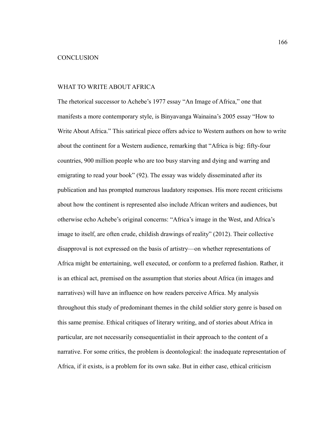## **CONCLUSION**

#### WHAT TO WRITE ABOUT AFRICA

The rhetorical successor to Achebe's 1977 essay "An Image of Africa," one that manifests a more contemporary style, is Binyavanga Wainaina's 2005 essay "How to Write About Africa." This satirical piece offers advice to Western authors on how to write about the continent for a Western audience, remarking that "Africa is big: fifty-four countries, 900 million people who are too busy starving and dying and warring and emigrating to read your book" (92). The essay was widely disseminated after its publication and has prompted numerous laudatory responses. His more recent criticisms about how the continent is represented also include African writers and audiences, but otherwise echo Achebe's original concerns: "Africa's image in the West, and Africa's image to itself, are often crude, childish drawings of reality" (2012). Their collective disapproval is not expressed on the basis of artistry—on whether representations of Africa might be entertaining, well executed, or conform to a preferred fashion. Rather, it is an ethical act, premised on the assumption that stories about Africa (in images and narratives) will have an influence on how readers perceive Africa. My analysis throughout this study of predominant themes in the child soldier story genre is based on this same premise. Ethical critiques of literary writing, and of stories about Africa in particular, are not necessarily consequentialist in their approach to the content of a narrative. For some critics, the problem is deontological: the inadequate representation of Africa, if it exists, is a problem for its own sake. But in either case, ethical criticism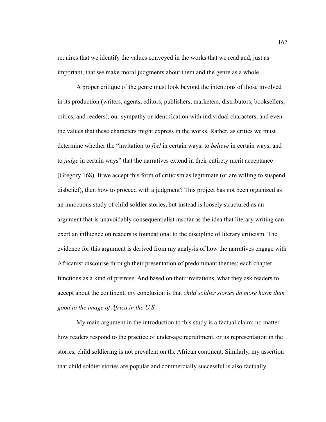requires that we identify the values conveyed in the works that we read and, just as important, that we make moral judgments about them and the genre as a whole.

A proper critique of the genre must look beyond the intentions of those involved in its production (writers, agents, editors, publishers, marketers, distributors, booksellers, critics, and readers), our sympathy or identification with individual characters, and even the values that these characters might express in the works. Rather, as critics we must determine whether the "invitation to *feel* in certain ways, to *believe* in certain ways, and to *judge* in certain ways" that the narratives extend in their entirety merit acceptance (Gregory 168). If we accept this form of criticism as legitimate (or are willing to suspend disbelief), then how to proceed with a judgment? This project has not been organized as an innocuous study of child soldier stories, but instead is loosely structured as an argument that is unavoidably consequentialist insofar as the idea that literary writing can exert an influence on readers is foundational to the discipline of literary criticism. The evidence for this argument is derived from my analysis of how the narratives engage with Africanist discourse through their presentation of predominant themes; each chapter functions as a kind of premise. And based on their invitations, what they ask readers to accept about the continent, my conclusion is that *child soldier stories do more harm than good to the image of Africa in the U.S.*

My main argument in the introduction to this study is a factual claim: no matter how readers respond to the practice of under-age recruitment, or its representation in the stories, child soldiering is not prevalent on the African continent. Similarly, my assertion that child soldier stories are popular and commercially successful is also factually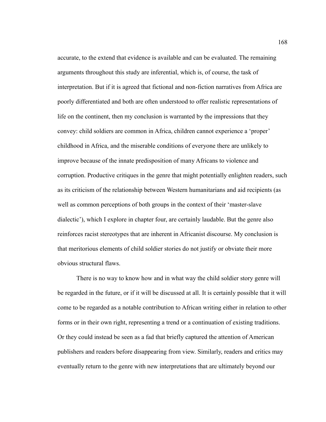accurate, to the extend that evidence is available and can be evaluated. The remaining arguments throughout this study are inferential, which is, of course, the task of interpretation. But if it is agreed that fictional and non-fiction narratives from Africa are poorly differentiated and both are often understood to offer realistic representations of life on the continent, then my conclusion is warranted by the impressions that they convey: child soldiers are common in Africa, children cannot experience a 'proper' childhood in Africa, and the miserable conditions of everyone there are unlikely to improve because of the innate predisposition of many Africans to violence and corruption. Productive critiques in the genre that might potentially enlighten readers, such as its criticism of the relationship between Western humanitarians and aid recipients (as well as common perceptions of both groups in the context of their 'master-slave dialectic'), which I explore in chapter four, are certainly laudable. But the genre also reinforces racist stereotypes that are inherent in Africanist discourse. My conclusion is that meritorious elements of child soldier stories do not justify or obviate their more obvious structural flaws.

There is no way to know how and in what way the child soldier story genre will be regarded in the future, or if it will be discussed at all. It is certainly possible that it will come to be regarded as a notable contribution to African writing either in relation to other forms or in their own right, representing a trend or a continuation of existing traditions. Or they could instead be seen as a fad that briefly captured the attention of American publishers and readers before disappearing from view. Similarly, readers and critics may eventually return to the genre with new interpretations that are ultimately beyond our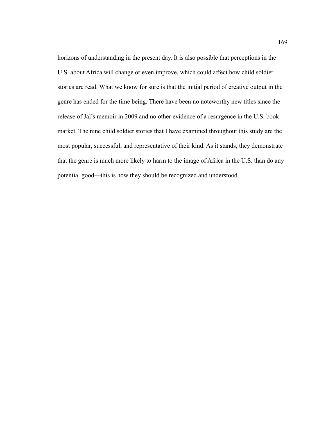horizons of understanding in the present day. It is also possible that perceptions in the U.S. about Africa will change or even improve, which could affect how child soldier stories are read. What we know for sure is that the initial period of creative output in the genre has ended for the time being. There have been no noteworthy new titles since the release of Jal's memoir in 2009 and no other evidence of a resurgence in the U.S. book market. The nine child soldier stories that I have examined throughout this study are the most popular, successful, and representative of their kind. As it stands, they demonstrate that the genre is much more likely to harm to the image of Africa in the U.S. than do any potential good—this is how they should be recognized and understood.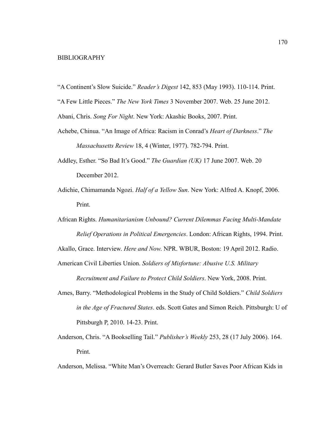#### BIBLIOGRAPHY

"A Continent's Slow Suicide." *Reader's Digest* 142, 853 (May 1993). 110-114. Print.

"A Few Little Pieces." *The New York Times* 3 November 2007. Web. 25 June 2012.

Abani, Chris. *Song For Night*. New York: Akashic Books, 2007. Print.

- Achebe, Chinua. "An Image of Africa: Racism in Conrad's *Heart of Darkness*." *The Massachusetts Review* 18, 4 (Winter, 1977). 782-794. Print.
- Addley, Esther. "So Bad It's Good." *The Guardian (UK)* 17 June 2007. Web. 20 December 2012.
- Adichie, Chimamanda Ngozi. *Half of a Yellow Sun*. New York: Alfred A. Knopf, 2006. Print.
- African Rights. *Humanitarianism Unbound? Current Dilemmas Facing Multi-Mandate Relief Operations in Political Emergencies*. London: African Rights, 1994. Print.

Akallo, Grace. Interview. *Here and Now*. NPR. WBUR, Boston: 19 April 2012. Radio.

American Civil Liberties Union. *Soldiers of Misfortune: Abusive U.S. Military*

*Recruitment and Failure to Protect Child Soldiers*. New York, 2008. Print.

- Ames, Barry. "Methodological Problems in the Study of Child Soldiers." *Child Soldiers in the Age of Fractured States*. eds. Scott Gates and Simon Reich. Pittsburgh: U of Pittsburgh P, 2010. 14-23. Print.
- Anderson, Chris. "A Bookselling Tail." *Publisher's Weekly* 253, 28 (17 July 2006). 164. Print.

Anderson, Melissa. "White Man's Overreach: Gerard Butler Saves Poor African Kids in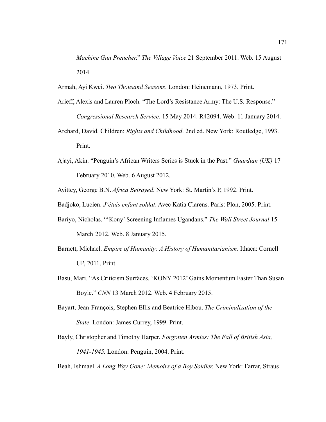*Machine Gun Preacher*." *The Village Voice* 21 September 2011. Web. 15 August 2014.

Armah, Ayi Kwei. *Two Thousand Seasons*. London: Heinemann, 1973. Print.

- Arieff, Alexis and Lauren Ploch. "The Lord's Resistance Army: The U.S. Response." *Congressional Research Service*. 15 May 2014. R42094. Web. 11 January 2014.
- Archard, David. Children: *Rights and Childhood*. 2nd ed. New York: Routledge, 1993. Print.
- Ajayi, Akin. "Penguin's African Writers Series is Stuck in the Past." *Guardian (UK)* 17 February 2010. Web. 6 August 2012.

Ayittey, George B.N. *Africa Betrayed*. New York: St. Martin's P, 1992. Print.

Badjoko, Lucien. *J'étais enfant soldat*. Avec Katia Clarens. Paris: Plon, 2005. Print.

- Bariyo, Nicholas. "'Kony' Screening Inflames Ugandans." *The Wall Street Journal* 15 March 2012. Web. 8 January 2015.
- Barnett, Michael. *Empire of Humanity: A History of Humanitarianism*. Ithaca: Cornell UP, 2011. Print.
- Basu, Mari. "As Criticism Surfaces, 'KONY 2012' Gains Momentum Faster Than Susan Boyle." *CNN* 13 March 2012. Web. 4 February 2015.
- Bayart, Jean-François, Stephen Ellis and Beatrice Hibou. *The Criminalization of the State*. London: James Currey, 1999. Print.
- Bayly, Christopher and Timothy Harper. *Forgotten Armies: The Fall of British Asia, 1941-1945.* London: Penguin, 2004. Print.

Beah, Ishmael. *A Long Way Gone: Memoirs of a Boy Soldier*. New York: Farrar, Straus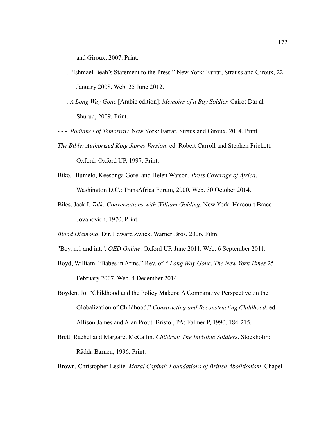and Giroux, 2007. Print.

- - -. "Ishmael Beah's Statement to the Press." New York: Farrar, Strauss and Giroux, 22 January 2008. Web. 25 June 2012.
- - -. *A Long Way Gone* [Arabic edition]: *Memoirs of a Boy Soldier*. Cairo: Dar al-Shurūq, 2009. Print.
- - -. *Radiance of Tomorrow*. New York: Farrar, Straus and Giroux, 2014. Print.
- *The Bible: Authorized King James Version*. ed. Robert Carroll and Stephen Prickett. Oxford: Oxford UP, 1997. Print.
- Biko, Hlumelo, Keesonga Gore, and Helen Watson. *Press Coverage of Africa*. Washington D.C.: TransAfrica Forum, 2000. Web. 30 October 2014.
- Biles, Jack I. *Talk: Conversations with William Golding*. New York: Harcourt Brace Jovanovich, 1970. Print.

*Blood Diamond*. Dir. Edward Zwick. Warner Bros, 2006. Film.

- "Boy, n.1 and int.". *OED Online*. Oxford UP. June 2011. Web. 6 September 2011.
- Boyd, William. "Babes in Arms." Rev. of *A Long Way Gone*. *The New York Times* 25 February 2007. Web. 4 December 2014.
- Boyden, Jo. "Childhood and the Policy Makers: A Comparative Perspective on the Globalization of Childhood." *Constructing and Reconstructing Childhood*. ed. Allison James and Alan Prout. Bristol, PA: Falmer P, 1990. 184-215.
- Brett, Rachel and Margaret McCallin. *Children: The Invisible Soldiers*. Stockholm: Rädda Barnen, 1996. Print.

Brown, Christopher Leslie. *Moral Capital: Foundations of British Abolitionism*. Chapel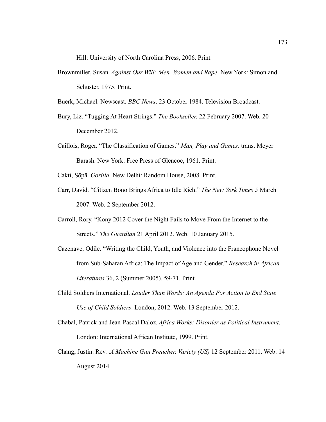Hill: University of North Carolina Press, 2006. Print.

Brownmiller, Susan. *Against Our Will: Men, Women and Rape*. New York: Simon and Schuster, 1975. Print.

Buerk, Michael. Newscast. *BBC News*. 23 October 1984. Television Broadcast.

- Bury, Liz. "Tugging At Heart Strings." *The Bookseller*. 22 February 2007. Web. 20 December 2012.
- Caillois, Roger. "The Classification of Games." *Man, Play and Games*. trans. Meyer Barash. New York: Free Press of Glencoe, 1961. Print.

Cakti, Ṣōpa. *Gorilla*. New Delhi: Random House, 2008. Print.

- Carr, David. "Citizen Bono Brings Africa to Idle Rich." *The New York Times 5* March 2007. Web. 2 September 2012.
- Carroll, Rory. "Kony 2012 Cover the Night Fails to Move From the Internet to the Streets." *The Guardian* 21 April 2012. Web. 10 January 2015.
- Cazenave, Odile. "Writing the Child, Youth, and Violence into the Francophone Novel from Sub-Saharan Africa: The Impact of Age and Gender." *Research in African Literatures* 36, 2 (Summer 2005). 59-71. Print.
- Child Soldiers International. *Louder Than Words: An Agenda For Action to End State Use of Child Soldiers*. London, 2012. Web. 13 September 2012.
- Chabal, Patrick and Jean-Pascal Daloz. *Africa Works: Disorder as Political Instrument*. London: International African Institute, 1999. Print.
- Chang, Justin. Rev. of *Machine Gun Preacher*. *Variety (US)* 12 September 2011. Web. 14 August 2014.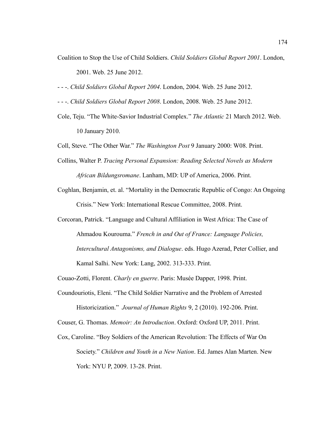Coalition to Stop the Use of Child Soldiers. *Child Soldiers Global Report 2001*. London,

2001. Web. 25 June 2012.

- - -. *Child Soldiers Global Report 2004*. London, 2004. Web. 25 June 2012.

- - -. *Child Soldiers Global Report 2008*. London, 2008. Web. 25 June 2012.

Cole, Teju. "The White-Savior Industrial Complex." *The Atlantic* 21 March 2012. Web. 10 January 2010.

Coll, Steve. "The Other War." *The Washington Post* 9 January 2000: W08. Print.

- Collins, Walter P. *Tracing Personal Expansion: Reading Selected Novels as Modern African Bildungsromane*. Lanham, MD: UP of America, 2006. Print.
- Coghlan, Benjamin, et. al. "Mortality in the Democratic Republic of Congo: An Ongoing Crisis." New York: International Rescue Committee, 2008. Print.
- Corcoran, Patrick. "Language and Cultural Affiliation in West Africa: The Case of Ahmadou Kourouma." *French in and Out of France: Language Policies, Intercultural Antagonisms, and Dialogue*. eds. Hugo Azerad, Peter Collier, and Kamal Salhi. New York: Lang, 2002. 313-333. Print.

Couao-Zotti, Florent. *Charly en guerre*. Paris: Musée Dapper, 1998. Print.

Coundouriotis, Eleni. "The Child Soldier Narrative and the Problem of Arrested Historicization." *Journal of Human Rights* 9, 2 (2010). 192-206. Print.

Couser, G. Thomas. *Memoir: An Introduction*. Oxford: Oxford UP, 2011. Print.

Cox, Caroline. "Boy Soldiers of the American Revolution: The Effects of War On Society." *Children and Youth in a New Nation*. Ed. James Alan Marten. New York: NYU P, 2009. 13-28. Print.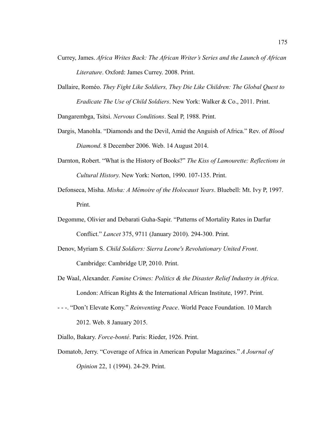- Currey, James. *Africa Writes Back: The African Writer's Series and the Launch of African Literature*. Oxford: James Currey. 2008. Print.
- Dallaire, Roméo. *They Fight Like Soldiers, They Die Like Children: The Global Quest to Eradicate The Use of Child Soldiers*. New York: Walker & Co., 2011. Print.

Dangarembga, Tsitsi. *Nervous Conditions*. Seal P, 1988. Print.

- Dargis, Manohla. "Diamonds and the Devil, Amid the Anguish of Africa." Rev. of *Blood Diamond*. 8 December 2006. Web. 14 August 2014.
- Darnton, Robert. "What is the History of Books?" *The Kiss of Lamourette: Reflections in Cultural History*. New York: Norton, 1990. 107-135. Print.
- Defonseca, Misha. *Misha: A Mémoire of the Holocaust Years*. Bluebell: Mt. Ivy P, 1997. Print.
- Degomme, Olivier and Debarati Guha-Sapir. "Patterns of Mortality Rates in Darfur Conflict." *Lancet* 375, 9711 (January 2010). 294-300. Print.
- Denov, Myriam S. *Child Soldiers: Sierra Leone's Revolutionary United Front*. Cambridge: Cambridge UP, 2010. Print.
- De Waal, Alexander. *Famine Crimes: Politics & the Disaster Relief Industry in Africa*. London: African Rights & the International African Institute, 1997. Print.
- - -. "Don't Elevate Kony." *Reinventing Peace*. World Peace Foundation. 10 March 2012. Web. 8 January 2015.
- Diallo, Bakary. *Force-bonté*. Paris: Rieder, 1926. Print.
- Domatob, Jerry. "Coverage of Africa in American Popular Magazines." *A Journal of Opinion* 22, 1 (1994). 24-29. Print.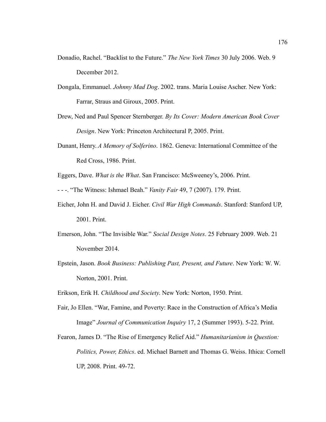- Donadio, Rachel. "Backlist to the Future." *The New York Times* 30 July 2006. Web. 9 December 2012.
- Dongala, Emmanuel. *Johnny Mad Dog*. 2002. trans. Maria Louise Ascher. New York: Farrar, Straus and Giroux, 2005. Print.
- Drew, Ned and Paul Spencer Sternberger. *By Its Cover: Modern American Book Cover Design*. New York: Princeton Architectural P, 2005. Print.
- Dunant, Henry. *A Memory of Solferino*. 1862. Geneva: International Committee of the Red Cross, 1986. Print.
- Eggers, Dave. *What is the What*. San Francisco: McSweeney's, 2006. Print.
- - -. "The Witness: Ishmael Beah." *Vanity Fair* 49, 7 (2007). 179. Print.
- Eicher, John H. and David J. Eicher. *Civil War High Commands*. Stanford: Stanford UP, 2001. Print.
- Emerson, John. "The Invisible War." *Social Design Notes*. 25 February 2009. Web. 21 November 2014.
- Epstein, Jason. *Book Business: Publishing Past, Present, and Future*. New York: W. W. Norton, 2001. Print.
- Erikson, Erik H. *Childhood and Society*. New York: Norton, 1950. Print.
- Fair, Jo Ellen. "War, Famine, and Poverty: Race in the Construction of Africa's Media Image" *Journal of Communication Inquiry* 17, 2 (Summer 1993). 5-22. Print.
- Fearon, James D. "The Rise of Emergency Relief Aid." *Humanitarianism in Question: Politics, Power, Ethics*. ed. Michael Barnett and Thomas G. Weiss. Ithica: Cornell UP, 2008. Print. 49-72.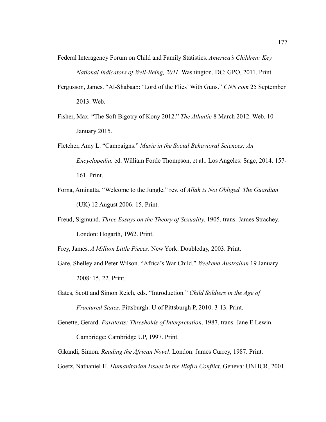Federal Interagency Forum on Child and Family Statistics. *America's Children: Key National Indicators of Well-Being, 2011*. Washington, DC: GPO, 2011. Print.

- Fergusson, James. "Al-Shabaab: 'Lord of the Flies' With Guns." *CNN.com* 25 September 2013. Web.
- Fisher, Max. "The Soft Bigotry of Kony 2012." *The Atlantic* 8 March 2012. Web. 10 January 2015.
- Fletcher, Amy L. "Campaigns." *Music in the Social Behavioral Sciences: An Encyclopedia.* ed. William Forde Thompson, et al.. Los Angeles: Sage, 2014. 157- 161. Print.
- Forna, Aminatta. "Welcome to the Jungle." rev. of *Allah is Not Obliged. The Guardian* (UK) 12 August 2006: 15. Print.
- Freud, Sigmund. *Three Essays on the Theory of Sexuality*. 1905. trans. James Strachey. London: Hogarth, 1962. Print.

Frey, James. *A Million Little Pieces*. New York: Doubleday, 2003. Print.

- Gare, Shelley and Peter Wilson. "Africa's War Child." *Weekend Australian* 19 January 2008: 15, 22. Print.
- Gates, Scott and Simon Reich, eds. "Introduction." *Child Soldiers in the Age of Fractured States*. Pittsburgh: U of Pittsburgh P, 2010. 3-13. Print.
- Genette, Gerard. *Paratexts: Thresholds of Interpretation*. 1987. trans. Jane E Lewin. Cambridge: Cambridge UP, 1997. Print.

Gikandi, Simon. *Reading the African Novel*. London: James Currey, 1987. Print.

Goetz, Nathaniel H. *Humanitarian Issues in the Biafra Conflict*. Geneva: UNHCR, 2001.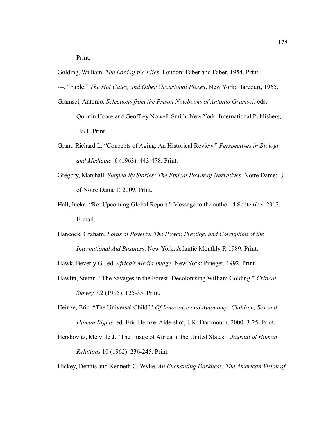Print.

Golding, William. *The Lord of the Flies*. London: Faber and Faber, 1954. Print.

- ---. "Fable." *The Hot Gates, and Other Occasional Pieces*. New York: Harcourt, 1965.
- Gramsci, Antonio. *Selections from the Prison Notebooks of Antonio Gramsci*. eds.
	- Quintin Hoare and Geoffrey Nowell-Smith. New York: International Publishers, 1971. Print.
- Grant, Richard L. "Concepts of Aging: An Historical Review." *Perspectives in Biology and Medicine*. 6 (1963). 443-478. Print.
- Gregory, Marshall. *Shaped By Stories: The Ethical Power of Narratives*. Notre Dame: U of Notre Dame P, 2009. Print.
- Hall, Ineka. "Re: Upcoming Global Report." Message to the author. 4 September 2012. E-mail.
- Hancock, Graham. *Lords of Poverty: The Power, Prestige, and Corruption of the International Aid Business*. New York: Atlantic Monthly P, 1989. Print.

Hawk, Beverly G., ed. *Africa's Media Image*. New York: Praeger, 1992. Print.

- Hawlin, Stefan. "The Savages in the Forest- Decolonising William Golding." *Critical Survey* 7.2 (1995). 125-35. Print.
- Heinze, Eric. "The Universal Child?" *Of Innocence and Autonomy: Children, Sex and Human Rights*. ed. Eric Heinze. Aldershot, UK: Dartmouth, 2000. 3-25. Print.
- Herskovitz, Melville J. "The Image of Africa in the United States." *Journal of Human Relations* 10 (1962). 236-245. Print.

Hickey, Dennis and Kenneth C. Wylie. *An Enchanting Darkness: The American Vision of*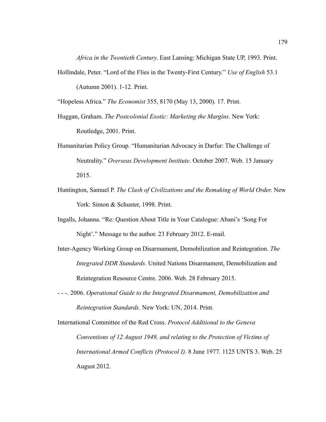*Africa in the Twentieth Century*. East Lansing: Michigan State UP, 1993. Print.

Hollindale, Peter. "Lord of the Flies in the Twenty-First Century." *Use of English* 53.1 (Autumn 2001). 1-12. Print.

"Hopeless Africa." *The Economist* 355, 8170 (May 13, 2000). 17. Print.

- Huggan, Graham. *The Postcolonial Exotic: Marketing the Margins*. New York: Routledge, 2001. Print.
- Humanitarian Policy Group. "Humanitarian Advocacy in Darfur: The Challenge of Neutrality." *Overseas Development Institute*. October 2007. Web. 15 January 2015.
- Huntington, Samuel P. *The Clash of Civilizations and the Remaking of World Order*. New York: Simon & Schuster, 1998. Print.
- Ingalls, Johanna. "Re: Question About Title in Your Catalogue: Abani's 'Song For Night'." Message to the author. 23 February 2012. E-mail.
- Inter-Agency Working Group on Disarmament, Demobilization and Reintegration. *The Integrated DDR Standards*. United Nations Disarmament, Demobilization and Reintegration Resource Centre. 2006. Web. 28 February 2015.
- - -. 2006. *Operational Guide to the Integrated Disarmament, Demobilization and Reintegration Standards*. New York: UN, 2014. Print.

International Committee of the Red Cross. *Protocol Additional to the Geneva Conventions of 12 August 1949, and relating to the Protection of Victims of International Armed Conflicts (Protocol I).* 8 June 1977. 1125 UNTS 3. Web. 25 August 2012.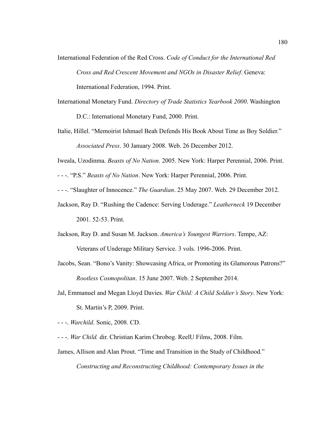- International Federation of the Red Cross. *Code of Conduct for the International Red Cross and Red Crescent Movement and NGOs in Disaster Relief*. Geneva: International Federation, 1994. Print.
	-
- International Monetary Fund. *Directory of Trade Statistics Yearbook 2000*. Washington

D.C.: International Monetary Fund, 2000. Print.

- Italie, Hillel. "Memoirist Ishmael Beah Defends His Book About Time as Boy Soldier." *Associated Press*. 30 January 2008. Web. 26 December 2012.
- Iweala, Uzodinma. *Beasts of No Nation*. 2005. New York: Harper Perennial, 2006. Print.
- - -. "P.S." *Beasts of No Nation*. New York: Harper Perennial, 2006. Print.
- - -. "Slaughter of Innocence." *The Guardian*. 25 May 2007. Web. 29 December 2012.
- Jackson, Ray D. "Rushing the Cadence: Serving Underage." *Leatherneck* 19 December 2001. 52-53. Print.
- Jackson, Ray D. and Susan M. Jackson. *America's Youngest Warriors*. Tempe, AZ: Veterans of Underage Military Service. 3 vols. 1996-2006. Print.
- Jacobs, Sean. "Bono's Vanity: Showcasing Africa, or Promoting its Glamorous Patrons?" *Rootless Cosmopolitan*. 15 June 2007. Web. 2 September 2014.
- Jal, Emmanuel and Megan Lloyd Davies. *War Child: A Child Soldier's Story*. New York: St. Martin's P, 2009. Print.
- - -. *Warchild*. Sonic, 2008. CD.
- - -. *War Child.* dir. Christian Karim Chrobog. ReelU Films, 2008. Film.
- James, Allison and Alan Prout. "Time and Transition in the Study of Childhood."

*Constructing and Reconstructing Childhood: Contemporary Issues in the*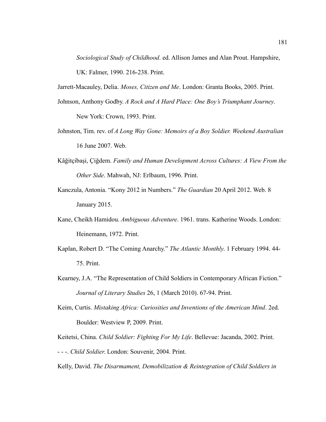*Sociological Study of Childhood*. ed. Allison James and Alan Prout. Hampshire, UK: Falmer, 1990. 216-238. Print.

Jarrett-Macauley, Delia. *Moses, Citizen and Me*. London: Granta Books, 2005. Print.

- Johnson, Anthony Godby. *A Rock and A Hard Place: One Boy's Triumphant Journey*. New York: Crown, 1993. Print.
- Johnston, Tim. rev. of *A Long Way Gone: Memoirs of a Boy Soldier. Weekend Australian* 16 June 2007. Web.
- Kâğitçibaşi, Çiğdem. *Family and Human Development Across Cultures: A View From the Other Side*. Mahwah, NJ: Erlbaum, 1996. Print.
- Kanczula, Antonia. "Kony 2012 in Numbers." *The Guardian* 20 April 2012. Web. 8 January 2015.
- Kane, Cheikh Hamidou. *Ambiguous Adventure*. 1961. trans. Katherine Woods. London: Heinemann, 1972. Print.
- Kaplan, Robert D. "The Coming Anarchy." *The Atlantic Monthly*. 1 February 1994. 44- 75. Print.
- Kearney, J.A. "The Representation of Child Soldiers in Contemporary African Fiction." *Journal of Literary Studies* 26, 1 (March 2010). 67-94. Print.
- Keim, Curtis. *Mistaking Africa: Curiosities and Inventions of the American Mind*. 2ed. Boulder: Westview P, 2009. Print.

Keitetsi, China. *Child Soldier: Fighting For My Life*. Bellevue: Jacanda, 2002. Print. - - -. *Child Soldier*. London: Souvenir, 2004. Print.

Kelly, David. *The Disarmament, Demobilization & Reintegration of Child Soldiers in*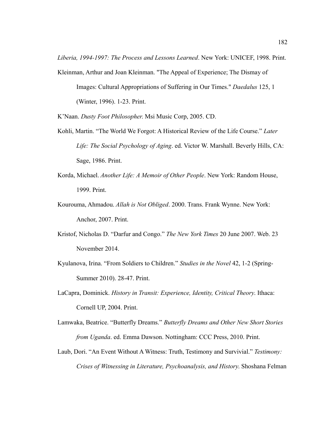*Liberia, 1994-1997: The Process and Lessons Learned*. New York: UNICEF, 1998. Print.

Kleinman, Arthur and Joan Kleinman. "The Appeal of Experience; The Dismay of Images: Cultural Appropriations of Suffering in Our Times." *Daedalus* 125, 1 (Winter, 1996). 1-23. Print.

K'Naan. *Dusty Foot Philosopher*. Msi Music Corp, 2005. CD.

- Kohli, Martin. "The World We Forgot: A Historical Review of the Life Course." *Later Life: The Social Psychology of Aging*. ed. Victor W. Marshall. Beverly Hills, CA: Sage, 1986. Print.
- Korda, Michael. *Another Life: A Memoir of Other People*. New York: Random House, 1999. Print.
- Kourouma, Ahmadou. *Allah is Not Obliged*. 2000. Trans. Frank Wynne. New York: Anchor, 2007. Print.
- Kristof, Nicholas D. "Darfur and Congo." *The New York Times* 20 June 2007. Web. 23 November 2014.
- Kyulanova, Irina. "From Soldiers to Children." *Studies in the Novel* 42, 1-2 (Spring-Summer 2010). 28-47. Print.
- LaCapra, Dominick. *History in Transit: Experience, Identity, Critical Theory*. Ithaca: Cornell UP, 2004. Print.
- Lamwaka, Beatrice. "Butterfly Dreams." *Butterfly Dreams and Other New Short Stories from Uganda*. ed. Emma Dawson. Nottingham: CCC Press, 2010. Print.
- Laub, Dori. "An Event Without A Witness: Truth, Testimony and Survivial." *Testimony: Crises of Witnessing in Literature, Psychoanalysis, and History*. Shoshana Felman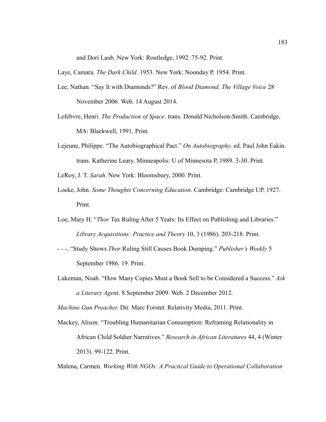and Dori Laub. New York: Routledge, 1992. 75-92. Print.

Laye, Camara. *The Dark Child*. 1953. New York: Noonday P, 1954. Print.

- Lee, Nathan. "Say It with Diamonds?" Rev. of *Blood Diamond. The Village Voice* 28 November 2006. Web. 14 August 2014.
- Lefebvre, Henri. *The Production of Space*. trans. Donald Nicholson-Smith. Cambridge, MA: Blackwell, 1991. Print.
- Lejeune, Philippe. "The Autobiographical Pact." *On Autobiography*. ed. Paul John Eakin. trans. Katherine Leary. Minneapolis: U of Minnesota P, 1989. 3-30. Print.

LeRoy, J. T. *Sarah*. New York: Bloomsbury, 2000. Print.

- Locke, John. *Some Thoughts Concerning Education*. Cambridge: Cambridge UP, 1927. Print.
- Loe, Mary H. "*Thor* Tax Ruling After 5 Years: Its Effect on Publishing and Libraries." *Library Acquisitions: Practice and Theory* 10, 3 (1986). 203-218. Print.
- - -. "Study Shows *Thor* Ruling Still Causes Book Dumping." *Publisher's Weekly* 5 September 1986. 19. Print.
- Lukeman, Noah. "How Many Copies Must a Book Sell to be Considered a Success." *Ask a Literary Agent*. 8 September 2009. Web. 2 December 2012.

*Machine Gun Preacher*. Dir. Marc Forster. Relativity Media, 2011. Print.

Mackey, Alison. "Troubling Humanitarian Consumption: Reframing Relationality in African Child Soldier Narratives." *Research in African Literatures* 44, 4 (Winter 2013). 99-122. Print.

Malena, Carmen. *Working With NGOs: A Practical Guide to Operational Collaboration*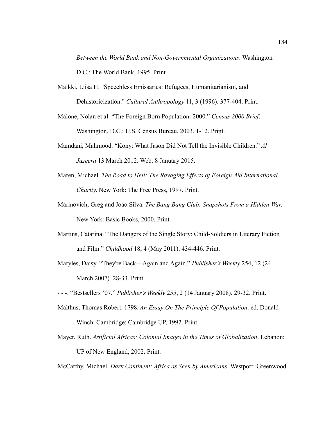*Between the World Bank and Non-Governmental Organizations*. Washington D.C.: The World Bank, 1995. Print.

- Malkki, Liisa H. "Speechless Emissaries: Refugees, Humanitarianism, and Dehistoricization." *Cultural Anthropology* 11, 3 (1996). 377-404. Print.
- Malone, Nolan et al. "The Foreign Born Population: 2000." *Census 2000 Brief*. Washington, D.C.: U.S. Census Bureau, 2003. 1-12. Print.
- Mamdani, Mahmood. "Kony: What Jason Did Not Tell the Invisible Children." *Al Jazeera* 13 March 2012. Web. 8 January 2015.
- Maren, Michael. *The Road to Hell: The Ravaging Effects of Foreign Aid International Charity*. New York: The Free Press, 1997. Print.
- Marinovich, Greg and Joao Silva. *The Bang Bang Club: Snapshots From a Hidden War*. New York: Basic Books, 2000. Print.
- Martins, Catarina. "The Dangers of the Single Story: Child-Soldiers in Literary Fiction and Film." *Childhood* 18, 4 (May 2011). 434-446. Print.
- Maryles, Daisy. "They're Back—Again and Again." *Publisher's Weekly* 254, 12 (24 March 2007). 28-33. Print.

- - -. "Bestsellers '07." *Publisher's Weekly* 255, 2 (14 January 2008). 29-32. Print.

- Malthus, Thomas Robert. 1798. *An Essay On The Principle Of Population*. ed. Donald Winch. Cambridge: Cambridge UP, 1992. Print.
- Mayer, Ruth. *Artificial Africas: Colonial Images in the Times of Globalization*. Lebanon: UP of New England, 2002. Print.

McCarthy, Michael. *Dark Continent: Africa as Seen by Americans*. Westport: Greenwood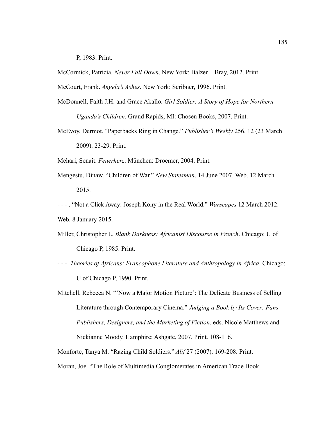P, 1983. Print.

McCormick, Patricia. *Never Fall Down*. New York: Balzer + Bray, 2012. Print.

McCourt, Frank. *Angela's Ashes*. New York: Scribner, 1996. Print.

- McDonnell, Faith J.H. and Grace Akallo. *Girl Soldier: A Story of Hope for Northern Uganda's Children*. Grand Rapids, MI: Chosen Books, 2007. Print.
- McEvoy, Dermot. "Paperbacks Ring in Change." *Publisher's Weekly* 256, 12 (23 March 2009). 23-29. Print.

Mehari, Senait. *Feuerherz*. München: Droemer, 2004. Print.

- Mengestu, Dinaw. "Children of War." *New Statesman*. 14 June 2007. Web. 12 March 2015.
- - . "Not a Click Away: Joseph Kony in the Real World." *Warscapes* 12 March 2012. Web. 8 January 2015.
- Miller, Christopher L. *Blank Darkness: Africanist Discourse in French*. Chicago: U of Chicago P, 1985. Print.
- - -. *Theories of Africans: Francophone Literature and Anthropology in Africa*. Chicago: U of Chicago P, 1990. Print.
- Mitchell, Rebecca N. "'Now a Major Motion Picture': The Delicate Business of Selling Literature through Contemporary Cinema." *Judging a Book by Its Cover: Fans, Publishers, Designers, and the Marketing of Fiction*. eds. Nicole Matthews and Nickianne Moody. Hamphire: Ashgate, 2007. Print. 108-116.

Monforte, Tanya M. "Razing Child Soldiers." *Alif* 27 (2007). 169-208. Print.

Moran, Joe. "The Role of Multimedia Conglomerates in American Trade Book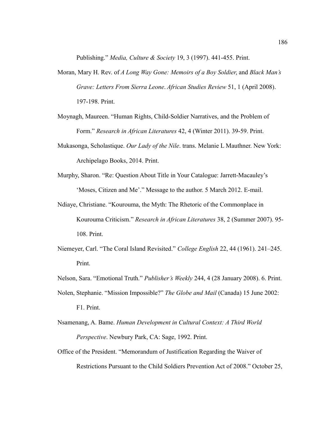Publishing." *Media, Culture & Society* 19, 3 (1997). 441-455. Print.

- Moran, Mary H. Rev. of *A Long Way Gone: Memoirs of a Boy Soldier*, and *Black Man's Grave: Letters From Sierra Leone*. *African Studies Review* 51, 1 (April 2008). 197-198. Print.
- Moynagh, Maureen. "Human Rights, Child-Soldier Narratives, and the Problem of Form." *Research in African Literatures* 42, 4 (Winter 2011). 39-59. Print.
- Mukasonga, Scholastique. *Our Lady of the Nile*. trans. Melanie L Mauthner. New York: Archipelago Books, 2014. Print.
- Murphy, Sharon. "Re: Question About Title in Your Catalogue: Jarrett-Macauley's 'Moses, Citizen and Me'." Message to the author. 5 March 2012. E-mail.
- Ndiaye, Christiane. "Kourouma, the Myth: The Rhetoric of the Commonplace in Kourouma Criticism." *Research in African Literatures* 38, 2 (Summer 2007). 95- 108. Print.
- Niemeyer, Carl. "The Coral Island Revisited." *College English* 22, 44 (1961). 241–245. Print.
- Nelson, Sara. "Emotional Truth." *Publisher's Weekly* 244, 4 (28 January 2008). 6. Print.
- Nolen, Stephanie. "Mission Impossible?" *The Globe and Mail* (Canada) 15 June 2002: F1. Print.
- Nsamenang, A. Bame. *Human Development in Cultural Context: A Third World Perspective*. Newbury Park, CA: Sage, 1992. Print.
- Office of the President. "Memorandum of Justification Regarding the Waiver of Restrictions Pursuant to the Child Soldiers Prevention Act of 2008." October 25,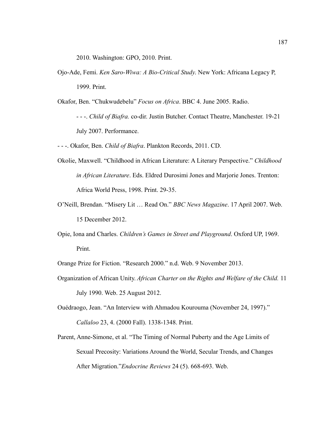2010. Washington: GPO, 2010. Print.

Ojo-Ade, Femi. *Ken Saro-Wiwa: A Bio-Critical Study*. New York: Africana Legacy P, 1999. Print.

Okafor, Ben. "Chukwudebelu" *Focus on Africa*. BBC 4. June 2005. Radio.

- - -. *Child of Biafra.* co-dir. Justin Butcher. Contact Theatre, Manchester. 19-21 July 2007. Performance.

- - -. Okafor, Ben. *Child of Biafra*. Plankton Records, 2011. CD.

- Okolie, Maxwell. "Childhood in African Literature: A Literary Perspective." *Childhood in African Literature*. Eds. Eldred Durosimi Jones and Marjorie Jones. Trenton: Africa World Press, 1998. Print. 29-35.
- O'Neill, Brendan. "Misery Lit … Read On." *BBC News Magazine*. 17 April 2007. Web. 15 December 2012.
- Opie, Iona and Charles. *Children's Games in Street and Playground*. Oxford UP, 1969. Print.

Orange Prize for Fiction. "Research 2000." n.d. Web. 9 November 2013.

Organization of African Unity. *African Charter on the Rights and Welfare of the Child.* 11 July 1990. Web. 25 August 2012.

Ouédraogo, Jean. "An Interview with Ahmadou Kourouma (November 24, 1997)." *Callaloo* 23, 4. (2000 Fall). 1338-1348. Print.

Parent, Anne-Simone, et al. "The Timing of Normal Puberty and the Age Limits of Sexual Precosity: Variations Around the World, Secular Trends, and Changes After Migration."*Endocrine Reviews* 24 (5). 668-693. Web.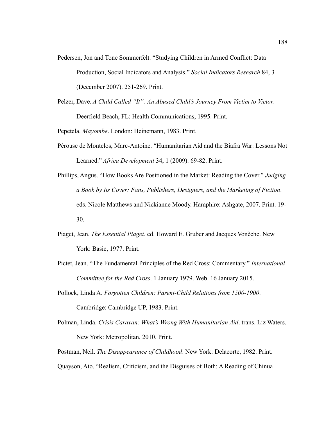- Pedersen, Jon and Tone Sommerfelt. "Studying Children in Armed Conflict: Data Production, Social Indicators and Analysis." *Social Indicators Research* 84, 3 (December 2007). 251-269. Print.
- Pelzer, Dave. *A Child Called "It": An Abused Child's Journey From Victim to Victor.*  Deerfield Beach, FL: Health Communications, 1995. Print.

Pepetela. *Mayombe*. London: Heinemann, 1983. Print.

- Perouse de Montclos, Marc-Antoine. "Humanitarian Aid and the Biafra War: Lessons Not Learned." *Africa Development* 34, 1 (2009). 69-82. Print.
- Phillips, Angus. "How Books Are Positioned in the Market: Reading the Cover." *Judging a Book by Its Cover: Fans, Publishers, Designers, and the Marketing of Fiction*. eds. Nicole Matthews and Nickianne Moody. Hamphire: Ashgate, 2007. Print. 19- 30.
- Piaget, Jean. *The Essential Piaget*. ed. Howard E. Gruber and Jacques Vonèche. New York: Basic, 1977. Print.
- Pictet, Jean. "The Fundamental Principles of the Red Cross: Commentary." *International Committee for the Red Cross*. 1 January 1979. Web. 16 January 2015.
- Pollock, Linda A. *Forgotten Children: Parent-Child Relations from 1500-1900*. Cambridge: Cambridge UP, 1983. Print.
- Polman, Linda. *Crisis Caravan: What's Wrong With Humanitarian Aid*. trans. Liz Waters. New York: Metropolitan, 2010. Print.
- Postman, Neil. *The Disappearance of Childhood*. New York: Delacorte, 1982. Print.
- Quayson, Ato. "Realism, Criticism, and the Disguises of Both: A Reading of Chinua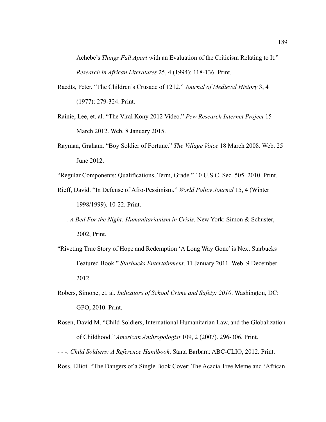Achebe's *Things Fall Apart* with an Evaluation of the Criticism Relating to It." *Research in African Literatures* 25, 4 (1994): 118-136. Print.

- Raedts, Peter. "The Children's Crusade of 1212." *Journal of Medieval History* 3, 4 (1977): 279-324. Print.
- Rainie, Lee, et. al. "The Viral Kony 2012 Video." *Pew Research Internet Project* 15 March 2012. Web. 8 January 2015.
- Rayman, Graham. "Boy Soldier of Fortune." *The Village Voice* 18 March 2008. Web. 25 June 2012.
- "Regular Components: Qualifications, Term, Grade." 10 U.S.C. Sec. 505. 2010. Print.
- Rieff, David. "In Defense of Afro-Pessimism." *World Policy Journal* 15, 4 (Winter 1998/1999). 10-22. Print.
- - -. *A Bed For the Night: Humanitarianism in Crisis*. New York: Simon & Schuster, 2002, Print.
- "Riveting True Story of Hope and Redemption 'A Long Way Gone' is Next Starbucks Featured Book." *Starbucks Entertainment*. 11 January 2011. Web. 9 December 2012.
- Robers, Simone, et. al. *Indicators of School Crime and Safety: 2010*. Washington, DC: GPO, 2010. Print.
- Rosen, David M. "Child Soldiers, International Humanitarian Law, and the Globalization of Childhood." *American Anthropologist* 109, 2 (2007). 296-306. Print.
- - -. *Child Soldiers: A Reference Handbook*. Santa Barbara: ABC-CLIO, 2012. Print.
- Ross, Elliot. "The Dangers of a Single Book Cover: The Acacia Tree Meme and 'African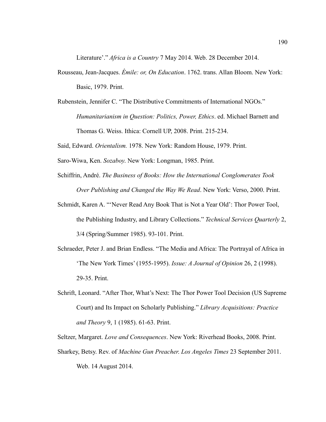Literature'." *Africa is a Country* 7 May 2014. Web. 28 December 2014.

- Rousseau, Jean-Jacques. *Émile: or, On Education*. 1762. trans. Allan Bloom. New York: Basic, 1979. Print.
- Rubenstein, Jennifer C. "The Distributive Commitments of International NGOs." *Humanitarianism in Question: Politics, Power, Ethics*. ed. Michael Barnett and Thomas G. Weiss. Ithica: Cornell UP, 2008. Print. 215-234.

Said, Edward. *Orientalism.* 1978. New York: Random House, 1979. Print.

Saro-Wiwa, Ken. *Sozaboy*. New York: Longman, 1985. Print.

- Schiffrin, André. *The Business of Books: How the International Conglomerates Took Over Publishing and Changed the Way We Read*. New York: Verso, 2000. Print.
- Schmidt, Karen A. "'Never Read Any Book That is Not a Year Old': Thor Power Tool, the Publishing Industry, and Library Collections." *Technical Services Quarterly* 2, 3/4 (Spring/Summer 1985). 93-101. Print.
- Schraeder, Peter J. and Brian Endless. "The Media and Africa: The Portrayal of Africa in 'The New York Times' (1955-1995). *Issue: A Journal of Opinion* 26, 2 (1998). 29-35. Print.
- Schrift, Leonard. "After Thor, What's Next: The Thor Power Tool Decision (US Supreme Court) and Its Impact on Scholarly Publishing." *Library Acquisitions: Practice and Theory* 9, 1 (1985). 61-63. Print.

Seltzer, Margaret. *Love and Consequences*. New York: Riverhead Books, 2008. Print. Sharkey, Betsy. Rev. of *Machine Gun Preacher*. *Los Angeles Times* 23 September 2011. Web. 14 August 2014.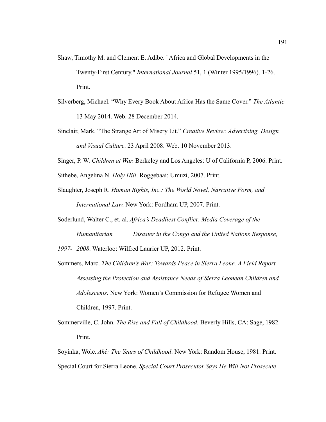- Shaw, Timothy M. and Clement E. Adibe. "Africa and Global Developments in the Twenty-First Century." *International Journal* 51, 1 (Winter 1995/1996). 1-26. Print.
- Silverberg, Michael. "Why Every Book About Africa Has the Same Cover." *The Atlantic* 13 May 2014. Web. 28 December 2014.
- Sinclair, Mark. "The Strange Art of Misery Lit." *Creative Review: Advertising, Design and Visual Culture*. 23 April 2008. Web. 10 November 2013.
- Singer, P. W. *Children at War*. Berkeley and Los Angeles: U of California P, 2006. Print.

Sithebe, Angelina N. *Holy Hill*. Roggebaai: Umuzi, 2007. Print.

- Slaughter, Joseph R. *Human Rights, Inc.: The World Novel, Narrative Form, and International Law*. New York: Fordham UP, 2007. Print.
- Soderlund, Walter C., et. al. *Africa's Deadliest Conflict: Media Coverage of the Humanitarian Disaster in the Congo and the United Nations Response, 1997- 2008*. Waterloo: Wilfred Laurier UP, 2012. Print.
- Sommers, Marc. *The Children's War: Towards Peace in Sierra Leone. A Field Report Assessing the Protection and Assistance Needs of Sierra Leonean Children and Adolescents*. New York: Women's Commission for Refugee Women and Children, 1997. Print.
- Sommerville, C. John. *The Rise and Fall of Childhood*. Beverly Hills, CA: Sage, 1982. Print.

Soyinka, Wole. *Aké: The Years of Childhood*. New York: Random House, 1981. Print. Special Court for Sierra Leone. *Special Court Prosecutor Says He Will Not Prosecute*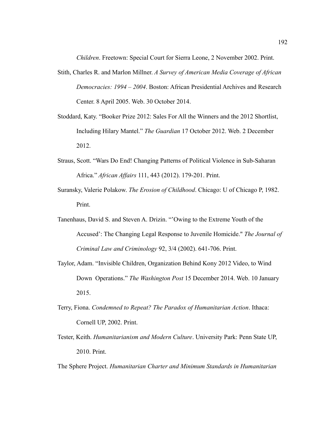*Children*. Freetown: Special Court for Sierra Leone, 2 November 2002. Print.

- Stith, Charles R. and Marlon Millner. *A Survey of American Media Coverage of African Democracies: 1994 – 2004*. Boston: African Presidential Archives and Research Center. 8 April 2005. Web. 30 October 2014.
- Stoddard, Katy. "Booker Prize 2012: Sales For All the Winners and the 2012 Shortlist, Including Hilary Mantel." *The Guardian* 17 October 2012. Web. 2 December 2012.
- Straus, Scott. "Wars Do End! Changing Patterns of Political Violence in Sub-Saharan Africa." *African Affairs* 111, 443 (2012). 179-201. Print.
- Suransky, Valerie Polakow. *The Erosion of Childhood*. Chicago: U of Chicago P, 1982. Print.
- Tanenhaus, David S. and Steven A. Drizin. "'Owing to the Extreme Youth of the Accused': The Changing Legal Response to Juvenile Homicide." *The Journal of Criminal Law and Criminology* 92, 3/4 (2002). 641-706. Print.
- Taylor, Adam. "Invisible Children, Organization Behind Kony 2012 Video, to Wind Down Operations." *The Washington Post* 15 December 2014. Web. 10 January 2015.
- Terry, Fiona. *Condemned to Repeat? The Paradox of Humanitarian Action*. Ithaca: Cornell UP, 2002. Print.
- Tester, Keith. *Humanitarianism and Modern Culture*. University Park: Penn State UP, 2010. Print.
- The Sphere Project. *Humanitarian Charter and Minimum Standards in Humanitarian*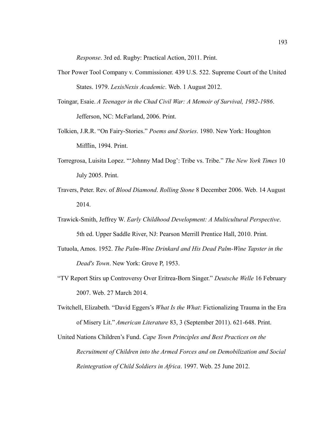*Response*. 3rd ed. Rugby: Practical Action, 2011. Print.

- Thor Power Tool Company v. Commissioner. 439 U.S. 522. Supreme Court of the United States. 1979. *LexisNexis Academic*. Web. 1 August 2012.
- Toingar, Esaie. *A Teenager in the Chad Civil War: A Memoir of Survival, 1982-1986*. Jefferson, NC: McFarland, 2006. Print.
- Tolkien, J.R.R. "On Fairy-Stories." *Poems and Stories*. 1980. New York: Houghton Mifflin, 1994. Print.
- Torregrosa, Luisita Lopez. "'Johnny Mad Dog': Tribe vs. Tribe." *The New York Times* 10 July 2005. Print.
- Travers, Peter. Rev. of *Blood Diamond*. *Rolling Stone* 8 December 2006. Web. 14 August 2014.
- Trawick-Smith, Jeffrey W. *Early Childhood Development: A Multicultural Perspective*. 5th ed. Upper Saddle River, NJ: Pearson Merrill Prentice Hall, 2010. Print.
- Tutuola, Amos. 1952. *The Palm-Wine Drinkard and His Dead Palm-Wine Tapster in the Dead's Town*. New York: Grove P, 1953.
- "TV Report Stirs up Controversy Over Eritrea-Born Singer." *Deutsche Welle* 16 February 2007. Web. 27 March 2014.
- Twitchell, Elizabeth. "David Eggers's *What Is the What*: Fictionalizing Trauma in the Era of Misery Lit." *American Literature* 83, 3 (September 2011). 621-648. Print.
- United Nations Children's Fund. *Cape Town Principles and Best Practices on the Recruitment of Children into the Armed Forces and on Demobilization and Social Reintegration of Child Soldiers in Africa*. 1997. Web. 25 June 2012.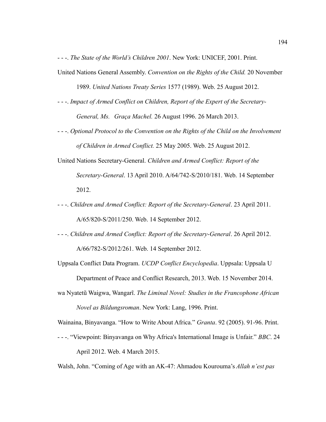- - -. *The State of the World's Children 2001*. New York: UNICEF, 2001. Print.

- United Nations General Assembly. *Convention on the Rights of the Child.* 20 November 1989. *United Nations Treaty Series* 1577 (1989). Web. 25 August 2012.
- - -. *Impact of Armed Conflict on Children, Report of the Expert of the Secretary-General, Ms. Graça Machel.* 26 August 1996. 26 March 2013.
- - -. *Optional Protocol to the Convention on the Rights of the Child on the Involvement of Children in Armed Conflict.* 25 May 2005. Web. 25 August 2012.
- United Nations Secretary-General. *Children and Armed Conflict: Report of the Secretary-General*. 13 April 2010. A/64/742-S/2010/181. Web. 14 September 2012.
- - -. *Children and Armed Conflict: Report of the Secretary-General*. 23 April 2011. A/65/820-S/2011/250. Web. 14 September 2012.
- - -. *Children and Armed Conflict: Report of the Secretary-General*. 26 April 2012. A/66/782-S/2012/261. Web. 14 September 2012.
- Uppsala Conflict Data Program. *UCDP Conflict Encyclopedia*. Uppsala: Uppsala U

Department of Peace and Conflict Research, 2013. Web. 15 November 2014.

wa Nyatetũ Waigwa, Wangarĩ. *The Liminal Novel: Studies in the Francophone African Novel as Bildungsroman*. New York: Lang, 1996. Print.

Wainaina, Binyavanga. "How to Write About Africa." *Granta*. 92 (2005). 91-96. Print.

- - -. "Viewpoint: Binyavanga on Why Africa's International Image is Unfair." *BBC*. 24 April 2012. Web. 4 March 2015.

Walsh, John. "Coming of Age with an AK-47: Ahmadou Kourouma's *Allah n'est pas*